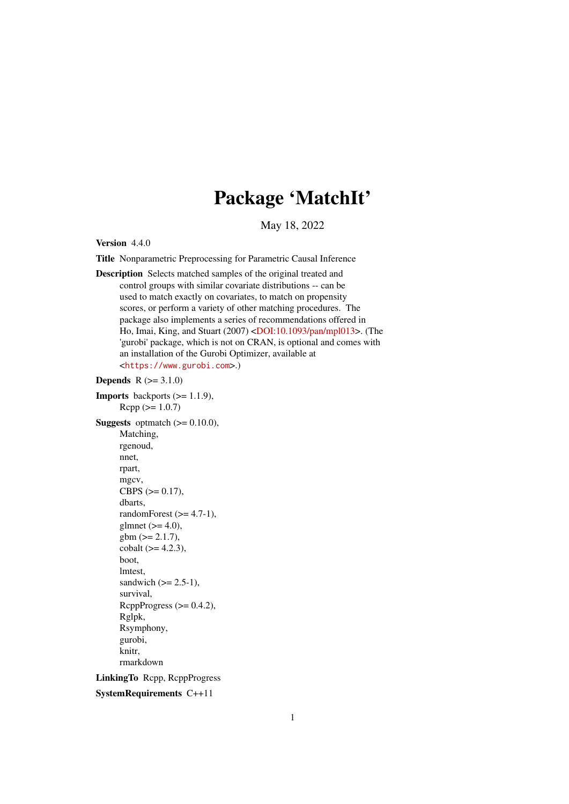# Package 'MatchIt'

May 18, 2022

<span id="page-0-0"></span>Version 4.4.0

Title Nonparametric Preprocessing for Parametric Causal Inference

Description Selects matched samples of the original treated and control groups with similar covariate distributions -- can be used to match exactly on covariates, to match on propensity scores, or perform a variety of other matching procedures. The package also implements a series of recommendations offered in Ho, Imai, King, and Stuart (2007) [<DOI:10.1093/pan/mpl013>](https://doi.org/10.1093/pan/mpl013). (The 'gurobi' package, which is not on CRAN, is optional and comes with an installation of the Gurobi Optimizer, available at <<https://www.gurobi.com>>.)

```
Depends R (>= 3.1.0)
```
**Imports** backports  $(>= 1.1.9)$ ,  $Rcpp (> = 1.0.7)$ **Suggests** optmatch  $(>= 0.10.0)$ , Matching, rgenoud, nnet, rpart, mgcv, CBPS  $(>= 0.17)$ , dbarts, randomForest  $(>= 4.7-1)$ , glmnet  $(>= 4.0)$ ,  $gbm (= 2.1.7),$ cobalt  $(>= 4.2.3)$ , boot, lmtest, sandwich  $(>= 2.5-1)$ , survival, RcppProgress  $(>= 0.4.2)$ , Rglpk, Rsymphony, gurobi, knitr, rmarkdown LinkingTo Rcpp, RcppProgress SystemRequirements C++11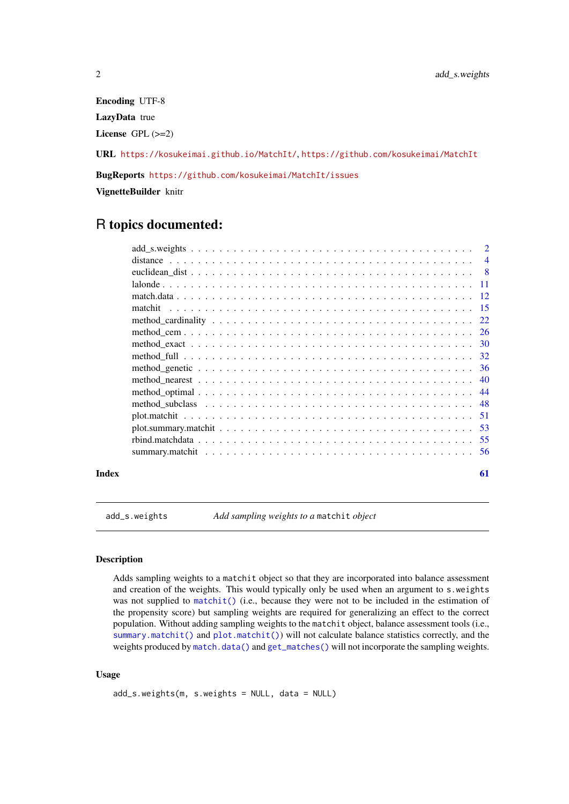Encoding UTF-8 LazyData true License GPL (>=2)

URL <https://kosukeimai.github.io/MatchIt/>, <https://github.com/kosukeimai/MatchIt>

BugReports <https://github.com/kosukeimai/MatchIt/issues>

VignetteBuilder knitr

# R topics documented:

| $\overline{4}$ |
|----------------|
| - 8            |
|                |
|                |
| -15            |
| 22             |
| 26             |
| -30            |
|                |
| -36            |
|                |
|                |
|                |
| -51            |
|                |
|                |
|                |
|                |

#### **Index** [61](#page-60-0)

add\_s.weights *Add sampling weights to a* matchit *object*

#### Description

Adds sampling weights to a matchit object so that they are incorporated into balance assessment and creation of the weights. This would typically only be used when an argument to s.weights was not supplied to [matchit\(\)](#page-14-1) (i.e., because they were not to be included in the estimation of the propensity score) but sampling weights are required for generalizing an effect to the correct population. Without adding sampling weights to the matchit object, balance assessment tools (i.e., [summary.matchit\(\)](#page-55-1) and [plot.matchit\(\)](#page-50-1)) will not calculate balance statistics correctly, and the weights produced by [match.data\(\)](#page-11-1) and [get\\_matches\(\)](#page-11-2) will not incorporate the sampling weights.

# Usage

```
add_s.weights(m, s.weights = NULL, data = NULL)
```
<span id="page-1-0"></span>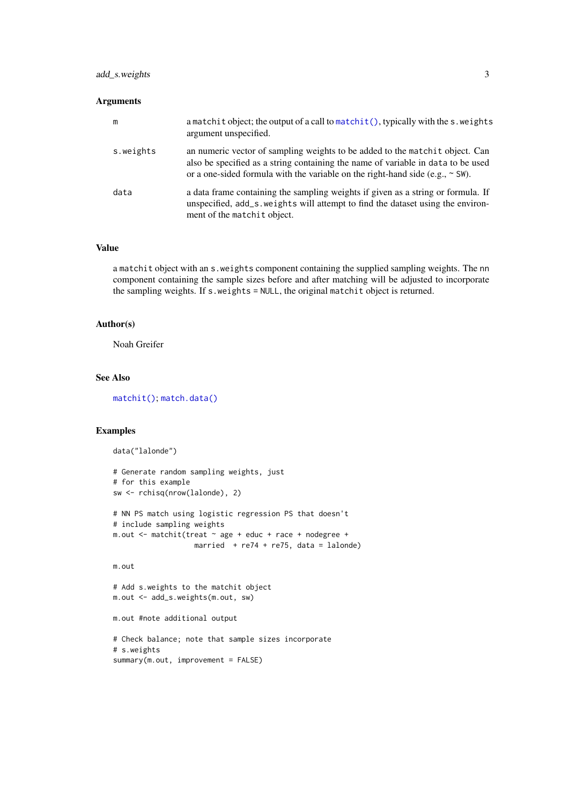#### <span id="page-2-0"></span>add\_s.weights 3

# Arguments

| m         | a matchit object; the output of a call to matchit(), typically with the s weights<br>argument unspecified.                                                                                                                                              |
|-----------|---------------------------------------------------------------------------------------------------------------------------------------------------------------------------------------------------------------------------------------------------------|
| s.weights | an numeric vector of sampling weights to be added to the match it object. Can<br>also be specified as a string containing the name of variable in data to be used<br>or a one-sided formula with the variable on the right-hand side (e.g., $\sim$ SW). |
| data      | a data frame containing the sampling weights if given as a string or formula. If<br>unspecified, add_s.weights will attempt to find the dataset using the environ-<br>ment of the matchit object.                                                       |

# Value

a matchit object with an s.weights component containing the supplied sampling weights. The nn component containing the sample sizes before and after matching will be adjusted to incorporate the sampling weights. If s.weights = NULL, the original matchit object is returned.

#### Author(s)

Noah Greifer

#### See Also

[matchit\(\)](#page-14-1); [match.data\(\)](#page-11-1)

#### Examples

```
data("lalonde")
# Generate random sampling weights, just
# for this example
sw <- rchisq(nrow(lalonde), 2)
# NN PS match using logistic regression PS that doesn't
# include sampling weights
m.out <- matchit(treat ~ age + educ + race + nodegree +
                  married + re74 + re75, data = lalonde)
m.out
# Add s.weights to the matchit object
m.out <- add_s.weights(m.out, sw)
m.out #note additional output
# Check balance; note that sample sizes incorporate
# s.weights
summary(m.out, improvement = FALSE)
```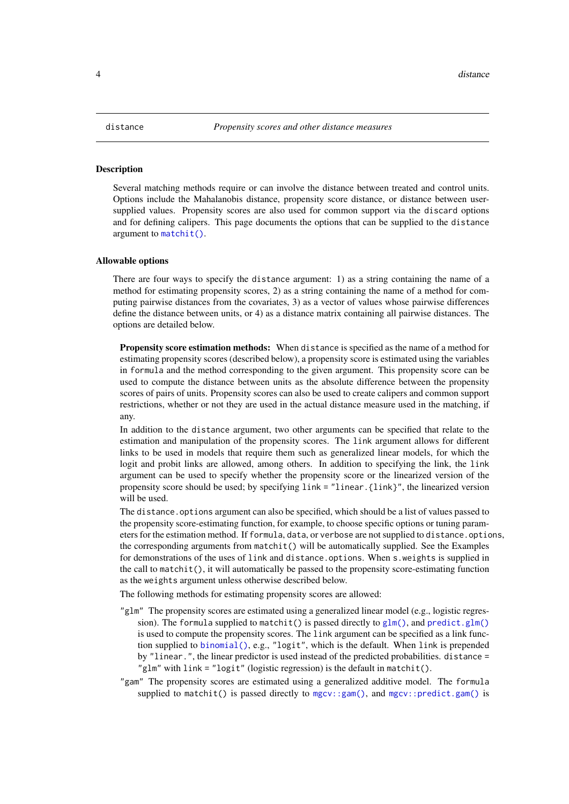#### <span id="page-3-1"></span><span id="page-3-0"></span>Description

Several matching methods require or can involve the distance between treated and control units. Options include the Mahalanobis distance, propensity score distance, or distance between usersupplied values. Propensity scores are also used for common support via the discard options and for defining calipers. This page documents the options that can be supplied to the distance argument to [matchit\(\)](#page-14-1).

#### Allowable options

There are four ways to specify the distance argument: 1) as a string containing the name of a method for estimating propensity scores, 2) as a string containing the name of a method for computing pairwise distances from the covariates, 3) as a vector of values whose pairwise differences define the distance between units, or 4) as a distance matrix containing all pairwise distances. The options are detailed below.

Propensity score estimation methods: When distance is specified as the name of a method for estimating propensity scores (described below), a propensity score is estimated using the variables in formula and the method corresponding to the given argument. This propensity score can be used to compute the distance between units as the absolute difference between the propensity scores of pairs of units. Propensity scores can also be used to create calipers and common support restrictions, whether or not they are used in the actual distance measure used in the matching, if any.

In addition to the distance argument, two other arguments can be specified that relate to the estimation and manipulation of the propensity scores. The link argument allows for different links to be used in models that require them such as generalized linear models, for which the logit and probit links are allowed, among others. In addition to specifying the link, the link argument can be used to specify whether the propensity score or the linearized version of the propensity score should be used; by specifying link = "linear.{link}", the linearized version will be used.

The distance, options argument can also be specified, which should be a list of values passed to the propensity score-estimating function, for example, to choose specific options or tuning parameters for the estimation method. If formula, data, or verbose are not supplied to distance.options, the corresponding arguments from matchit() will be automatically supplied. See the Examples for demonstrations of the uses of link and distance.options. When s.weights is supplied in the call to matchit(), it will automatically be passed to the propensity score-estimating function as the weights argument unless otherwise described below.

The following methods for estimating propensity scores are allowed:

- "glm" The propensity scores are estimated using a generalized linear model (e.g., logistic regression). The formula supplied to matchit() is passed directly to  $glm()$ , and [predict.glm\(\)](#page-0-0) is used to compute the propensity scores. The link argument can be specified as a link function supplied to [binomial\(\)](#page-0-0), e.g., "logit", which is the default. When link is prepended by "linear.", the linear predictor is used instead of the predicted probabilities. distance = "glm" with link = "logit" (logistic regression) is the default in matchit().
- "gam" The propensity scores are estimated using a generalized additive model. The formula supplied to matchit() is passed directly to [mgcv::gam\(\)](#page-0-0), and [mgcv::predict.gam\(\)](#page-0-0) is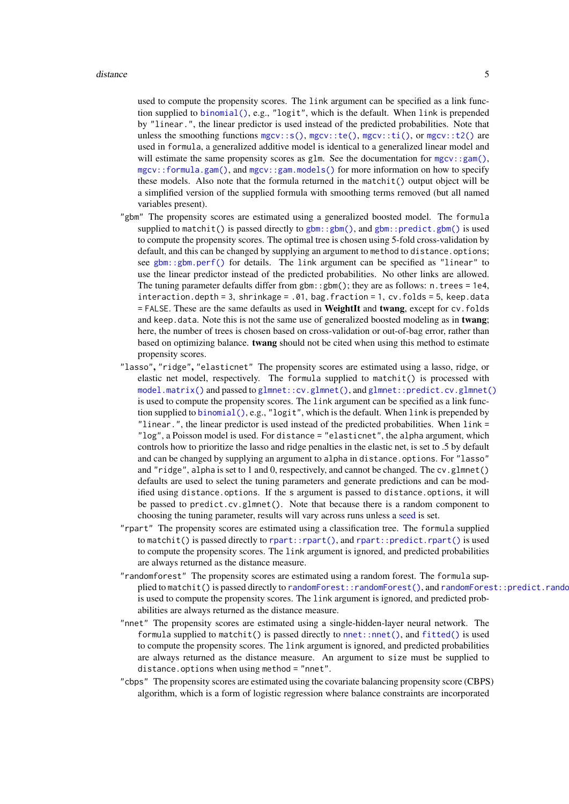<span id="page-4-0"></span>used to compute the propensity scores. The link argument can be specified as a link function supplied to [binomial\(\)](#page-0-0), e.g., "logit", which is the default. When link is prepended by "linear.", the linear predictor is used instead of the predicted probabilities. Note that unless the smoothing functions  $mgcv::s($ ),  $mgcv::te($ ),  $mgcv::ti($ ), or  $mgcv::t2()$  are used in formula, a generalized additive model is identical to a generalized linear model and will estimate the same propensity scores as glm. See the documentation for  $mgcv$ :  $\text{sgm}($ ), [mgcv::formula.gam\(\)](#page-0-0), and [mgcv::gam.models\(\)](#page-0-0) for more information on how to specify these models. Also note that the formula returned in the matchit() output object will be a simplified version of the supplied formula with smoothing terms removed (but all named variables present).

- "gbm" The propensity scores are estimated using a generalized boosted model. The formula supplied to matchit() is passed directly to  $gbm$ ;  $gbm()$ , and  $gbm$ :  $predict.gbm()$  is used to compute the propensity scores. The optimal tree is chosen using 5-fold cross-validation by default, and this can be changed by supplying an argument to method to distance.options; see [gbm::gbm.perf\(\)](#page-0-0) for details. The link argument can be specified as "linear" to use the linear predictor instead of the predicted probabilities. No other links are allowed. The tuning parameter defaults differ from gbm: :  $gbm$ (); they are as follows: n.trees = 1e4, interaction.depth = 3, shrinkage = .01, bag.fraction = 1, cv.folds = 5, keep.data = FALSE. These are the same defaults as used in WeightIt and twang, except for cv.folds and keep.data. Note this is not the same use of generalized boosted modeling as in twang; here, the number of trees is chosen based on cross-validation or out-of-bag error, rather than based on optimizing balance. twang should not be cited when using this method to estimate propensity scores.
- "lasso", "ridge", "elasticnet" The propensity scores are estimated using a lasso, ridge, or elastic net model, respectively. The formula supplied to matchit() is processed with [model.matrix\(\)](#page-0-0) and passed to [glmnet::cv.glmnet\(\)](#page-0-0), and [glmnet::predict.cv.glmnet\(\)](#page-0-0) is used to compute the propensity scores. The link argument can be specified as a link function supplied to [binomial\(\)](#page-0-0), e.g., "logit", which is the default. When link is prepended by "linear.", the linear predictor is used instead of the predicted probabilities. When link = "log", a Poisson model is used. For distance = "elasticnet", the alpha argument, which controls how to prioritize the lasso and ridge penalties in the elastic net, is set to .5 by default and can be changed by supplying an argument to alpha in distance.options. For "lasso" and "ridge", alpha is set to 1 and 0, respectively, and cannot be changed. The cv.glmnet() defaults are used to select the tuning parameters and generate predictions and can be modified using distance.options. If the s argument is passed to distance.options, it will be passed to predict.cv.glmnet(). Note that because there is a random component to choosing the tuning parameter, results will vary across runs unless a [seed](#page-0-0) is set.
- "rpart" The propensity scores are estimated using a classification tree. The formula supplied to matchit() is passed directly to [rpart::rpart\(\)](#page-0-0), and [rpart::predict.rpart\(\)](#page-0-0) is used to compute the propensity scores. The link argument is ignored, and predicted probabilities are always returned as the distance measure.
- "randomforest" The propensity scores are estimated using a random forest. The formula supplied to matchit() is passed directly to [randomForest::randomForest\(\)](#page-0-0), and randomForest::predict.rando is used to compute the propensity scores. The link argument is ignored, and predicted probabilities are always returned as the distance measure.
- "nnet" The propensity scores are estimated using a single-hidden-layer neural network. The formula supplied to matchit() is passed directly to [nnet::nnet\(\)](#page-0-0), and [fitted\(\)](#page-0-0) is used to compute the propensity scores. The link argument is ignored, and predicted probabilities are always returned as the distance measure. An argument to size must be supplied to distance.options when using method = "nnet".
- "cbps" The propensity scores are estimated using the covariate balancing propensity score (CBPS) algorithm, which is a form of logistic regression where balance constraints are incorporated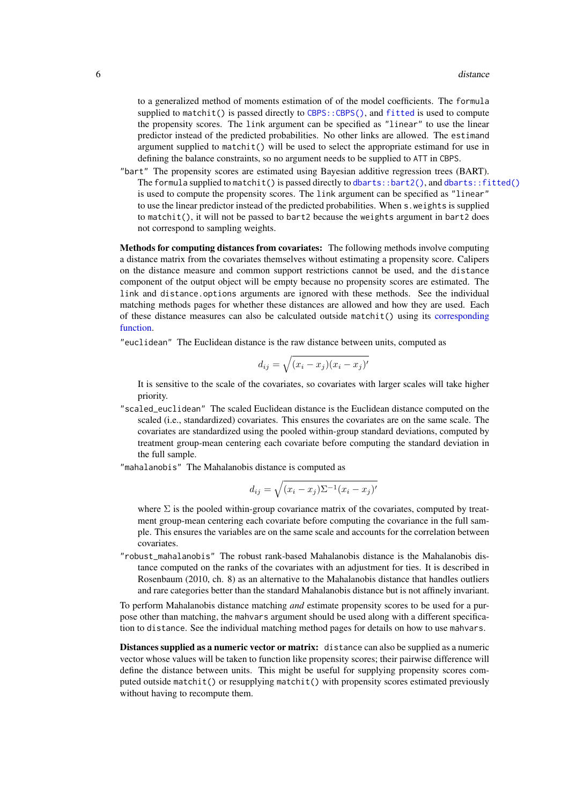<span id="page-5-0"></span>to a generalized method of moments estimation of of the model coefficients. The formula supplied to matchit() is passed directly to CBPS:: CBPS(), and [fitted](#page-0-0) is used to compute the propensity scores. The link argument can be specified as "linear" to use the linear predictor instead of the predicted probabilities. No other links are allowed. The estimand argument supplied to matchit() will be used to select the appropriate estimand for use in defining the balance constraints, so no argument needs to be supplied to ATT in CBPS.

"bart" The propensity scores are estimated using Bayesian additive regression trees (BART). The formula supplied to matchit() is passed directly to [dbarts::bart2\(\)](#page-0-0), and [dbarts::fitted\(\)](#page-0-0) is used to compute the propensity scores. The link argument can be specified as "linear" to use the linear predictor instead of the predicted probabilities. When s.weights is supplied to matchit(), it will not be passed to bart2 because the weights argument in bart2 does not correspond to sampling weights.

Methods for computing distances from covariates: The following methods involve computing a distance matrix from the covariates themselves without estimating a propensity score. Calipers on the distance measure and common support restrictions cannot be used, and the distance component of the output object will be empty because no propensity scores are estimated. The link and distance.options arguments are ignored with these methods. See the individual matching methods pages for whether these distances are allowed and how they are used. Each of these distance measures can also be calculated outside matchit() using its [corresponding](#page-7-1) [function.](#page-7-1)

"euclidean" The Euclidean distance is the raw distance between units, computed as

$$
d_{ij} = \sqrt{(x_i - x_j)(x_i - x_j)'}
$$

It is sensitive to the scale of the covariates, so covariates with larger scales will take higher priority.

"scaled\_euclidean" The scaled Euclidean distance is the Euclidean distance computed on the scaled (i.e., standardized) covariates. This ensures the covariates are on the same scale. The covariates are standardized using the pooled within-group standard deviations, computed by treatment group-mean centering each covariate before computing the standard deviation in the full sample.

"mahalanobis" The Mahalanobis distance is computed as

$$
d_{ij} = \sqrt{(x_i - x_j)\Sigma^{-1}(x_i - x_j)'}
$$

where  $\Sigma$  is the pooled within-group covariance matrix of the covariates, computed by treatment group-mean centering each covariate before computing the covariance in the full sample. This ensures the variables are on the same scale and accounts for the correlation between covariates.

"robust\_mahalanobis" The robust rank-based Mahalanobis distance is the Mahalanobis distance computed on the ranks of the covariates with an adjustment for ties. It is described in Rosenbaum (2010, ch. 8) as an alternative to the Mahalanobis distance that handles outliers and rare categories better than the standard Mahalanobis distance but is not affinely invariant.

To perform Mahalanobis distance matching *and* estimate propensity scores to be used for a purpose other than matching, the mahvars argument should be used along with a different specification to distance. See the individual matching method pages for details on how to use mahvars.

Distances supplied as a numeric vector or matrix: distance can also be supplied as a numeric vector whose values will be taken to function like propensity scores; their pairwise difference will define the distance between units. This might be useful for supplying propensity scores computed outside matchit() or resupplying matchit() with propensity scores estimated previously without having to recompute them.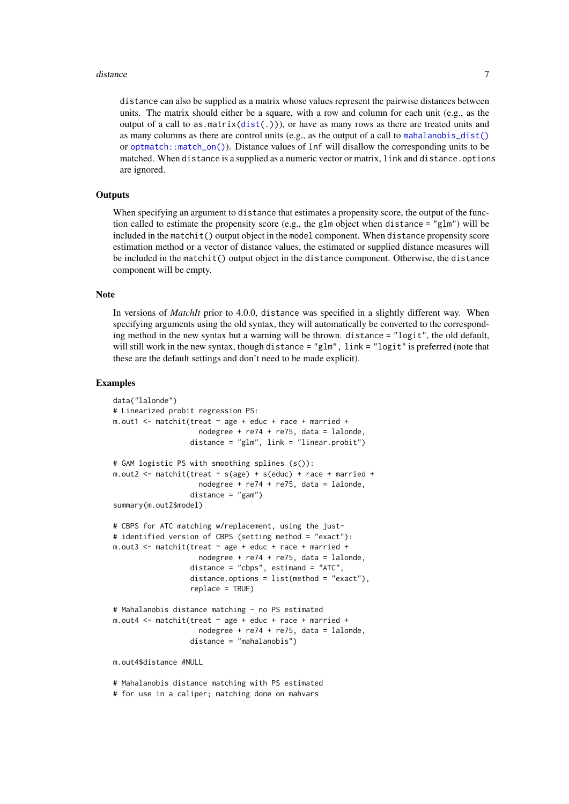#### <span id="page-6-0"></span>distance 7 and 3 and 3 and 3 and 3 and 3 and 3 and 3 and 3 and 3 and 3 and 3 and 3 and 3 and 3 and 3 and 3 and 3 and 3 and 3 and 3 and 3 and 3 and 3 and 3 and 3 and 3 and 3 and 3 and 3 and 3 and 3 and 3 and 3 and 3 and 3 a

distance can also be supplied as a matrix whose values represent the pairwise distances between units. The matrix should either be a square, with a row and column for each unit (e.g., as the output of a call to as.matrix( $dist(.)$ )), or have as many rows as there are treated units and as many columns as there are control units (e.g., as the output of a call to [mahalanobis\\_dist\(\)](#page-7-2) or [optmatch::match\\_on\(\)](#page-0-0)). Distance values of Inf will disallow the corresponding units to be matched. When distance is a supplied as a numeric vector or matrix, link and distance.options are ignored.

#### **Outputs**

When specifying an argument to distance that estimates a propensity score, the output of the function called to estimate the propensity score (e.g., the glm object when distance = "glm") will be included in the matchit() output object in the model component. When distance propensity score estimation method or a vector of distance values, the estimated or supplied distance measures will be included in the matchit() output object in the distance component. Otherwise, the distance component will be empty.

#### Note

In versions of *MatchIt* prior to 4.0.0, distance was specified in a slightly different way. When specifying arguments using the old syntax, they will automatically be converted to the corresponding method in the new syntax but a warning will be thrown. distance = "logit", the old default, will still work in the new syntax, though distance = "glm", link = "logit" is preferred (note that these are the default settings and don't need to be made explicit).

#### Examples

```
data("lalonde")
# Linearized probit regression PS:
m.out1 <- matchit(treat ~ age + educ + race + married +
                    nodegree + re74 + re75, data = lalonde,
                  distance = "glm", link = "linear.probit")
# GAM logistic PS with smoothing splines (s()):
m.out2 \leq matchit(treat \sim s(age) + s(educ) + race + married +nodegree + re74 + re75, data = lalonde,
                  distance = "gam")
summary(m.out2$model)
# CBPS for ATC matching w/replacement, using the just-
# identified version of CBPS (setting method = "exact"):
m.out3 <- matchit(treat ~ age + educ + race + married +
                    nodegree + re74 + re75, data = lalonde,
                  distance = "cbps", estimand = "ATC",
                  distance.options = list(method = "exact"),
                  replace = TRUE)
# Mahalanobis distance matching - no PS estimated
m.out4 <- matchit(treat ~ age + educ + race + married +
                    nodegree + re74 + re75, data = lalonde,
                  distance = "mahalanobis")
m.out4$distance #NULL
# Mahalanobis distance matching with PS estimated
# for use in a caliper; matching done on mahvars
```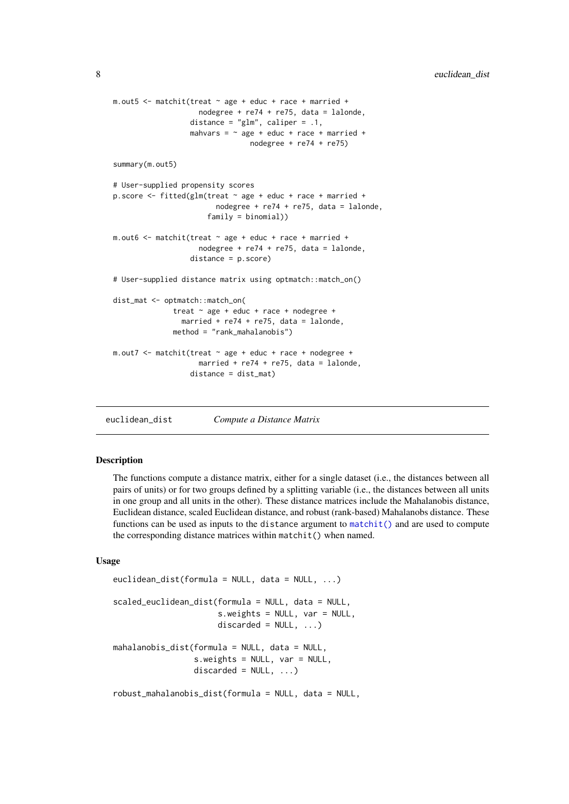```
m.out5 \leq matchit(treat \sim age + educ + race + married +
                    nodegree + re74 + re75, data = lalonde,
                  distance = "glm", caliper = .1,
                  mahvars = \sim age + educ + race + married +
                                nodegree + re74 + re75)
summary(m.out5)
# User-supplied propensity scores
p.score \le fitted(glm(treat \sim age + educ + race + married +
                        nodegree + re74 + re75, data = lalonde,
                      family = binomial))
m.out6 <- matchit(treat ~ age + educ + race + married +
                    nodegree + re74 + re75, data = lalonde,
                  distance = p.score)
# User-supplied distance matrix using optmatch::match_on()
dist_mat <- optmatch::match_on(
              treat ~ age + educ + race + nodegree +
                married + re74 + re75, data = lalonde,
              method = "rank_mahalanobis")
m.out7 <- matchit(treat ~ age + educ + race + nodegree +
                    married + re74 + re75, data = lalonde,
                  distance = dist_mat)
```
<span id="page-7-1"></span>euclidean\_dist *Compute a Distance Matrix*

#### <span id="page-7-2"></span>Description

The functions compute a distance matrix, either for a single dataset (i.e., the distances between all pairs of units) or for two groups defined by a splitting variable (i.e., the distances between all units in one group and all units in the other). These distance matrices include the Mahalanobis distance, Euclidean distance, scaled Euclidean distance, and robust (rank-based) Mahalanobs distance. These functions can be used as inputs to the distance argument to  $\text{matchit}()$  and are used to compute the corresponding distance matrices within matchit() when named.

# Usage

```
euclidean_dist(formula = NULL, data = NULL, ...)
scaled_euclidean_dist(formula = NULL, data = NULL,
                      s.weights = NULL, var = NULL,
                      discarded = NULL, ...,)mahalanobis_dist(formula = NULL, data = NULL,
                 s.weights = NULL, var = NULL,
                 discarded = NULL, ...)robust_mahalanobis_dist(formula = NULL, data = NULL,
```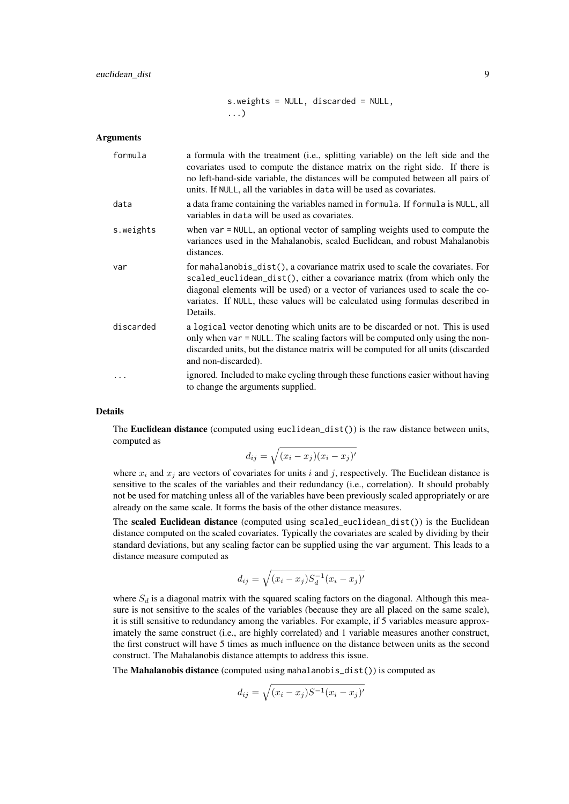#### euclidean\_dist 9

s.weights = NULL, discarded = NULL, ...)

#### Arguments

| formula   | a formula with the treatment (i.e., splitting variable) on the left side and the<br>covariates used to compute the distance matrix on the right side. If there is<br>no left-hand-side variable, the distances will be computed between all pairs of<br>units. If NULL, all the variables in data will be used as covariates.             |
|-----------|-------------------------------------------------------------------------------------------------------------------------------------------------------------------------------------------------------------------------------------------------------------------------------------------------------------------------------------------|
| data      | a data frame containing the variables named in formula. If formula is NULL, all<br>variables in data will be used as covariates.                                                                                                                                                                                                          |
| s.weights | when var = NULL, an optional vector of sampling weights used to compute the<br>variances used in the Mahalanobis, scaled Euclidean, and robust Mahalanobis<br>distances.                                                                                                                                                                  |
| var       | for mahalanobis_dist(), a covariance matrix used to scale the covariates. For<br>scaled_euclidean_dist(), either a covariance matrix (from which only the<br>diagonal elements will be used) or a vector of variances used to scale the co-<br>variates. If NULL, these values will be calculated using formulas described in<br>Details. |
| discarded | a logical vector denoting which units are to be discarded or not. This is used<br>only when var = NULL. The scaling factors will be computed only using the non-<br>discarded units, but the distance matrix will be computed for all units (discarded<br>and non-discarded).                                                             |
|           | ignored. Included to make cycling through these functions easier without having<br>to change the arguments supplied.                                                                                                                                                                                                                      |

### Details

The **Euclidean distance** (computed using euclidean\_dist()) is the raw distance between units, computed as

$$
d_{ij} = \sqrt{(x_i - x_j)(x_i - x_j)'}
$$

where  $x_i$  and  $x_j$  are vectors of covariates for units i and j, respectively. The Euclidean distance is sensitive to the scales of the variables and their redundancy (i.e., correlation). It should probably not be used for matching unless all of the variables have been previously scaled appropriately or are already on the same scale. It forms the basis of the other distance measures.

The scaled Euclidean distance (computed using scaled\_euclidean\_dist()) is the Euclidean distance computed on the scaled covariates. Typically the covariates are scaled by dividing by their standard deviations, but any scaling factor can be supplied using the var argument. This leads to a distance measure computed as

$$
d_{ij} = \sqrt{(x_i - x_j)S_d^{-1}(x_i - x_j)'}
$$

where  $S_d$  is a diagonal matrix with the squared scaling factors on the diagonal. Although this measure is not sensitive to the scales of the variables (because they are all placed on the same scale), it is still sensitive to redundancy among the variables. For example, if 5 variables measure approximately the same construct (i.e., are highly correlated) and 1 variable measures another construct, the first construct will have 5 times as much influence on the distance between units as the second construct. The Mahalanobis distance attempts to address this issue.

The Mahalanobis distance (computed using mahalanobis\_dist()) is computed as

$$
d_{ij} = \sqrt{(x_i - x_j)S^{-1}(x_i - x_j)'}
$$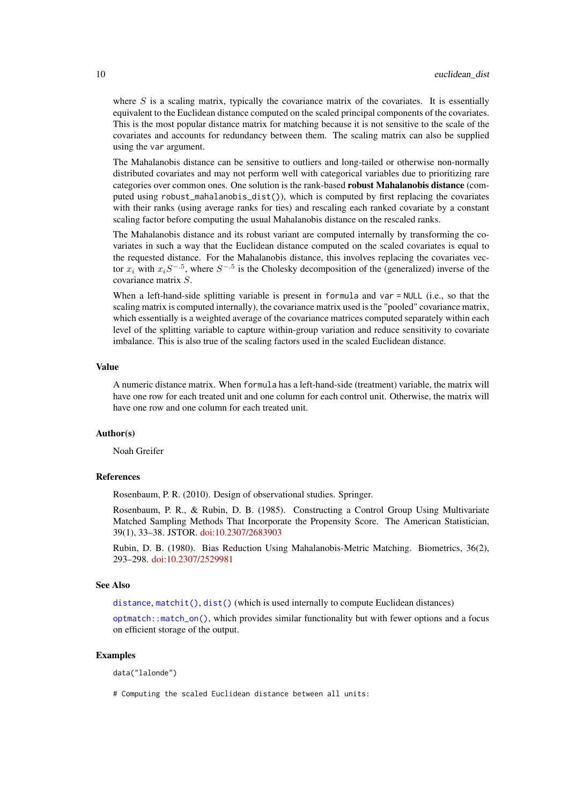where  $S$  is a scaling matrix, typically the covariance matrix of the covariates. It is essentially equivalent to the Euclidean distance computed on the scaled principal components of the covariates. This is the most popular distance matrix for matching because it is not sensitive to the scale of the covariates and accounts for redundancy between them. The scaling matrix can also be supplied using the var argument.

The Mahalanobis distance can be sensitive to outliers and long-tailed or otherwise non-normally distributed covariates and may not perform well with categorical variables due to prioritizing rare categories over common ones. One solution is the rank-based robust Mahalanobis distance (computed using robust\_mahalanobis\_dist()), which is computed by first replacing the covariates with their ranks (using average ranks for ties) and rescaling each ranked covariate by a constant scaling factor before computing the usual Mahalanobis distance on the rescaled ranks.

The Mahalanobis distance and its robust variant are computed internally by transforming the covariates in such a way that the Euclidean distance computed on the scaled covariates is equal to the requested distance. For the Mahalanobis distance, this involves replacing the covariates vector  $x_i$  with  $x_iS^{-.5}$ , where  $S^{-.5}$  is the Cholesky decomposition of the (generalized) inverse of the covariance matrix S.

When a left-hand-side splitting variable is present in formula and var = NULL (i.e., so that the scaling matrix is computed internally), the covariance matrix used is the "pooled" covariance matrix, which essentially is a weighted average of the covariance matrices computed separately within each level of the splitting variable to capture within-group variation and reduce sensitivity to covariate imbalance. This is also true of the scaling factors used in the scaled Euclidean distance.

#### Value

A numeric distance matrix. When formula has a left-hand-side (treatment) variable, the matrix will have one row for each treated unit and one column for each control unit. Otherwise, the matrix will have one row and one column for each treated unit.

#### Author(s)

Noah Greifer

#### References

Rosenbaum, P. R. (2010). Design of observational studies. Springer.

Rosenbaum, P. R., & Rubin, D. B. (1985). Constructing a Control Group Using Multivariate Matched Sampling Methods That Incorporate the Propensity Score. The American Statistician, 39(1), 33–38. JSTOR. [doi:10.2307/2683903](https://doi.org/10.2307/2683903)

Rubin, D. B. (1980). Bias Reduction Using Mahalanobis-Metric Matching. Biometrics, 36(2), 293–298. [doi:10.2307/2529981](https://doi.org/10.2307/2529981)

# See Also

[distance](#page-3-1),  $matchit()$ ,  $dist()$  (which is used internally to compute Euclidean distances)

[optmatch::match\\_on\(\)](#page-0-0), which provides similar functionality but with fewer options and a focus on efficient storage of the output.

#### Examples

data("lalonde")

# Computing the scaled Euclidean distance between all units:

<span id="page-9-0"></span>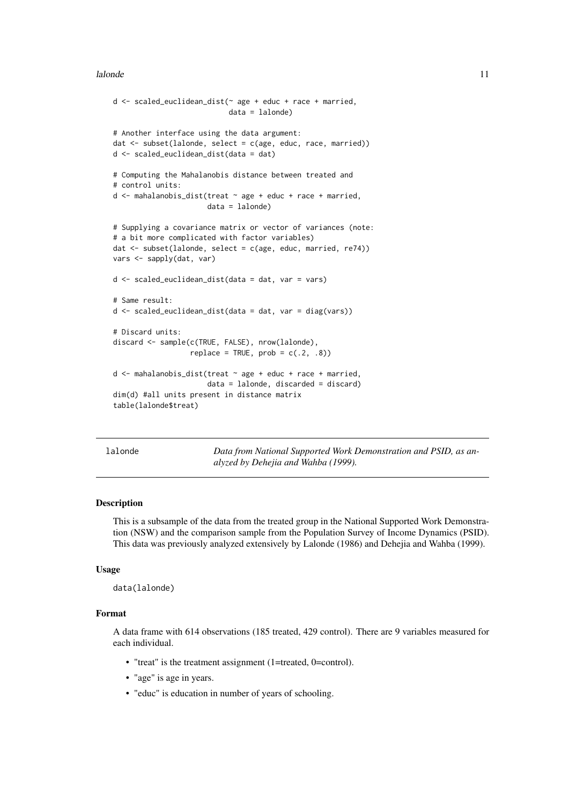#### <span id="page-10-0"></span>lalonde to the contract of the contract of the contract of the contract of the contract of the contract of the contract of the contract of the contract of the contract of the contract of the contract of the contract of the

```
d <- scaled_euclidean_dist(~ age + educ + race + married,
                           data = lalonde)
# Another interface using the data argument:
dat <- subset(lalonde, select = c(age, educ, race, married))
d <- scaled_euclidean_dist(data = dat)
# Computing the Mahalanobis distance between treated and
# control units:
d \leq mahalanobis dist(treat \sim age + educ + race + married,
                      data = lalonde)
# Supplying a covariance matrix or vector of variances (note:
# a bit more complicated with factor variables)
dat \leq subset(lalonde, select = c(age, educ, married, re74))
vars <- sapply(dat, var)
d \leq scaled euclidean dist(data = dat, var = vars)
# Same result:
d \leq scaled_euclidean_dist(data = dat, var = diag(vars))
# Discard units:
discard <- sample(c(TRUE, FALSE), nrow(lalonde),
                  replace = TRUE, prob = c(.2, .8))d \leq mahalanobis_dist(treat \sim age + educ + race + married,
                      data = lalonde, discarded = discard)
dim(d) #all units present in distance matrix
table(lalonde$treat)
```
lalonde *Data from National Supported Work Demonstration and PSID, as analyzed by Dehejia and Wahba (1999).*

#### Description

This is a subsample of the data from the treated group in the National Supported Work Demonstration (NSW) and the comparison sample from the Population Survey of Income Dynamics (PSID). This data was previously analyzed extensively by Lalonde (1986) and Dehejia and Wahba (1999).

#### Usage

```
data(lalonde)
```
#### Format

A data frame with 614 observations (185 treated, 429 control). There are 9 variables measured for each individual.

- "treat" is the treatment assignment (1=treated, 0=control).
- "age" is age in years.
- "educ" is education in number of years of schooling.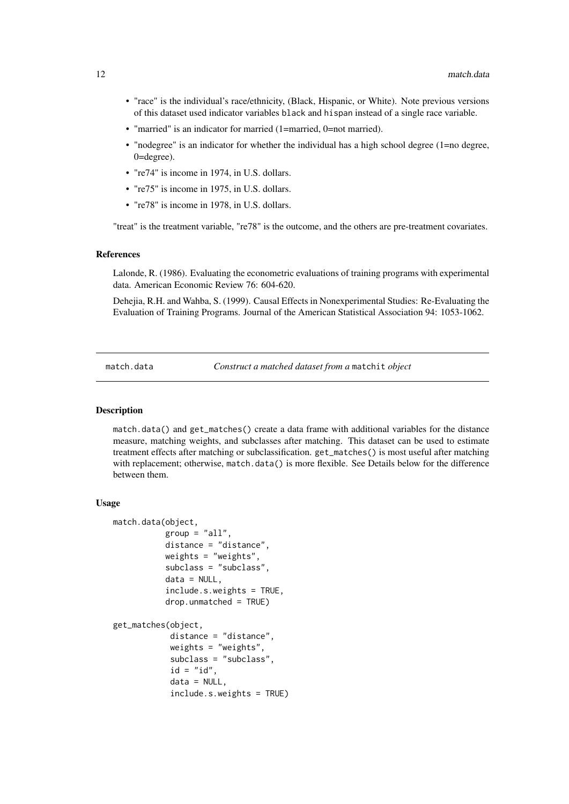- <span id="page-11-0"></span>• "race" is the individual's race/ethnicity, (Black, Hispanic, or White). Note previous versions of this dataset used indicator variables black and hispan instead of a single race variable.
- "married" is an indicator for married (1=married, 0=not married).
- "nodegree" is an indicator for whether the individual has a high school degree (1=no degree, 0=degree).
- "re74" is income in 1974, in U.S. dollars.
- "re75" is income in 1975, in U.S. dollars.
- "re78" is income in 1978, in U.S. dollars.

"treat" is the treatment variable, "re78" is the outcome, and the others are pre-treatment covariates.

#### References

Lalonde, R. (1986). Evaluating the econometric evaluations of training programs with experimental data. American Economic Review 76: 604-620.

Dehejia, R.H. and Wahba, S. (1999). Causal Effects in Nonexperimental Studies: Re-Evaluating the Evaluation of Training Programs. Journal of the American Statistical Association 94: 1053-1062.

<span id="page-11-1"></span>match.data *Construct a matched dataset from a* matchit *object*

#### <span id="page-11-2"></span>Description

match.data() and get\_matches() create a data frame with additional variables for the distance measure, matching weights, and subclasses after matching. This dataset can be used to estimate treatment effects after matching or subclassification. get\_matches() is most useful after matching with replacement; otherwise, match.data() is more flexible. See Details below for the difference between them.

#### Usage

```
match.data(object,
           group = "all".distance = "distance",
           weights = "weights",
           subclass = "subclass",
           data = NULL,include.s.weights = TRUE,
           drop.unmatched = TRUE)
get_matches(object,
            distance = "distance",
            weights = "weights",
            subclass = "subclass",
            id = "id",data = NULL,include.s.weights = TRUE)
```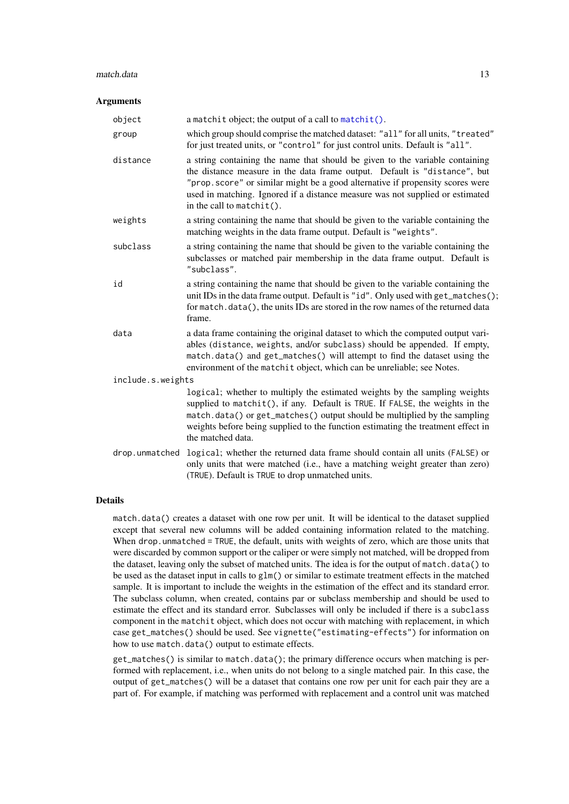#### <span id="page-12-0"></span>match.data 13

#### Arguments

| object            | a matchit object; the output of a call to matchit().                                                                                                                                                                                                                                                                                                         |  |
|-------------------|--------------------------------------------------------------------------------------------------------------------------------------------------------------------------------------------------------------------------------------------------------------------------------------------------------------------------------------------------------------|--|
| group             | which group should comprise the matched dataset: "all" for all units, "treated"<br>for just treated units, or "control" for just control units. Default is "all".                                                                                                                                                                                            |  |
| distance          | a string containing the name that should be given to the variable containing<br>the distance measure in the data frame output. Default is "distance", but<br>"prop. score" or similar might be a good alternative if propensity scores were<br>used in matching. Ignored if a distance measure was not supplied or estimated<br>in the call to $matchit()$ . |  |
| weights           | a string containing the name that should be given to the variable containing the<br>matching weights in the data frame output. Default is "weights".                                                                                                                                                                                                         |  |
| subclass          | a string containing the name that should be given to the variable containing the<br>subclasses or matched pair membership in the data frame output. Default is<br>"subclass".                                                                                                                                                                                |  |
| id                | a string containing the name that should be given to the variable containing the<br>unit IDs in the data frame output. Default is "id". Only used with get_matches();<br>for match.data(), the units IDs are stored in the row names of the returned data<br>frame.                                                                                          |  |
| data              | a data frame containing the original dataset to which the computed output vari-<br>ables (distance, weights, and/or subclass) should be appended. If empty,<br>match.data() and get_matches() will attempt to find the dataset using the<br>environment of the matchit object, which can be unreliable; see Notes.                                           |  |
| include.s.weights |                                                                                                                                                                                                                                                                                                                                                              |  |
|                   | logical; whether to multiply the estimated weights by the sampling weights<br>supplied to matchit(), if any. Default is TRUE. If FALSE, the weights in the<br>match.data() or get_matches() output should be multiplied by the sampling<br>weights before being supplied to the function estimating the treatment effect in<br>the matched data.             |  |
| drop.unmatched    | logical; whether the returned data frame should contain all units (FALSE) or<br>only units that were matched (i.e., have a matching weight greater than zero)<br>(TRUE). Default is TRUE to drop unmatched units.                                                                                                                                            |  |

#### Details

match.data() creates a dataset with one row per unit. It will be identical to the dataset supplied except that several new columns will be added containing information related to the matching. When drop.unmatched = TRUE, the default, units with weights of zero, which are those units that were discarded by common support or the caliper or were simply not matched, will be dropped from the dataset, leaving only the subset of matched units. The idea is for the output of match.data() to be used as the dataset input in calls to glm() or similar to estimate treatment effects in the matched sample. It is important to include the weights in the estimation of the effect and its standard error. The subclass column, when created, contains par or subclass membership and should be used to estimate the effect and its standard error. Subclasses will only be included if there is a subclass component in the matchit object, which does not occur with matching with replacement, in which case get\_matches() should be used. See vignette("estimating-effects") for information on how to use match.data() output to estimate effects.

get\_matches() is similar to match.data(); the primary difference occurs when matching is performed with replacement, i.e., when units do not belong to a single matched pair. In this case, the output of get\_matches() will be a dataset that contains one row per unit for each pair they are a part of. For example, if matching was performed with replacement and a control unit was matched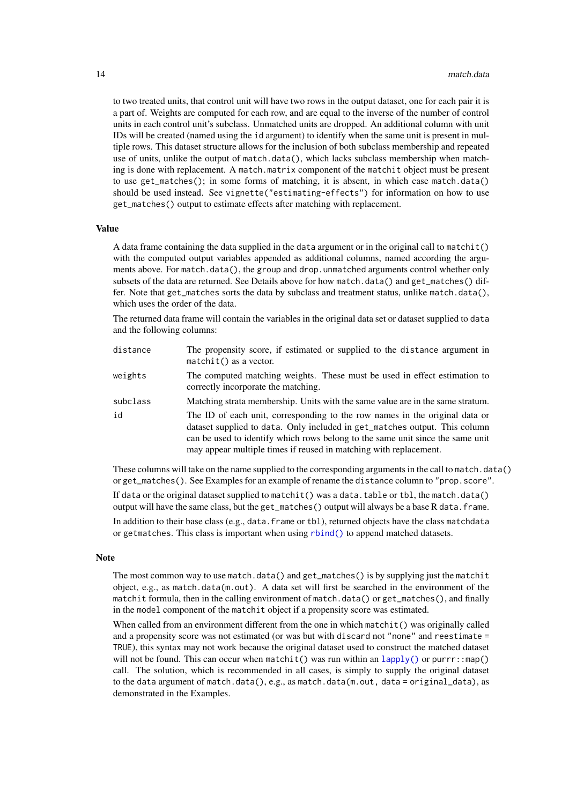<span id="page-13-0"></span>to two treated units, that control unit will have two rows in the output dataset, one for each pair it is a part of. Weights are computed for each row, and are equal to the inverse of the number of control units in each control unit's subclass. Unmatched units are dropped. An additional column with unit IDs will be created (named using the id argument) to identify when the same unit is present in multiple rows. This dataset structure allows for the inclusion of both subclass membership and repeated use of units, unlike the output of match.data(), which lacks subclass membership when matching is done with replacement. A match.matrix component of the matchit object must be present to use get\_matches(); in some forms of matching, it is absent, in which case match.data() should be used instead. See vignette("estimating-effects") for information on how to use get\_matches() output to estimate effects after matching with replacement.

#### Value

A data frame containing the data supplied in the data argument or in the original call to matchit() with the computed output variables appended as additional columns, named according the arguments above. For match.data(), the group and drop.unmatched arguments control whether only subsets of the data are returned. See Details above for how match.data() and get\_matches() differ. Note that get\_matches sorts the data by subclass and treatment status, unlike match.data(), which uses the order of the data.

The returned data frame will contain the variables in the original data set or dataset supplied to data and the following columns:

| distance | The propensity score, if estimated or supplied to the distance argument in<br>$matchit()$ as a vector.                                                                                                                                                                                                           |
|----------|------------------------------------------------------------------------------------------------------------------------------------------------------------------------------------------------------------------------------------------------------------------------------------------------------------------|
| weights  | The computed matching weights. These must be used in effect estimation to<br>correctly incorporate the matching.                                                                                                                                                                                                 |
| subclass | Matching strata membership. Units with the same value are in the same stratum.                                                                                                                                                                                                                                   |
| id       | The ID of each unit, corresponding to the row names in the original data or<br>dataset supplied to data. Only included in get_matches output. This column<br>can be used to identify which rows belong to the same unit since the same unit<br>may appear multiple times if reused in matching with replacement. |

These columns will take on the name supplied to the corresponding arguments in the call to match.data() or get\_matches(). See Examples for an example of rename the distance column to "prop.score".

If data or the original dataset supplied to matchit() was a data.table or tbl, the match.data() output will have the same class, but the get\_matches() output will always be a base R data.frame.

In addition to their base class (e.g., data. frame or tbl), returned objects have the class matchdata or getmatches. This class is important when using [rbind\(\)](#page-54-1) to append matched datasets.

#### Note

The most common way to use match.data() and get\_matches() is by supplying just the matchit object, e.g., as match.data(m.out). A data set will first be searched in the environment of the matchit formula, then in the calling environment of match.data() or get\_matches(), and finally in the model component of the matchit object if a propensity score was estimated.

When called from an environment different from the one in which matchit() was originally called and a propensity score was not estimated (or was but with discard not "none" and reestimate = TRUE), this syntax may not work because the original dataset used to construct the matched dataset will not be found. This can occur when matchit() was run within an  $\text{lapply}()$  or purrr::map() call. The solution, which is recommended in all cases, is simply to supply the original dataset to the data argument of match.data(), e.g., as match.data(m.out, data = original\_data), as demonstrated in the Examples.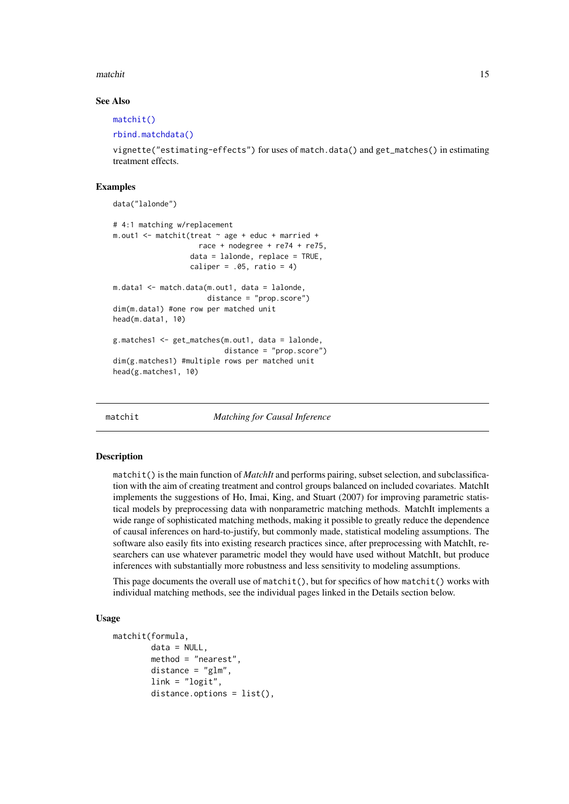#### <span id="page-14-0"></span>matchit 15

#### See Also

[matchit\(\)](#page-14-1)

```
rbind.matchdata()
```
vignette("estimating-effects") for uses of match.data() and get\_matches() in estimating treatment effects.

#### Examples

```
data("lalonde")
# 4:1 matching w/replacement
m.out1 <- matchit(treat ~ age + educ + married +
                    race + nodegree + re74 + re75,
                  data = lalonde, replace = TRUE,
                  caliper = .05, ratio = 4)
m.data1 <- match.data(m.out1, data = lalonde,
                      distance = "prop.score")
dim(m.data1) #one row per matched unit
head(m.data1, 10)
g.matches1 <- get_matches(m.out1, data = lalonde,
                          distance = "prop.score")
dim(g.matches1) #multiple rows per matched unit
head(g.matches1, 10)
```
<span id="page-14-1"></span>

matchit *Matching for Causal Inference*

#### Description

matchit() is the main function of *MatchIt* and performs pairing, subset selection, and subclassification with the aim of creating treatment and control groups balanced on included covariates. MatchIt implements the suggestions of Ho, Imai, King, and Stuart (2007) for improving parametric statistical models by preprocessing data with nonparametric matching methods. MatchIt implements a wide range of sophisticated matching methods, making it possible to greatly reduce the dependence of causal inferences on hard-to-justify, but commonly made, statistical modeling assumptions. The software also easily fits into existing research practices since, after preprocessing with MatchIt, researchers can use whatever parametric model they would have used without MatchIt, but produce inferences with substantially more robustness and less sensitivity to modeling assumptions.

This page documents the overall use of matchit(), but for specifics of how matchit() works with individual matching methods, see the individual pages linked in the Details section below.

#### Usage

```
matchit(formula,
        data = NULL,
        method = "nearest",
        distance = "glm",link = "logit",distance.options = list(),
```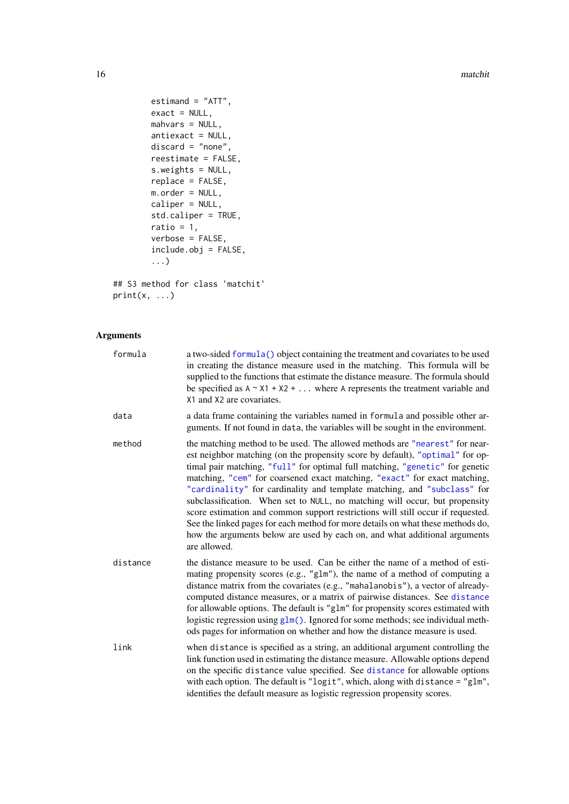16 matching and the matching of the matching of the matching of the matching of the matching of the matching of the matching of the matching of the matching of the matching of the matching of the matching of the matching o

```
estimand = "ATT",
        exact = NULL,mahvars = NULL,
        antiexact = NULL,
        discard = "none",reestimate = FALSE,
        s.weights = NULL,
        replace = FALSE,
        m.order = NULL,
        caliper = NULL,
        std.caliper = TRUE,
        ratio = 1,
        verbose = FALSE,
        include.obj = FALSE,
        ...)
## S3 method for class 'matchit'
```

```
print(x, \ldots)
```
# Arguments

| formula  | a two-sided formula() object containing the treatment and covariates to be used<br>in creating the distance measure used in the matching. This formula will be<br>supplied to the functions that estimate the distance measure. The formula should<br>be specified as $A \sim X1 + X2 + $ where A represents the treatment variable and<br>X1 and X2 are covariates.                                                                                                                                                                                                                                                                                                                                                                                    |
|----------|---------------------------------------------------------------------------------------------------------------------------------------------------------------------------------------------------------------------------------------------------------------------------------------------------------------------------------------------------------------------------------------------------------------------------------------------------------------------------------------------------------------------------------------------------------------------------------------------------------------------------------------------------------------------------------------------------------------------------------------------------------|
| data     | a data frame containing the variables named in formula and possible other ar-<br>guments. If not found in data, the variables will be sought in the environment.                                                                                                                                                                                                                                                                                                                                                                                                                                                                                                                                                                                        |
| method   | the matching method to be used. The allowed methods are "nearest" for near-<br>est neighbor matching (on the propensity score by default), "optimal" for op-<br>timal pair matching, "full" for optimal full matching, "genetic" for genetic<br>matching, "cem" for coarsened exact matching, "exact" for exact matching,<br>"cardinality" for cardinality and template matching, and "subclass" for<br>subclassification. When set to NULL, no matching will occur, but propensity<br>score estimation and common support restrictions will still occur if requested.<br>See the linked pages for each method for more details on what these methods do,<br>how the arguments below are used by each on, and what additional arguments<br>are allowed. |
| distance | the distance measure to be used. Can be either the name of a method of esti-<br>mating propensity scores (e.g., "glm"), the name of a method of computing a<br>distance matrix from the covariates (e.g., "mahalanobis"), a vector of already-<br>computed distance measures, or a matrix of pairwise distances. See distance<br>for allowable options. The default is "g1m" for propensity scores estimated with<br>logistic regression using $g1m()$ . Ignored for some methods; see individual meth-<br>ods pages for information on whether and how the distance measure is used.                                                                                                                                                                   |
| link     | when distance is specified as a string, an additional argument controlling the<br>link function used in estimating the distance measure. Allowable options depend<br>on the specific distance value specified. See distance for allowable options<br>with each option. The default is "logit", which, along with distance = "glm",<br>identifies the default measure as logistic regression propensity scores.                                                                                                                                                                                                                                                                                                                                          |

<span id="page-15-0"></span>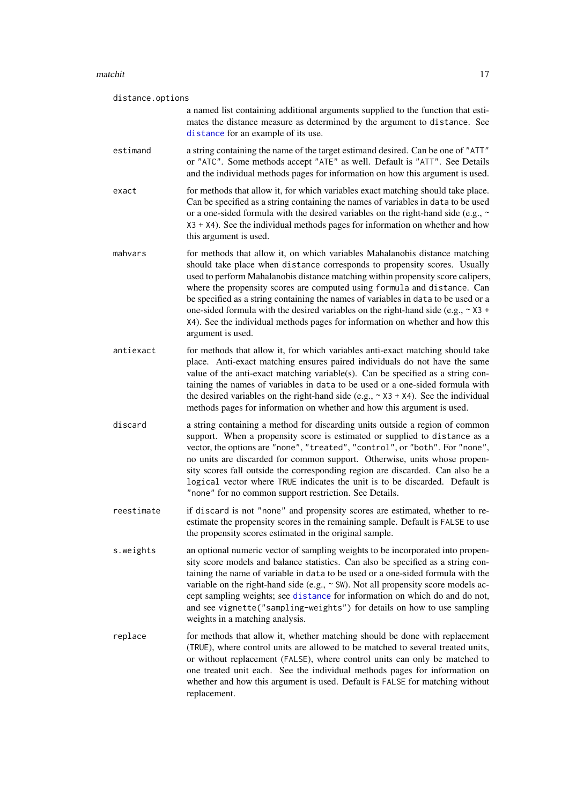<span id="page-16-0"></span>

| distance.options |                                                                                                                                                                                                                                                                                                                                                                                                                                                                                                                                                                                                               |  |
|------------------|---------------------------------------------------------------------------------------------------------------------------------------------------------------------------------------------------------------------------------------------------------------------------------------------------------------------------------------------------------------------------------------------------------------------------------------------------------------------------------------------------------------------------------------------------------------------------------------------------------------|--|
|                  | a named list containing additional arguments supplied to the function that esti-<br>mates the distance measure as determined by the argument to distance. See<br>distance for an example of its use.                                                                                                                                                                                                                                                                                                                                                                                                          |  |
| estimand         | a string containing the name of the target estimand desired. Can be one of "ATT"<br>or "ATC". Some methods accept "ATE" as well. Default is "ATT". See Details<br>and the individual methods pages for information on how this argument is used.                                                                                                                                                                                                                                                                                                                                                              |  |
| exact            | for methods that allow it, for which variables exact matching should take place.<br>Can be specified as a string containing the names of variables in data to be used<br>or a one-sided formula with the desired variables on the right-hand side (e.g., $\sim$<br>$X3 + X4$ ). See the individual methods pages for information on whether and how<br>this argument is used.                                                                                                                                                                                                                                 |  |
| mahvars          | for methods that allow it, on which variables Mahalanobis distance matching<br>should take place when distance corresponds to propensity scores. Usually<br>used to perform Mahalanobis distance matching within propensity score calipers,<br>where the propensity scores are computed using formula and distance. Can<br>be specified as a string containing the names of variables in data to be used or a<br>one-sided formula with the desired variables on the right-hand side (e.g., $\sim$ X3 +<br>X4). See the individual methods pages for information on whether and how this<br>argument is used. |  |
| antiexact        | for methods that allow it, for which variables anti-exact matching should take<br>place. Anti-exact matching ensures paired individuals do not have the same<br>value of the anti-exact matching variable(s). Can be specified as a string con-<br>taining the names of variables in data to be used or a one-sided formula with<br>the desired variables on the right-hand side (e.g., $\sim$ X3 + X4). See the individual<br>methods pages for information on whether and how this argument is used.                                                                                                        |  |
| discard          | a string containing a method for discarding units outside a region of common<br>support. When a propensity score is estimated or supplied to distance as a<br>vector, the options are "none", "treated", "control", or "both". For "none",<br>no units are discarded for common support. Otherwise, units whose propen-<br>sity scores fall outside the corresponding region are discarded. Can also be a<br>logical vector where TRUE indicates the unit is to be discarded. Default is<br>"none" for no common support restriction. See Details.                                                            |  |
| reestimate       | if discard is not "none" and propensity scores are estimated, whether to re-<br>estimate the propensity scores in the remaining sample. Default is FALSE to use<br>the propensity scores estimated in the original sample.                                                                                                                                                                                                                                                                                                                                                                                    |  |
| s.weights        | an optional numeric vector of sampling weights to be incorporated into propen-<br>sity score models and balance statistics. Can also be specified as a string con-<br>taining the name of variable in data to be used or a one-sided formula with the<br>variable on the right-hand side (e.g., $\sim$ SW). Not all propensity score models ac-<br>cept sampling weights; see distance for information on which do and do not,<br>and see vignette("sampling-weights") for details on how to use sampling<br>weights in a matching analysis.                                                                  |  |
| replace          | for methods that allow it, whether matching should be done with replacement<br>(TRUE), where control units are allowed to be matched to several treated units,<br>or without replacement (FALSE), where control units can only be matched to<br>one treated unit each. See the individual methods pages for information on<br>whether and how this argument is used. Default is FALSE for matching without<br>replacement.                                                                                                                                                                                    |  |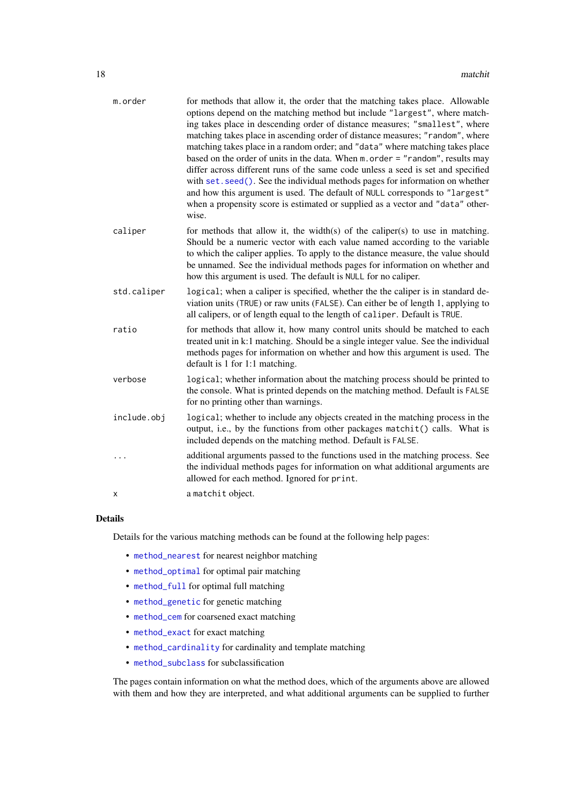<span id="page-17-0"></span>

| m.order     | for methods that allow it, the order that the matching takes place. Allowable<br>options depend on the matching method but include "largest", where match-<br>ing takes place in descending order of distance measures; "smallest", where<br>matching takes place in ascending order of distance measures; "random", where<br>matching takes place in a random order; and "data" where matching takes place<br>based on the order of units in the data. When $m$ . order = "random", results may<br>differ across different runs of the same code unless a seed is set and specified<br>with set. seed(). See the individual methods pages for information on whether<br>and how this argument is used. The default of NULL corresponds to "largest"<br>when a propensity score is estimated or supplied as a vector and "data" other-<br>wise. |
|-------------|-------------------------------------------------------------------------------------------------------------------------------------------------------------------------------------------------------------------------------------------------------------------------------------------------------------------------------------------------------------------------------------------------------------------------------------------------------------------------------------------------------------------------------------------------------------------------------------------------------------------------------------------------------------------------------------------------------------------------------------------------------------------------------------------------------------------------------------------------|
| caliper     | for methods that allow it, the width(s) of the caliper(s) to use in matching.<br>Should be a numeric vector with each value named according to the variable<br>to which the caliper applies. To apply to the distance measure, the value should<br>be unnamed. See the individual methods pages for information on whether and<br>how this argument is used. The default is NULL for no caliper.                                                                                                                                                                                                                                                                                                                                                                                                                                                |
| std.caliper | logical; when a caliper is specified, whether the the caliper is in standard de-<br>viation units (TRUE) or raw units (FALSE). Can either be of length 1, applying to<br>all calipers, or of length equal to the length of caliper. Default is TRUE.                                                                                                                                                                                                                                                                                                                                                                                                                                                                                                                                                                                            |
| ratio       | for methods that allow it, how many control units should be matched to each<br>treated unit in k:1 matching. Should be a single integer value. See the individual<br>methods pages for information on whether and how this argument is used. The<br>default is 1 for 1:1 matching.                                                                                                                                                                                                                                                                                                                                                                                                                                                                                                                                                              |
| verbose     | logical; whether information about the matching process should be printed to<br>the console. What is printed depends on the matching method. Default is FALSE<br>for no printing other than warnings.                                                                                                                                                                                                                                                                                                                                                                                                                                                                                                                                                                                                                                           |
| include.obj | logical; whether to include any objects created in the matching process in the<br>output, i.e., by the functions from other packages matchit() calls. What is<br>included depends on the matching method. Default is FALSE.                                                                                                                                                                                                                                                                                                                                                                                                                                                                                                                                                                                                                     |
|             | additional arguments passed to the functions used in the matching process. See<br>the individual methods pages for information on what additional arguments are<br>allowed for each method. Ignored for print.                                                                                                                                                                                                                                                                                                                                                                                                                                                                                                                                                                                                                                  |
| x           | a matchit object.                                                                                                                                                                                                                                                                                                                                                                                                                                                                                                                                                                                                                                                                                                                                                                                                                               |

# Details

Details for the various matching methods can be found at the following help pages:

- [method\\_nearest](#page-39-1) for nearest neighbor matching
- [method\\_optimal](#page-43-1) for optimal pair matching
- [method\\_full](#page-31-1) for optimal full matching
- [method\\_genetic](#page-35-1) for genetic matching
- [method\\_cem](#page-25-1) for coarsened exact matching
- [method\\_exact](#page-29-1) for exact matching
- [method\\_cardinality](#page-21-1) for cardinality and template matching
- [method\\_subclass](#page-47-1) for subclassification

The pages contain information on what the method does, which of the arguments above are allowed with them and how they are interpreted, and what additional arguments can be supplied to further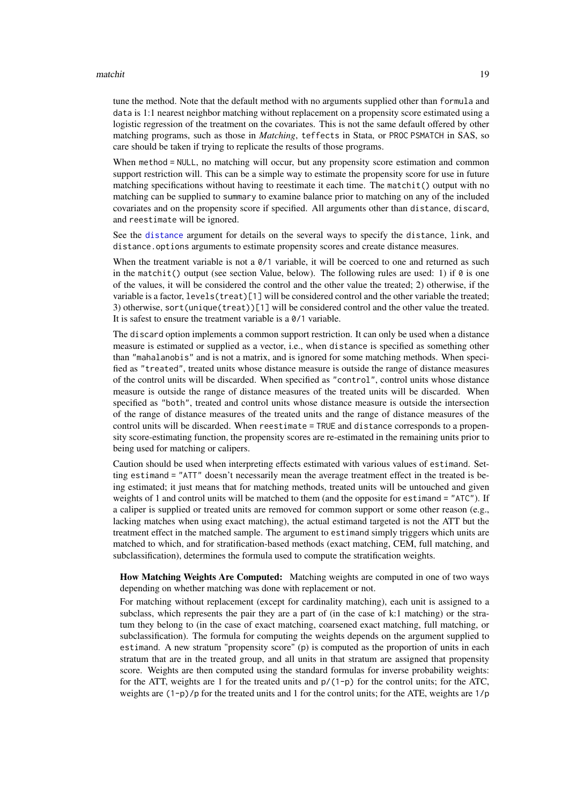#### <span id="page-18-0"></span>matchit the contract of the contract of the contract of the contract of the contract of the contract of the contract of the contract of the contract of the contract of the contract of the contract of the contract of the co

tune the method. Note that the default method with no arguments supplied other than formula and data is 1:1 nearest neighbor matching without replacement on a propensity score estimated using a logistic regression of the treatment on the covariates. This is not the same default offered by other matching programs, such as those in *Matching*, teffects in Stata, or PROC PSMATCH in SAS, so care should be taken if trying to replicate the results of those programs.

When method = NULL, no matching will occur, but any propensity score estimation and common support restriction will. This can be a simple way to estimate the propensity score for use in future matching specifications without having to reestimate it each time. The matchit() output with no matching can be supplied to summary to examine balance prior to matching on any of the included covariates and on the propensity score if specified. All arguments other than distance, discard, and reestimate will be ignored.

See the [distance](#page-3-1) argument for details on the several ways to specify the distance, link, and distance.options arguments to estimate propensity scores and create distance measures.

When the treatment variable is not a  $\theta/1$  variable, it will be coerced to one and returned as such in the matchit() output (see section Value, below). The following rules are used: 1) if  $\theta$  is one of the values, it will be considered the control and the other value the treated; 2) otherwise, if the variable is a factor, levels(treat)[1] will be considered control and the other variable the treated; 3) otherwise, sort(unique(treat))[1] will be considered control and the other value the treated. It is safest to ensure the treatment variable is a 0/1 variable.

The discard option implements a common support restriction. It can only be used when a distance measure is estimated or supplied as a vector, i.e., when distance is specified as something other than "mahalanobis" and is not a matrix, and is ignored for some matching methods. When specified as "treated", treated units whose distance measure is outside the range of distance measures of the control units will be discarded. When specified as "control", control units whose distance measure is outside the range of distance measures of the treated units will be discarded. When specified as "both", treated and control units whose distance measure is outside the intersection of the range of distance measures of the treated units and the range of distance measures of the control units will be discarded. When reestimate = TRUE and distance corresponds to a propensity score-estimating function, the propensity scores are re-estimated in the remaining units prior to being used for matching or calipers.

Caution should be used when interpreting effects estimated with various values of estimand. Setting estimand = "ATT" doesn't necessarily mean the average treatment effect in the treated is being estimated; it just means that for matching methods, treated units will be untouched and given weights of 1 and control units will be matched to them (and the opposite for estimand = "ATC"). If a caliper is supplied or treated units are removed for common support or some other reason (e.g., lacking matches when using exact matching), the actual estimand targeted is not the ATT but the treatment effect in the matched sample. The argument to estimand simply triggers which units are matched to which, and for stratification-based methods (exact matching, CEM, full matching, and subclassification), determines the formula used to compute the stratification weights.

How Matching Weights Are Computed: Matching weights are computed in one of two ways depending on whether matching was done with replacement or not.

For matching without replacement (except for cardinality matching), each unit is assigned to a subclass, which represents the pair they are a part of (in the case of k:1 matching) or the stratum they belong to (in the case of exact matching, coarsened exact matching, full matching, or subclassification). The formula for computing the weights depends on the argument supplied to estimand. A new stratum "propensity score" (p) is computed as the proportion of units in each stratum that are in the treated group, and all units in that stratum are assigned that propensity score. Weights are then computed using the standard formulas for inverse probability weights: for the ATT, weights are 1 for the treated units and  $p/(1-p)$  for the control units; for the ATC, weights are  $(1-p)/p$  for the treated units and 1 for the control units; for the ATE, weights are  $1/p$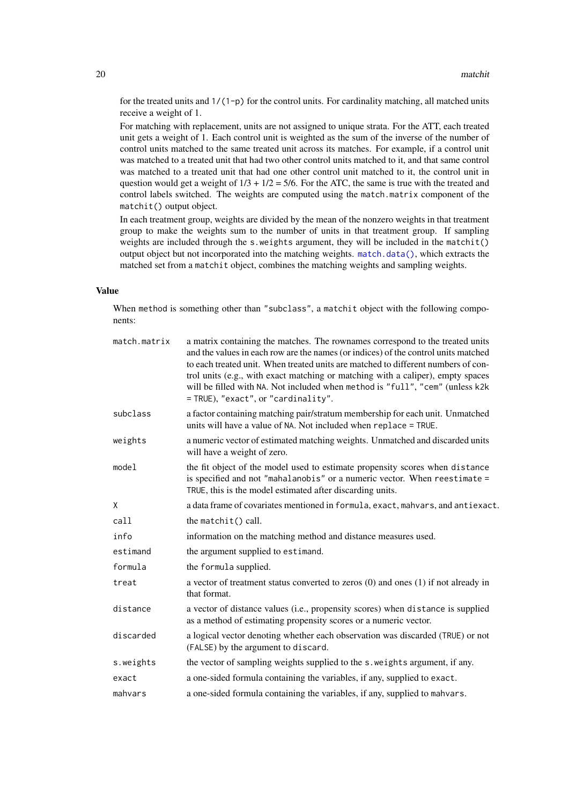for the treated units and  $1/(1-p)$  for the control units. For cardinality matching, all matched units receive a weight of 1.

For matching with replacement, units are not assigned to unique strata. For the ATT, each treated unit gets a weight of 1. Each control unit is weighted as the sum of the inverse of the number of control units matched to the same treated unit across its matches. For example, if a control unit was matched to a treated unit that had two other control units matched to it, and that same control was matched to a treated unit that had one other control unit matched to it, the control unit in question would get a weight of  $1/3 + 1/2 = 5/6$ . For the ATC, the same is true with the treated and control labels switched. The weights are computed using the match.matrix component of the matchit() output object.

In each treatment group, weights are divided by the mean of the nonzero weights in that treatment group to make the weights sum to the number of units in that treatment group. If sampling weights are included through the s.weights argument, they will be included in the matchit() output object but not incorporated into the matching weights. [match.data\(\)](#page-11-1), which extracts the matched set from a matchit object, combines the matching weights and sampling weights.

# Value

When method is something other than "subclass", a matchit object with the following components:

| match.matrix | a matrix containing the matches. The rownames correspond to the treated units<br>and the values in each row are the names (or indices) of the control units matched<br>to each treated unit. When treated units are matched to different numbers of con-<br>trol units (e.g., with exact matching or matching with a caliper), empty spaces<br>will be filled with NA. Not included when method is "full", "cem" (unless k2k<br>= TRUE), "exact", or "cardinality". |
|--------------|---------------------------------------------------------------------------------------------------------------------------------------------------------------------------------------------------------------------------------------------------------------------------------------------------------------------------------------------------------------------------------------------------------------------------------------------------------------------|
| subclass     | a factor containing matching pair/stratum membership for each unit. Unmatched<br>units will have a value of NA. Not included when replace = TRUE.                                                                                                                                                                                                                                                                                                                   |
| weights      | a numeric vector of estimated matching weights. Unmatched and discarded units<br>will have a weight of zero.                                                                                                                                                                                                                                                                                                                                                        |
| model        | the fit object of the model used to estimate propensity scores when distance<br>is specified and not "mahalanobis" or a numeric vector. When reestimate =<br>TRUE, this is the model estimated after discarding units.                                                                                                                                                                                                                                              |
| X            | a data frame of covariates mentioned in formula, exact, mahvars, and antiexact.                                                                                                                                                                                                                                                                                                                                                                                     |
| call         | the matchit() call.                                                                                                                                                                                                                                                                                                                                                                                                                                                 |
| info         | information on the matching method and distance measures used.                                                                                                                                                                                                                                                                                                                                                                                                      |
| estimand     | the argument supplied to estimand.                                                                                                                                                                                                                                                                                                                                                                                                                                  |
| formula      | the formula supplied.                                                                                                                                                                                                                                                                                                                                                                                                                                               |
| treat        | a vector of treatment status converted to zeros $(0)$ and ones $(1)$ if not already in<br>that format.                                                                                                                                                                                                                                                                                                                                                              |
| distance     | a vector of distance values (i.e., propensity scores) when distance is supplied<br>as a method of estimating propensity scores or a numeric vector.                                                                                                                                                                                                                                                                                                                 |
| discarded    | a logical vector denoting whether each observation was discarded (TRUE) or not<br>(FALSE) by the argument to discard.                                                                                                                                                                                                                                                                                                                                               |
| s.weights    | the vector of sampling weights supplied to the s. weights argument, if any.                                                                                                                                                                                                                                                                                                                                                                                         |
| exact        | a one-sided formula containing the variables, if any, supplied to exact.                                                                                                                                                                                                                                                                                                                                                                                            |
| mahvars      | a one-sided formula containing the variables, if any, supplied to mahvars.                                                                                                                                                                                                                                                                                                                                                                                          |

<span id="page-19-0"></span>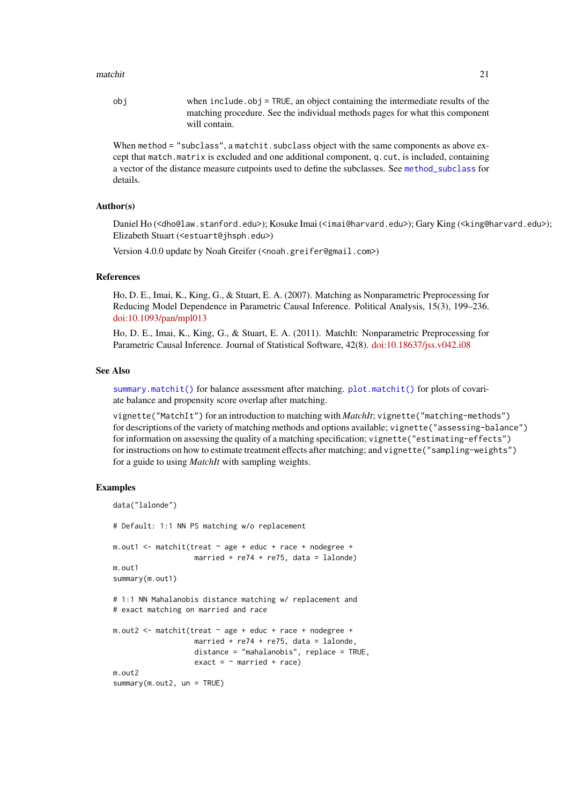#### <span id="page-20-0"></span>matchit 21

obj when include.obj = TRUE, an object containing the intermediate results of the matching procedure. See the individual methods pages for what this component will contain.

When method = "subclass", a matchit. subclass object with the same components as above except that match.matrix is excluded and one additional component, q.cut, is included, containing a vector of the distance measure cutpoints used to define the subclasses. See [method\\_subclass](#page-47-1) for details.

#### Author(s)

Daniel Ho (<dho@law.stanford.edu>); Kosuke Imai (<imai@harvard.edu>); Gary King (<king@harvard.edu>); Elizabeth Stuart (<estuart@jhsph.edu>)

Version 4.0.0 update by Noah Greifer (<noah.greifer@gmail.com>)

#### References

Ho, D. E., Imai, K., King, G., & Stuart, E. A. (2007). Matching as Nonparametric Preprocessing for Reducing Model Dependence in Parametric Causal Inference. Political Analysis, 15(3), 199–236. [doi:10.1093/pan/mpl013](https://doi.org/10.1093/pan/mpl013)

Ho, D. E., Imai, K., King, G., & Stuart, E. A. (2011). MatchIt: Nonparametric Preprocessing for Parametric Causal Inference. Journal of Statistical Software, 42(8). [doi:10.18637/jss.v042.i08](https://doi.org/10.18637/jss.v042.i08)

#### See Also

[summary.matchit\(\)](#page-55-1) for balance assessment after matching. [plot.matchit\(\)](#page-50-1) for plots of covariate balance and propensity score overlap after matching.

vignette("MatchIt") for an introduction to matching with *MatchIt*; vignette("matching-methods") for descriptions of the variety of matching methods and options available; vignette("assessing-balance") for information on assessing the quality of a matching specification; vignette("estimating-effects") for instructions on how to estimate treatment effects after matching; and vignette("sampling-weights") for a guide to using *MatchIt* with sampling weights.

#### Examples

```
data("lalonde")
# Default: 1:1 NN PS matching w/o replacement
m.out1 <- matchit(treat \sim age + educ + race + nodegree +
                   married + re74 + re75, data = lalonde)
m.out1
summary(m.out1)
# 1:1 NN Mahalanobis distance matching w/ replacement and
# exact matching on married and race
m.out2 <- matchit(treat ~ age + educ + race + nodegree +
                   married + re74 + re75, data = lalonde,
                    distance = "mahalanobis", replace = TRUE,
                    exact = \sim married + race)
m.out<sub>2</sub>
summary(m.out2, un = TRUE)
```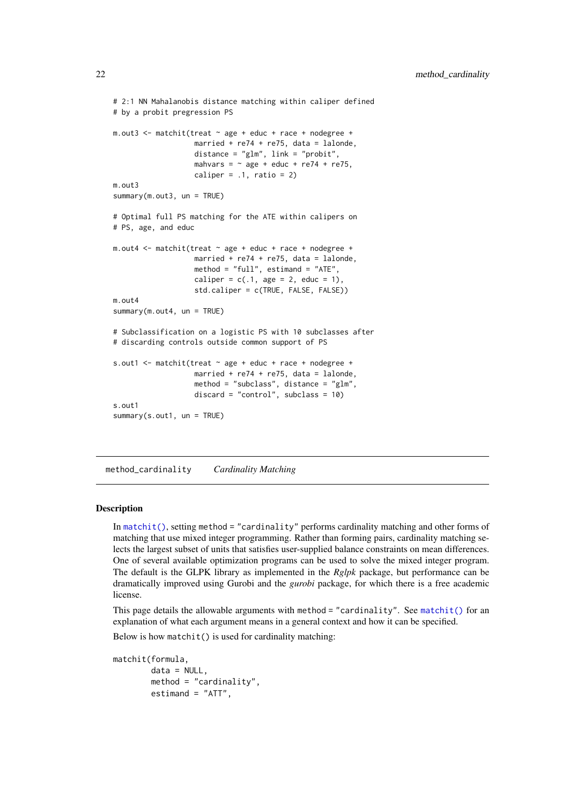```
# 2:1 NN Mahalanobis distance matching within caliper defined
# by a probit pregression PS
m.out3 <- matchit(treat ~ age + educ + race + nodegree +
                   married + re74 + re75, data = lalonde,
                   distance = "glm", link = "probit",mahvars = \sim age + educ + re74 + re75,
                   caliper = .1, ratio = 2)
m.out3
summary(m.out3, un = TRUE)
# Optimal full PS matching for the ATE within calipers on
# PS, age, and educ
m.out4 \leq matchit(treat \sim age + educ + race + nodegree +
                   married + re74 + re75, data = lalonde,
                   method = "full", estimand = "ATE",
                   caliper = c(.1, age = 2, educ = 1),std.caliper = c(TRUE, FALSE, FALSE))
m.out4
summary(m.out4, un = TRUE)# Subclassification on a logistic PS with 10 subclasses after
# discarding controls outside common support of PS
s.out1 <- matchit(treat \sim age + educ + race + nodegree +
                   married + re74 + re75, data = lalonde,
                   method = "subclass", distance = "glm",
                   discard = "control", subclass = 10)
s.out1
summary(s.out1, un = TRUE)
```
<span id="page-21-1"></span>method\_cardinality *Cardinality Matching*

#### Description

In [matchit\(\)](#page-14-1), setting method = "cardinality" performs cardinality matching and other forms of matching that use mixed integer programming. Rather than forming pairs, cardinality matching selects the largest subset of units that satisfies user-supplied balance constraints on mean differences. One of several available optimization programs can be used to solve the mixed integer program. The default is the GLPK library as implemented in the *Rglpk* package, but performance can be dramatically improved using Gurobi and the *gurobi* package, for which there is a free academic license.

This page details the allowable arguments with method = "cardinality". See [matchit\(\)](#page-14-1) for an explanation of what each argument means in a general context and how it can be specified.

Below is how matchit() is used for cardinality matching:

```
matchit(formula,
        data = NULL,
        method = "cardinality",
        estimand = "ATT",
```
<span id="page-21-0"></span>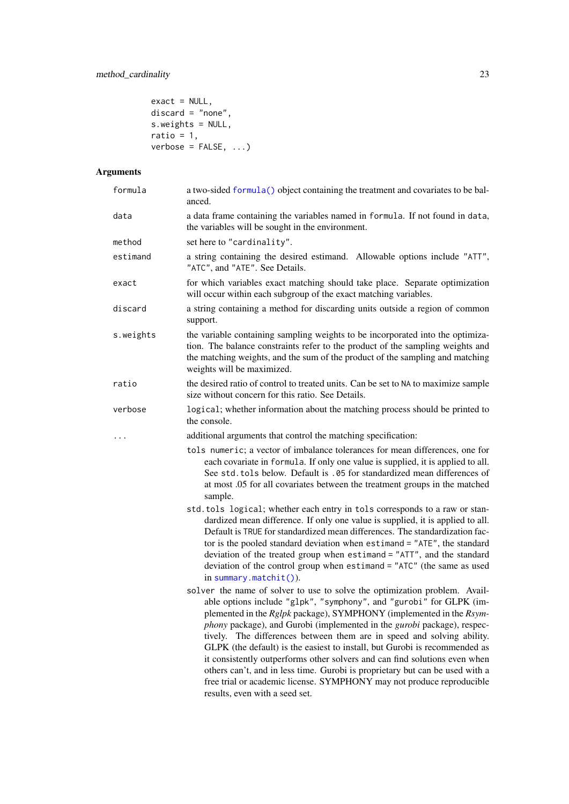```
exact = NULL,discard = "none",
s.weights = NULL,
ratio = 1,verbose = FALSE, ...
```
# Arguments

| formula   | a two-sided formula() object containing the treatment and covariates to be bal-<br>anced.                                                                                                                                                                                                                                                                                                                                                                                                                                                                                                                                                                                                                                                   |
|-----------|---------------------------------------------------------------------------------------------------------------------------------------------------------------------------------------------------------------------------------------------------------------------------------------------------------------------------------------------------------------------------------------------------------------------------------------------------------------------------------------------------------------------------------------------------------------------------------------------------------------------------------------------------------------------------------------------------------------------------------------------|
| data      | a data frame containing the variables named in formula. If not found in data,<br>the variables will be sought in the environment.                                                                                                                                                                                                                                                                                                                                                                                                                                                                                                                                                                                                           |
| method    | set here to "cardinality".                                                                                                                                                                                                                                                                                                                                                                                                                                                                                                                                                                                                                                                                                                                  |
| estimand  | a string containing the desired estimand. Allowable options include "ATT",<br>"ATC", and "ATE". See Details.                                                                                                                                                                                                                                                                                                                                                                                                                                                                                                                                                                                                                                |
| exact     | for which variables exact matching should take place. Separate optimization<br>will occur within each subgroup of the exact matching variables.                                                                                                                                                                                                                                                                                                                                                                                                                                                                                                                                                                                             |
| discard   | a string containing a method for discarding units outside a region of common<br>support.                                                                                                                                                                                                                                                                                                                                                                                                                                                                                                                                                                                                                                                    |
| s.weights | the variable containing sampling weights to be incorporated into the optimiza-<br>tion. The balance constraints refer to the product of the sampling weights and<br>the matching weights, and the sum of the product of the sampling and matching<br>weights will be maximized.                                                                                                                                                                                                                                                                                                                                                                                                                                                             |
| ratio     | the desired ratio of control to treated units. Can be set to NA to maximize sample<br>size without concern for this ratio. See Details.                                                                                                                                                                                                                                                                                                                                                                                                                                                                                                                                                                                                     |
| verbose   | logical; whether information about the matching process should be printed to<br>the console.                                                                                                                                                                                                                                                                                                                                                                                                                                                                                                                                                                                                                                                |
|           | additional arguments that control the matching specification:                                                                                                                                                                                                                                                                                                                                                                                                                                                                                                                                                                                                                                                                               |
|           | tols numeric; a vector of imbalance tolerances for mean differences, one for<br>each covariate in formula. If only one value is supplied, it is applied to all.<br>See std. tols below. Default is .05 for standardized mean differences of<br>at most .05 for all covariates between the treatment groups in the matched<br>sample.                                                                                                                                                                                                                                                                                                                                                                                                        |
|           | std.tols logical; whether each entry in tols corresponds to a raw or stan-<br>dardized mean difference. If only one value is supplied, it is applied to all.<br>Default is TRUE for standardized mean differences. The standardization fac-<br>tor is the pooled standard deviation when estimand = "ATE", the standard<br>deviation of the treated group when estimand = "ATT", and the standard<br>deviation of the control group when estimand = "ATC" (the same as used<br>in summary.matchit $()$ ).                                                                                                                                                                                                                                   |
|           | solver the name of solver to use to solve the optimization problem. Avail-<br>able options include "g1pk", "symphony", and "gurobi" for GLPK (im-<br>plemented in the Rglpk package), SYMPHONY (implemented in the Rsym-<br>phony package), and Gurobi (implemented in the <i>gurobi</i> package), respec-<br>tively. The differences between them are in speed and solving ability.<br>GLPK (the default) is the easiest to install, but Gurobi is recommended as<br>it consistently outperforms other solvers and can find solutions even when<br>others can't, and in less time. Gurobi is proprietary but can be used with a<br>free trial or academic license. SYMPHONY may not produce reproducible<br>results, even with a seed set. |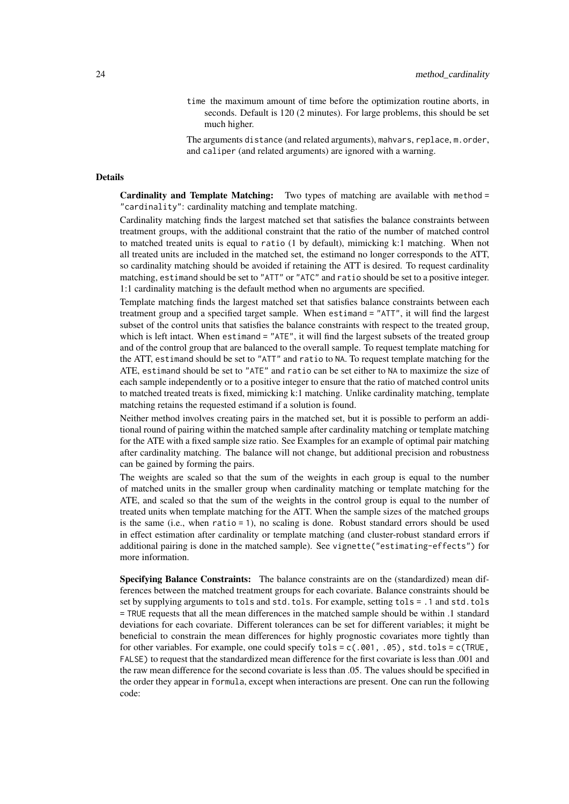time the maximum amount of time before the optimization routine aborts, in seconds. Default is 120 (2 minutes). For large problems, this should be set much higher.

The arguments distance (and related arguments), mahvars, replace, m.order, and caliper (and related arguments) are ignored with a warning.

#### Details

Cardinality and Template Matching: Two types of matching are available with method = "cardinality": cardinality matching and template matching.

Cardinality matching finds the largest matched set that satisfies the balance constraints between treatment groups, with the additional constraint that the ratio of the number of matched control to matched treated units is equal to ratio (1 by default), mimicking k:1 matching. When not all treated units are included in the matched set, the estimand no longer corresponds to the ATT, so cardinality matching should be avoided if retaining the ATT is desired. To request cardinality matching, estimand should be set to "ATT" or "ATC" and ratio should be set to a positive integer. 1:1 cardinality matching is the default method when no arguments are specified.

Template matching finds the largest matched set that satisfies balance constraints between each treatment group and a specified target sample. When estimand = "ATT", it will find the largest subset of the control units that satisfies the balance constraints with respect to the treated group, which is left intact. When estimand = "ATE", it will find the largest subsets of the treated group and of the control group that are balanced to the overall sample. To request template matching for the ATT, estimand should be set to "ATT" and ratio to NA. To request template matching for the ATE, estimand should be set to "ATE" and ratio can be set either to NA to maximize the size of each sample independently or to a positive integer to ensure that the ratio of matched control units to matched treated treats is fixed, mimicking k:1 matching. Unlike cardinality matching, template matching retains the requested estimand if a solution is found.

Neither method involves creating pairs in the matched set, but it is possible to perform an additional round of pairing within the matched sample after cardinality matching or template matching for the ATE with a fixed sample size ratio. See Examples for an example of optimal pair matching after cardinality matching. The balance will not change, but additional precision and robustness can be gained by forming the pairs.

The weights are scaled so that the sum of the weights in each group is equal to the number of matched units in the smaller group when cardinality matching or template matching for the ATE, and scaled so that the sum of the weights in the control group is equal to the number of treated units when template matching for the ATT. When the sample sizes of the matched groups is the same (i.e., when  $ratio = 1$ ), no scaling is done. Robust standard errors should be used in effect estimation after cardinality or template matching (and cluster-robust standard errors if additional pairing is done in the matched sample). See vignette("estimating-effects") for more information.

Specifying Balance Constraints: The balance constraints are on the (standardized) mean differences between the matched treatment groups for each covariate. Balance constraints should be set by supplying arguments to tols and std.tols. For example, setting tols = .1 and std.tols = TRUE requests that all the mean differences in the matched sample should be within .1 standard deviations for each covariate. Different tolerances can be set for different variables; it might be beneficial to constrain the mean differences for highly prognostic covariates more tightly than for other variables. For example, one could specify tols =  $c(.001, .05)$ , std.tols =  $c(TRUE, )$ FALSE) to request that the standardized mean difference for the first covariate is less than .001 and the raw mean difference for the second covariate is less than .05. The values should be specified in the order they appear in formula, except when interactions are present. One can run the following code: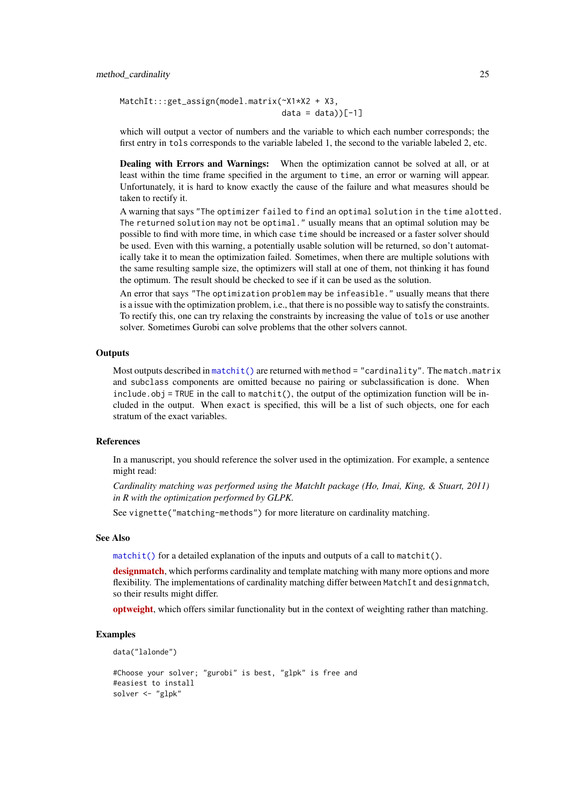<span id="page-24-0"></span>MatchIt:::get\_assign(model.matrix(~X1\*X2 + X3,  $data = data$ ) $[-1]$ 

which will output a vector of numbers and the variable to which each number corresponds; the first entry in tols corresponds to the variable labeled 1, the second to the variable labeled 2, etc.

Dealing with Errors and Warnings: When the optimization cannot be solved at all, or at least within the time frame specified in the argument to time, an error or warning will appear. Unfortunately, it is hard to know exactly the cause of the failure and what measures should be taken to rectify it.

A warning that says "The optimizer failed to find an optimal solution in the time alotted. The returned solution may not be optimal." usually means that an optimal solution may be possible to find with more time, in which case time should be increased or a faster solver should be used. Even with this warning, a potentially usable solution will be returned, so don't automatically take it to mean the optimization failed. Sometimes, when there are multiple solutions with the same resulting sample size, the optimizers will stall at one of them, not thinking it has found the optimum. The result should be checked to see if it can be used as the solution.

An error that says "The optimization problem may be infeasible." usually means that there is a issue with the optimization problem, i.e., that there is no possible way to satisfy the constraints. To rectify this, one can try relaxing the constraints by increasing the value of tols or use another solver. Sometimes Gurobi can solve problems that the other solvers cannot.

# **Outputs**

Most outputs described in  $\text{matchit}()$  are returned with method = "cardinality". The match.matrix and subclass components are omitted because no pairing or subclassification is done. When include.obj = TRUE in the call to matchit(), the output of the optimization function will be included in the output. When exact is specified, this will be a list of such objects, one for each stratum of the exact variables.

#### References

In a manuscript, you should reference the solver used in the optimization. For example, a sentence might read:

*Cardinality matching was performed using the MatchIt package (Ho, Imai, King, & Stuart, 2011) in R with the optimization performed by GLPK.*

See vignette("matching-methods") for more literature on cardinality matching.

#### See Also

[matchit\(\)](#page-14-1) for a detailed explanation of the inputs and outputs of a call to matchit().

[designmatch](https://CRAN.R-project.org/package=designmatch), which performs cardinality and template matching with many more options and more flexibility. The implementations of cardinality matching differ between MatchIt and designmatch, so their results might differ.

[optweight](https://CRAN.R-project.org/package=optweight), which offers similar functionality but in the context of weighting rather than matching.

#### Examples

```
data("lalonde")
#Choose your solver; "gurobi" is best, "glpk" is free and
#easiest to install
solver <- "glpk"
```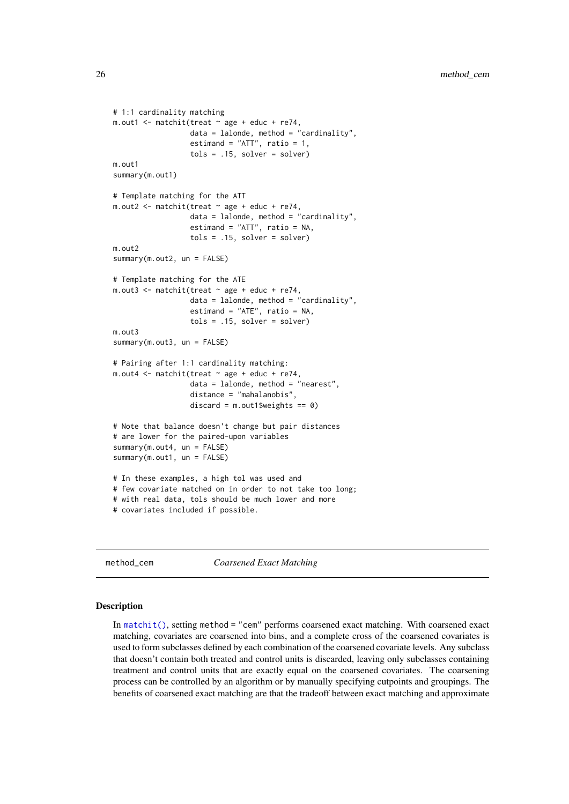```
# 1:1 cardinality matching
m.out1 <- matchit(treat \sim age + educ + re74,
                   data = lalonde, method = "cardinality",
                  estimand = "ATT", ratio = 1,
                  tols = .15, solver = solver)
m.out1
summary(m.out1)
# Template matching for the ATT
m.out2 \leq matchit(treat \sim age + educ + re74,
                  data = lalonde, method = "cardinality",
                  estimand = "ATT", ratio = NA,
                  tols = .15, solver = solver)
m.out<sub>2</sub>
summary(m.out2, un = FALSE)
# Template matching for the ATE
m.out3 \leq m. matchit(treat \sim age + educ + re74,
                  data = lalonde, method = "cardinality",
                  estimand = "ATE", ratio = NA,
                   tols = .15, solver = solver)
m.out3
summary(m.out3, un = FALSE)
# Pairing after 1:1 cardinality matching:
m.out4 \leq m. matchit(treat \sim age + educ + re74,
                  data = lalonde, method = "nearest",
                  distance = "mahalanobis",
                  discard = m.out1$weights == 0)
# Note that balance doesn't change but pair distances
# are lower for the paired-upon variables
summary(m.out4, un = FALSE)
summary(m.out1, un = FALSE)
# In these examples, a high tol was used and
# few covariate matched on in order to not take too long;
# with real data, tols should be much lower and more
# covariates included if possible.
```
<span id="page-25-1"></span>method\_cem *Coarsened Exact Matching*

#### **Description**

In [matchit\(\)](#page-14-1), setting method = "cem" performs coarsened exact matching. With coarsened exact matching, covariates are coarsened into bins, and a complete cross of the coarsened covariates is used to form subclasses defined by each combination of the coarsened covariate levels. Any subclass that doesn't contain both treated and control units is discarded, leaving only subclasses containing treatment and control units that are exactly equal on the coarsened covariates. The coarsening process can be controlled by an algorithm or by manually specifying cutpoints and groupings. The benefits of coarsened exact matching are that the tradeoff between exact matching and approximate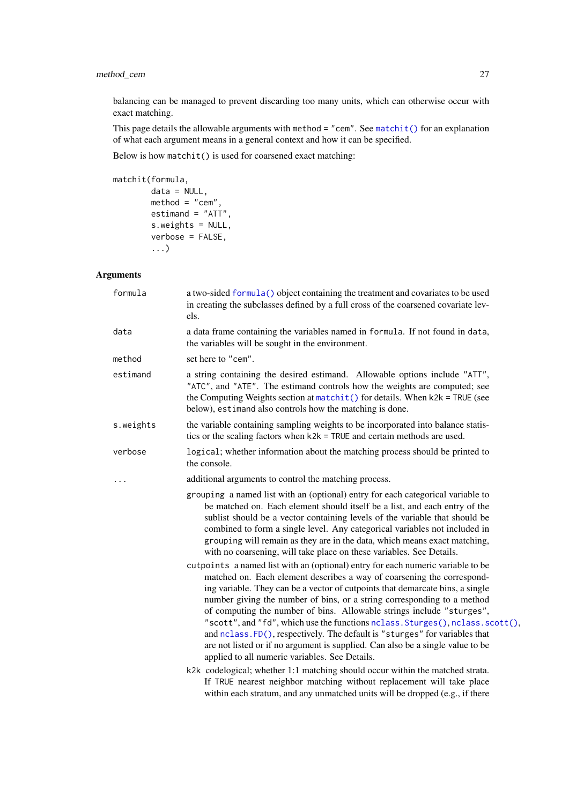### <span id="page-26-0"></span>method\_cem 27

balancing can be managed to prevent discarding too many units, which can otherwise occur with exact matching.

This page details the allowable arguments with method = "cem". See [matchit\(\)](#page-14-1) for an explanation of what each argument means in a general context and how it can be specified.

Below is how matchit() is used for coarsened exact matching:

```
matchit(formula,
```

```
data = NULL,method = "cem",
estimand = "ATT",
s.weights = NULL,
verbose = FALSE,
...)
```
# Arguments

| formula   | a two-sided formula() object containing the treatment and covariates to be used<br>in creating the subclasses defined by a full cross of the coarsened covariate lev-<br>els.                                                                                                                                                                                                                                                                                                                                                                                                                                                                                                                       |
|-----------|-----------------------------------------------------------------------------------------------------------------------------------------------------------------------------------------------------------------------------------------------------------------------------------------------------------------------------------------------------------------------------------------------------------------------------------------------------------------------------------------------------------------------------------------------------------------------------------------------------------------------------------------------------------------------------------------------------|
| data      | a data frame containing the variables named in formula. If not found in data,<br>the variables will be sought in the environment.                                                                                                                                                                                                                                                                                                                                                                                                                                                                                                                                                                   |
| method    | set here to "cem".                                                                                                                                                                                                                                                                                                                                                                                                                                                                                                                                                                                                                                                                                  |
| estimand  | a string containing the desired estimand. Allowable options include "ATT",<br>"ATC", and "ATE". The estimand controls how the weights are computed; see<br>the Computing Weights section at $matchit()$ for details. When $k2k = TRUE$ (see<br>below), estimand also controls how the matching is done.                                                                                                                                                                                                                                                                                                                                                                                             |
| s.weights | the variable containing sampling weights to be incorporated into balance statis-<br>tics or the scaling factors when $k2k$ = TRUE and certain methods are used.                                                                                                                                                                                                                                                                                                                                                                                                                                                                                                                                     |
| verbose   | logical; whether information about the matching process should be printed to<br>the console.                                                                                                                                                                                                                                                                                                                                                                                                                                                                                                                                                                                                        |
|           | additional arguments to control the matching process.                                                                                                                                                                                                                                                                                                                                                                                                                                                                                                                                                                                                                                               |
|           | grouping a named list with an (optional) entry for each categorical variable to<br>be matched on. Each element should itself be a list, and each entry of the<br>sublist should be a vector containing levels of the variable that should be<br>combined to form a single level. Any categorical variables not included in<br>grouping will remain as they are in the data, which means exact matching,<br>with no coarsening, will take place on these variables. See Details.                                                                                                                                                                                                                     |
|           | cutpoints a named list with an (optional) entry for each numeric variable to be<br>matched on. Each element describes a way of coarsening the correspond-<br>ing variable. They can be a vector of cutpoints that demarcate bins, a single<br>number giving the number of bins, or a string corresponding to a method<br>of computing the number of bins. Allowable strings include "sturges",<br>"scott", and "fd", which use the functions nclass. Sturges(), nclass. scott(),<br>and nclass. FD(), respectively. The default is "sturges" for variables that<br>are not listed or if no argument is supplied. Can also be a single value to be<br>applied to all numeric variables. See Details. |
|           | k2k codelogical; whether 1:1 matching should occur within the matched strata.<br>If TRUE nearest neighbor matching without replacement will take place<br>within each stratum, and any unmatched units will be dropped (e.g., if there                                                                                                                                                                                                                                                                                                                                                                                                                                                              |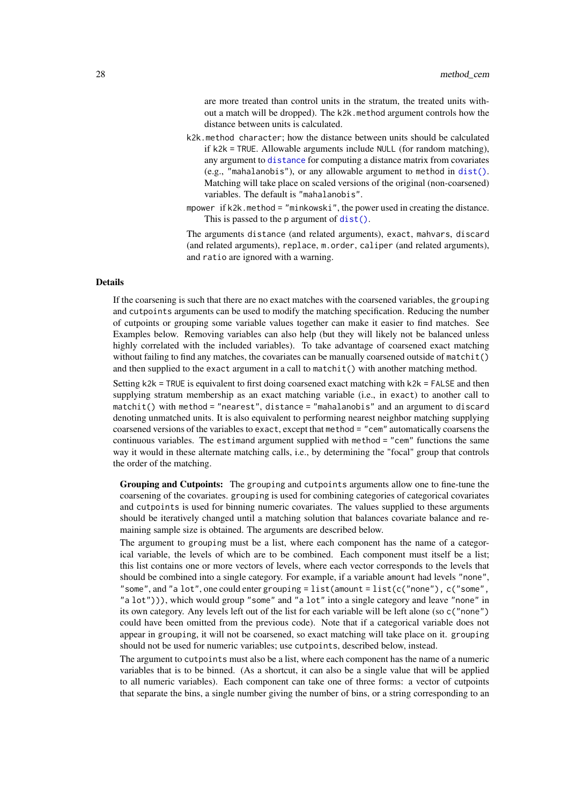are more treated than control units in the stratum, the treated units without a match will be dropped). The k2k.method argument controls how the distance between units is calculated.

- <span id="page-27-0"></span>k2k.method character; how the distance between units should be calculated if k2k = TRUE. Allowable arguments include NULL (for random matching), any argument to [distance](#page-3-1) for computing a distance matrix from covariates (e.g., "mahalanobis"), or any allowable argument to method in [dist\(\)](#page-0-0). Matching will take place on scaled versions of the original (non-coarsened) variables. The default is "mahalanobis".
- mpower if k2k.method = "minkowski", the power used in creating the distance. This is passed to the p argument of [dist\(\)](#page-0-0).

The arguments distance (and related arguments), exact, mahvars, discard (and related arguments), replace, m.order, caliper (and related arguments), and ratio are ignored with a warning.

#### Details

If the coarsening is such that there are no exact matches with the coarsened variables, the grouping and cutpoints arguments can be used to modify the matching specification. Reducing the number of cutpoints or grouping some variable values together can make it easier to find matches. See Examples below. Removing variables can also help (but they will likely not be balanced unless highly correlated with the included variables). To take advantage of coarsened exact matching without failing to find any matches, the covariates can be manually coarsened outside of matchit() and then supplied to the exact argument in a call to matchit() with another matching method.

Setting  $k2k$  = TRUE is equivalent to first doing coarsened exact matching with  $k2k$  = FALSE and then supplying stratum membership as an exact matching variable (i.e., in exact) to another call to matchit() with method = "nearest", distance = "mahalanobis" and an argument to discard denoting unmatched units. It is also equivalent to performing nearest neighbor matching supplying coarsened versions of the variables to exact, except that method = "cem" automatically coarsens the continuous variables. The estimand argument supplied with method = "cem" functions the same way it would in these alternate matching calls, i.e., by determining the "focal" group that controls the order of the matching.

Grouping and Cutpoints: The grouping and cutpoints arguments allow one to fine-tune the coarsening of the covariates. grouping is used for combining categories of categorical covariates and cutpoints is used for binning numeric covariates. The values supplied to these arguments should be iteratively changed until a matching solution that balances covariate balance and remaining sample size is obtained. The arguments are described below.

The argument to grouping must be a list, where each component has the name of a categorical variable, the levels of which are to be combined. Each component must itself be a list; this list contains one or more vectors of levels, where each vector corresponds to the levels that should be combined into a single category. For example, if a variable amount had levels "none", "some", and "a lot", one could enter grouping = list(amount = list(c("none"), c("some", "a lot"))), which would group "some" and "a lot" into a single category and leave "none" in its own category. Any levels left out of the list for each variable will be left alone (so c("none") could have been omitted from the previous code). Note that if a categorical variable does not appear in grouping, it will not be coarsened, so exact matching will take place on it. grouping should not be used for numeric variables; use cutpoints, described below, instead.

The argument to cutpoints must also be a list, where each component has the name of a numeric variables that is to be binned. (As a shortcut, it can also be a single value that will be applied to all numeric variables). Each component can take one of three forms: a vector of cutpoints that separate the bins, a single number giving the number of bins, or a string corresponding to an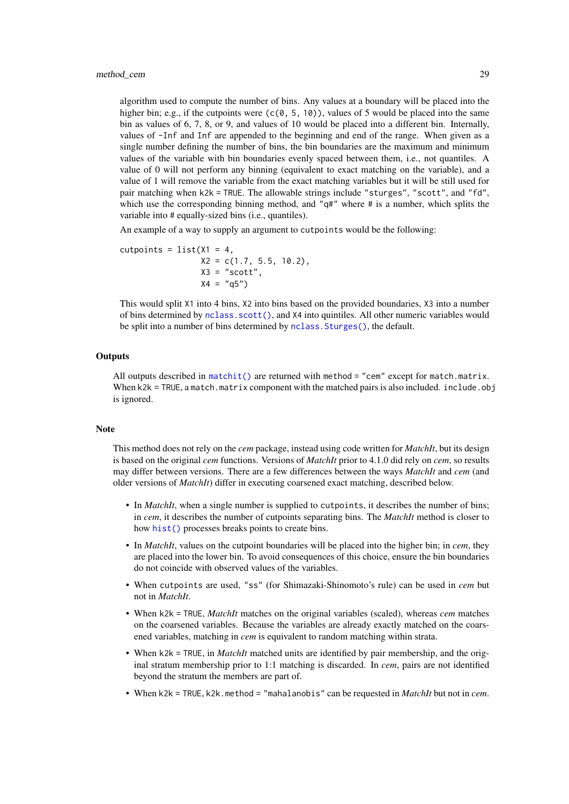<span id="page-28-0"></span>algorithm used to compute the number of bins. Any values at a boundary will be placed into the higher bin; e.g., if the cutpoints were  $(c(0, 5, 10))$ , values of 5 would be placed into the same bin as values of 6, 7, 8, or 9, and values of 10 would be placed into a different bin. Internally, values of -Inf and Inf are appended to the beginning and end of the range. When given as a single number defining the number of bins, the bin boundaries are the maximum and minimum values of the variable with bin boundaries evenly spaced between them, i.e., not quantiles. A value of 0 will not perform any binning (equivalent to exact matching on the variable), and a value of 1 will remove the variable from the exact matching variables but it will be still used for pair matching when k2k = TRUE. The allowable strings include "sturges", "scott", and "fd", which use the corresponding binning method, and " $q\#$ " where  $\#$  is a number, which splits the variable into # equally-sized bins (i.e., quantiles).

An example of a way to supply an argument to cutpoints would be the following:

```
cutpoints = list(X1 = 4,X2 = c(1.7, 5.5, 10.2),
                X3 = "scott",X4 = "q5")
```
This would split X1 into 4 bins, X2 into bins based on the provided boundaries, X3 into a number of bins determined by [nclass.scott\(\)](#page-0-0), and X4 into quintiles. All other numeric variables would be split into a number of bins determined by [nclass.Sturges\(\)](#page-0-0), the default.

#### **Outputs**

All outputs described in [matchit\(\)](#page-14-1) are returned with method = "cem" except for match.matrix. When  $k2k = TRUE$ , a match.matrix component with the matched pairs is also included. include.obj is ignored.

#### Note

This method does not rely on the *cem* package, instead using code written for *MatchIt*, but its design is based on the original *cem* functions. Versions of *MatchIt* prior to 4.1.0 did rely on *cem*, so results may differ between versions. There are a few differences between the ways *MatchIt* and *cem* (and older versions of *MatchIt*) differ in executing coarsened exact matching, described below.

- In *MatchIt*, when a single number is supplied to cutpoints, it describes the number of bins; in *cem*, it describes the number of cutpoints separating bins. The *MatchIt* method is closer to how [hist\(\)](#page-0-0) processes breaks points to create bins.
- In *MatchIt*, values on the cutpoint boundaries will be placed into the higher bin; in *cem*, they are placed into the lower bin. To avoid consequences of this choice, ensure the bin boundaries do not coincide with observed values of the variables.
- When cutpoints are used, "ss" (for Shimazaki-Shinomoto's rule) can be used in *cem* but not in *MatchIt*.
- When k2k = TRUE, *MatchIt* matches on the original variables (scaled), whereas *cem* matches on the coarsened variables. Because the variables are already exactly matched on the coarsened variables, matching in *cem* is equivalent to random matching within strata.
- When k2k = TRUE, in *MatchIt* matched units are identified by pair membership, and the original stratum membership prior to 1:1 matching is discarded. In *cem*, pairs are not identified beyond the stratum the members are part of.
- When k2k = TRUE, k2k.method = "mahalanobis" can be requested in *MatchIt* but not in *cem*.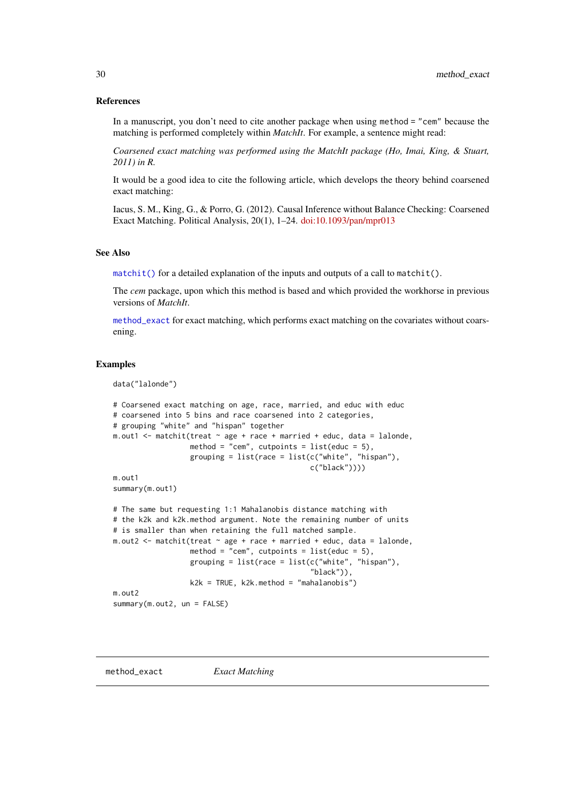#### <span id="page-29-0"></span>References

In a manuscript, you don't need to cite another package when using method = "cem" because the matching is performed completely within *MatchIt*. For example, a sentence might read:

*Coarsened exact matching was performed using the MatchIt package (Ho, Imai, King, & Stuart, 2011) in R.*

It would be a good idea to cite the following article, which develops the theory behind coarsened exact matching:

Iacus, S. M., King, G., & Porro, G. (2012). Causal Inference without Balance Checking: Coarsened Exact Matching. Political Analysis, 20(1), 1–24. [doi:10.1093/pan/mpr013](https://doi.org/10.1093/pan/mpr013)

#### See Also

 $matchit()$  for a detailed explanation of the inputs and outputs of a call to matchit().

The *cem* package, upon which this method is based and which provided the workhorse in previous versions of *MatchIt*.

[method\\_exact](#page-29-1) for exact matching, which performs exact matching on the covariates without coarsening.

#### Examples

data("lalonde")

```
# Coarsened exact matching on age, race, married, and educ with educ
# coarsened into 5 bins and race coarsened into 2 categories,
# grouping "white" and "hispan" together
m.out1 \leq matchit(treat \sim age + race + married + educ, data = lalonde,
                  method = "cem", cutpoints = list(educ = 5),
                  grouping = list(\text{race} = list(\text{c("white", "hispan"),c("black"))))
m.out1
summary(m.out1)
# The same but requesting 1:1 Mahalanobis distance matching with
# the k2k and k2k.method argument. Note the remaining number of units
# is smaller than when retaining the full matched sample.
m.out2 \leq matchit(treat \sim age + race + married + educ, data = lalonde,
                  method = "cem", cutpoints = list(educ = 5),
                  grouping = list(\text{race} = list(c("white", "hispan"),"black")),
                  k2k = TRUE, k2k.method = "mahalanobis")
m.out2
summary(m.out2, un = FALSE)
```
<span id="page-29-1"></span>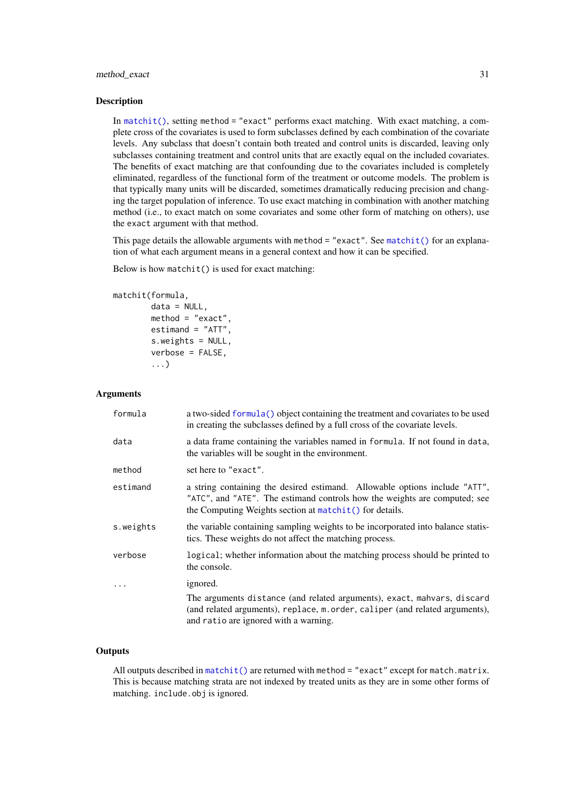#### <span id="page-30-0"></span>method\_exact 31

#### **Description**

In [matchit\(\)](#page-14-1), setting method = "exact" performs exact matching. With exact matching, a complete cross of the covariates is used to form subclasses defined by each combination of the covariate levels. Any subclass that doesn't contain both treated and control units is discarded, leaving only subclasses containing treatment and control units that are exactly equal on the included covariates. The benefits of exact matching are that confounding due to the covariates included is completely eliminated, regardless of the functional form of the treatment or outcome models. The problem is that typically many units will be discarded, sometimes dramatically reducing precision and changing the target population of inference. To use exact matching in combination with another matching method (i.e., to exact match on some covariates and some other form of matching on others), use the exact argument with that method.

This page details the allowable arguments with method = "exact". See [matchit\(\)](#page-14-1) for an explanation of what each argument means in a general context and how it can be specified.

Below is how matchit() is used for exact matching:

```
matchit(formula,
```

```
data = NULL,
method = "exact",estimand = "ATT",
s.weights = NULL,
verbose = FALSE,
...)
```
#### Arguments

| formula   | a two-sided formula() object containing the treatment and covariates to be used<br>in creating the subclasses defined by a full cross of the covariate levels.                                                       |
|-----------|----------------------------------------------------------------------------------------------------------------------------------------------------------------------------------------------------------------------|
| data      | a data frame containing the variables named in formula. If not found in data,<br>the variables will be sought in the environment.                                                                                    |
| method    | set here to "exact".                                                                                                                                                                                                 |
| estimand  | a string containing the desired estimand. Allowable options include "ATT",<br>"ATC", and "ATE". The estimand controls how the weights are computed; see<br>the Computing Weights section at $matchit()$ for details. |
| s.weights | the variable containing sampling weights to be incorporated into balance statis-<br>tics. These weights do not affect the matching process.                                                                          |
| verbose   | logical; whether information about the matching process should be printed to<br>the console.                                                                                                                         |
| $\cdots$  | ignored.                                                                                                                                                                                                             |
|           | The arguments distance (and related arguments), exact, mahvars, discard<br>(and related arguments), replace, m. order, caliper (and related arguments),<br>and ratio are ignored with a warning.                     |

#### **Outputs**

All outputs described in [matchit\(\)](#page-14-1) are returned with method = "exact" except for match.matrix. This is because matching strata are not indexed by treated units as they are in some other forms of matching. include.obj is ignored.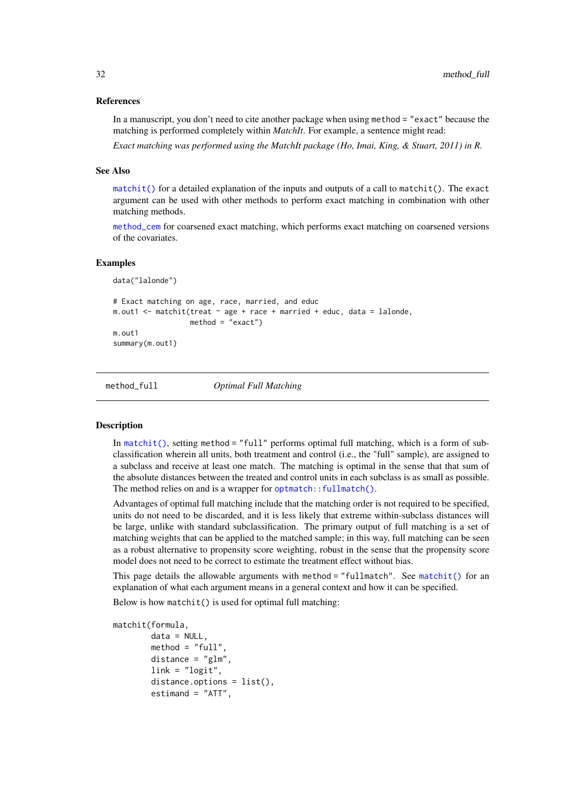#### <span id="page-31-0"></span>References

In a manuscript, you don't need to cite another package when using method = "exact" because the matching is performed completely within *MatchIt*. For example, a sentence might read:

*Exact matching was performed using the MatchIt package (Ho, Imai, King, & Stuart, 2011) in R.*

#### See Also

 $matchit()$  for a detailed explanation of the inputs and outputs of a call to  $matchit()$ . The exact argument can be used with other methods to perform exact matching in combination with other matching methods.

[method\\_cem](#page-25-1) for coarsened exact matching, which performs exact matching on coarsened versions of the covariates.

#### Examples

```
data("lalonde")
# Exact matching on age, race, married, and educ
m.out1 <- matchit(treat \sim age + race + married + educ, data = lalonde,
                  method = "exact")m.out1
summary(m.out1)
```
<span id="page-31-1"></span>

method\_full *Optimal Full Matching*

#### Description

In [matchit\(\)](#page-14-1), setting method = "full" performs optimal full matching, which is a form of subclassification wherein all units, both treatment and control (i.e., the "full" sample), are assigned to a subclass and receive at least one match. The matching is optimal in the sense that that sum of the absolute distances between the treated and control units in each subclass is as small as possible. The method relies on and is a wrapper for [optmatch::fullmatch\(\)](#page-0-0).

Advantages of optimal full matching include that the matching order is not required to be specified, units do not need to be discarded, and it is less likely that extreme within-subclass distances will be large, unlike with standard subclassification. The primary output of full matching is a set of matching weights that can be applied to the matched sample; in this way, full matching can be seen as a robust alternative to propensity score weighting, robust in the sense that the propensity score model does not need to be correct to estimate the treatment effect without bias.

This page details the allowable arguments with method  $=$  "fullmatch". See [matchit\(\)](#page-14-1) for an explanation of what each argument means in a general context and how it can be specified.

Below is how matchit() is used for optimal full matching:

```
matchit(formula,
        data = NULL,method = "full"distance = "glm",link = "logit",distance.options = list(),
        estimand = "ATT",
```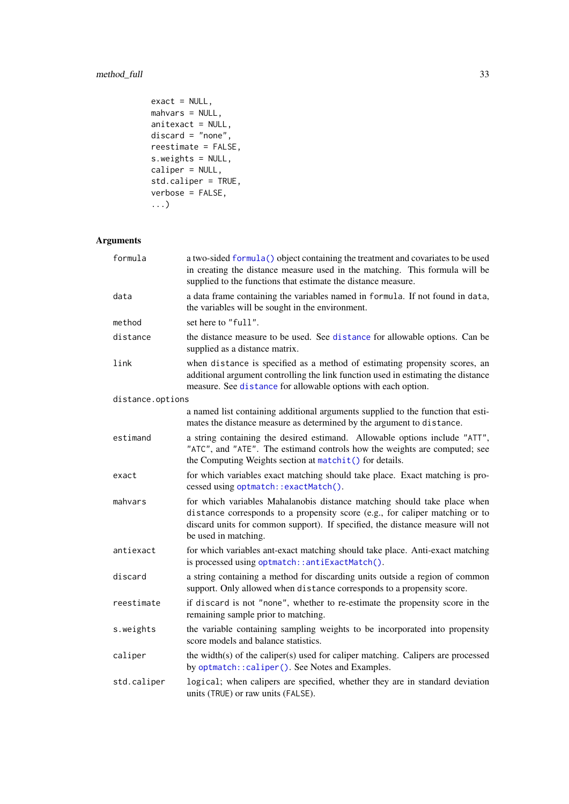# <span id="page-32-0"></span>method\_full 33

```
exact = NULL,mahvars = NULL,
anitexact = NULL,
discard = "none",
reestimate = FALSE,
s.weights = NULL,
caliper = NULL,
std.caliper = TRUE,
verbose = FALSE,
...)
```
# Arguments

| formula          | a two-sided formula() object containing the treatment and covariates to be used<br>in creating the distance measure used in the matching. This formula will be<br>supplied to the functions that estimate the distance measure.                                    |
|------------------|--------------------------------------------------------------------------------------------------------------------------------------------------------------------------------------------------------------------------------------------------------------------|
| data             | a data frame containing the variables named in formula. If not found in data,<br>the variables will be sought in the environment.                                                                                                                                  |
| method           | set here to "full".                                                                                                                                                                                                                                                |
| distance         | the distance measure to be used. See distance for allowable options. Can be<br>supplied as a distance matrix.                                                                                                                                                      |
| link             | when distance is specified as a method of estimating propensity scores, an<br>additional argument controlling the link function used in estimating the distance<br>measure. See distance for allowable options with each option.                                   |
| distance.options |                                                                                                                                                                                                                                                                    |
|                  | a named list containing additional arguments supplied to the function that esti-<br>mates the distance measure as determined by the argument to distance.                                                                                                          |
| estimand         | a string containing the desired estimand. Allowable options include "ATT",<br>"ATC", and "ATE". The estimand controls how the weights are computed; see<br>the Computing Weights section at matchit() for details.                                                 |
| exact            | for which variables exact matching should take place. Exact matching is pro-<br>cessed using optmatch::exactMatch().                                                                                                                                               |
| mahvars          | for which variables Mahalanobis distance matching should take place when<br>distance corresponds to a propensity score (e.g., for caliper matching or to<br>discard units for common support). If specified, the distance measure will not<br>be used in matching. |
| antiexact        | for which variables ant-exact matching should take place. Anti-exact matching<br>is processed using optmatch::antiExactMatch().                                                                                                                                    |
| discard          | a string containing a method for discarding units outside a region of common<br>support. Only allowed when distance corresponds to a propensity score.                                                                                                             |
| reestimate       | if discard is not "none", whether to re-estimate the propensity score in the<br>remaining sample prior to matching.                                                                                                                                                |
| s.weights        | the variable containing sampling weights to be incorporated into propensity<br>score models and balance statistics.                                                                                                                                                |
| caliper          | the width(s) of the caliper(s) used for caliper matching. Calipers are processed<br>by optmatch:: caliper(). See Notes and Examples.                                                                                                                               |
| std.caliper      | logical; when calipers are specified, whether they are in standard deviation<br>units (TRUE) or raw units (FALSE).                                                                                                                                                 |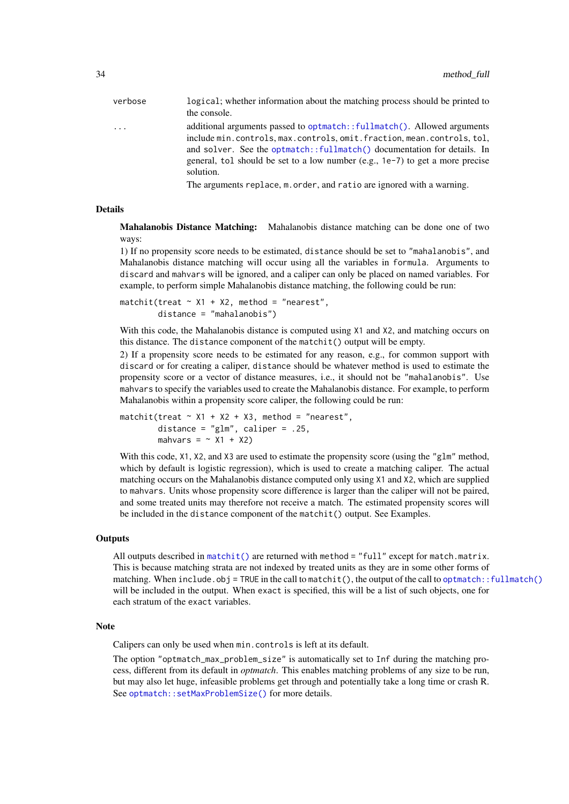<span id="page-33-0"></span>

| verbose | logical; whether information about the matching process should be printed to<br>the console.                                                                                                                                                                                                                           |
|---------|------------------------------------------------------------------------------------------------------------------------------------------------------------------------------------------------------------------------------------------------------------------------------------------------------------------------|
| $\cdot$ | additional arguments passed to optmatch::fullmatch(). Allowed arguments<br>include min.controls.max.controls.omit.fraction.mean.controls.tol.<br>and solver. See the optmatch::fullmatch() documentation for details. In<br>general, tol should be set to a low number (e.g., 1e-7) to get a more precise<br>solution. |
|         | The arguments replace, m. order, and ratio are ignored with a warning.                                                                                                                                                                                                                                                 |

#### Details

Mahalanobis Distance Matching: Mahalanobis distance matching can be done one of two ways:

1) If no propensity score needs to be estimated, distance should be set to "mahalanobis", and Mahalanobis distance matching will occur using all the variables in formula. Arguments to discard and mahvars will be ignored, and a caliper can only be placed on named variables. For example, to perform simple Mahalanobis distance matching, the following could be run:

```
matchit(treat \sim X1 + X2, method = "nearest",
        distance = "mahalanobis")
```
With this code, the Mahalanobis distance is computed using X1 and X2, and matching occurs on this distance. The distance component of the matchit() output will be empty.

2) If a propensity score needs to be estimated for any reason, e.g., for common support with discard or for creating a caliper, distance should be whatever method is used to estimate the propensity score or a vector of distance measures, i.e., it should not be "mahalanobis". Use mahvars to specify the variables used to create the Mahalanobis distance. For example, to perform Mahalanobis within a propensity score caliper, the following could be run:

matchit(treat  $\sim$  X1 + X2 + X3, method = "nearest", distance = "glm", caliper = .25, mahvars =  $\sim$  X1 + X2)

With this code, X1, X2, and X3 are used to estimate the propensity score (using the "g1m" method, which by default is logistic regression), which is used to create a matching caliper. The actual matching occurs on the Mahalanobis distance computed only using X1 and X2, which are supplied to mahvars. Units whose propensity score difference is larger than the caliper will not be paired, and some treated units may therefore not receive a match. The estimated propensity scores will be included in the distance component of the matchit() output. See Examples.

#### **Outputs**

All outputs described in [matchit\(\)](#page-14-1) are returned with method  $=$  "full" except for match.matrix. This is because matching strata are not indexed by treated units as they are in some other forms of matching. When include.obj = TRUE in the call to matchit(), the output of the call to [optmatch::fullmatch\(\)](#page-0-0) will be included in the output. When exact is specified, this will be a list of such objects, one for each stratum of the exact variables.

#### Note

Calipers can only be used when min.controls is left at its default.

The option "optmatch\_max\_problem\_size" is automatically set to Inf during the matching process, different from its default in *optmatch*. This enables matching problems of any size to be run, but may also let huge, infeasible problems get through and potentially take a long time or crash R. See [optmatch::setMaxProblemSize\(\)](#page-0-0) for more details.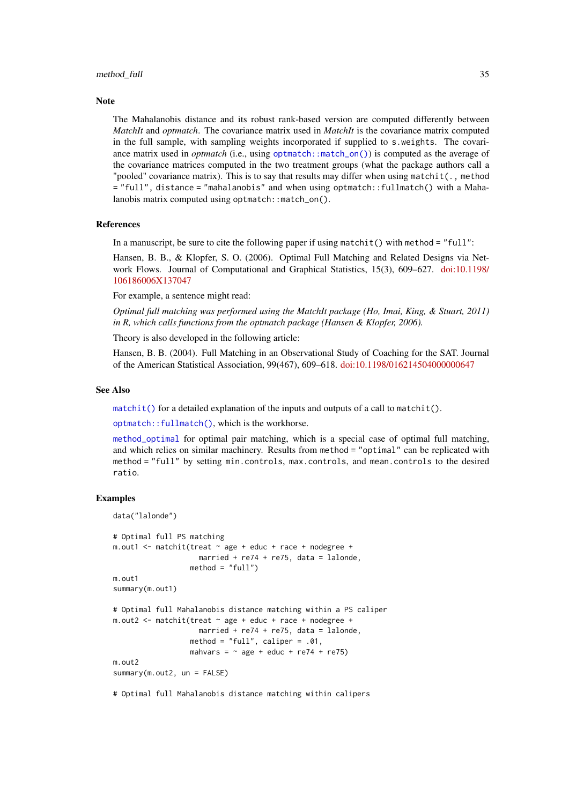#### <span id="page-34-0"></span>method\_full 35

#### Note

The Mahalanobis distance and its robust rank-based version are computed differently between *MatchIt* and *optmatch*. The covariance matrix used in *MatchIt* is the covariance matrix computed in the full sample, with sampling weights incorporated if supplied to s.weights. The covariance matrix used in *optmatch* (i.e., using [optmatch::match\\_on\(\)](#page-0-0)) is computed as the average of the covariance matrices computed in the two treatment groups (what the package authors call a "pooled" covariance matrix). This is to say that results may differ when using matchit( $\ldots$ , method = "full", distance = "mahalanobis" and when using optmatch::fullmatch() with a Mahalanobis matrix computed using optmatch::match\_on().

#### References

In a manuscript, be sure to cite the following paper if using matchit() with method =  $"full"$ :

Hansen, B. B., & Klopfer, S. O. (2006). Optimal Full Matching and Related Designs via Network Flows. Journal of Computational and Graphical Statistics, 15(3), 609–627. [doi:10.1198/](https://doi.org/10.1198/106186006X137047) [106186006X137047](https://doi.org/10.1198/106186006X137047)

For example, a sentence might read:

*Optimal full matching was performed using the MatchIt package (Ho, Imai, King, & Stuart, 2011) in R, which calls functions from the optmatch package (Hansen & Klopfer, 2006).*

Theory is also developed in the following article:

Hansen, B. B. (2004). Full Matching in an Observational Study of Coaching for the SAT. Journal of the American Statistical Association, 99(467), 609–618. [doi:10.1198/016214504000000647](https://doi.org/10.1198/016214504000000647)

#### See Also

 $matchit()$  for a detailed explanation of the inputs and outputs of a call to matchit().

[optmatch::fullmatch\(\)](#page-0-0), which is the workhorse.

[method\\_optimal](#page-43-1) for optimal pair matching, which is a special case of optimal full matching, and which relies on similar machinery. Results from method = "optimal" can be replicated with method = "full" by setting min.controls, max.controls, and mean.controls to the desired ratio.

#### Examples

```
data("lalonde")
# Optimal full PS matching
m.out1 <- matchit(treat ~ age + educ + race + nodegree +
                    married + re74 + re75, data = lalonde,
                  method = "full")m.out1
summary(m.out1)
# Optimal full Mahalanobis distance matching within a PS caliper
m.out2 <- matchit(treat ~ age + educ + race + nodegree +
                    married + re74 + re75, data = lalonde,
                  method = "full", caliper = .01,
                  mahvars = \sim age + educ + re74 + re75)
m.out2
summary(m.out2, un = FALSE)
```
# Optimal full Mahalanobis distance matching within calipers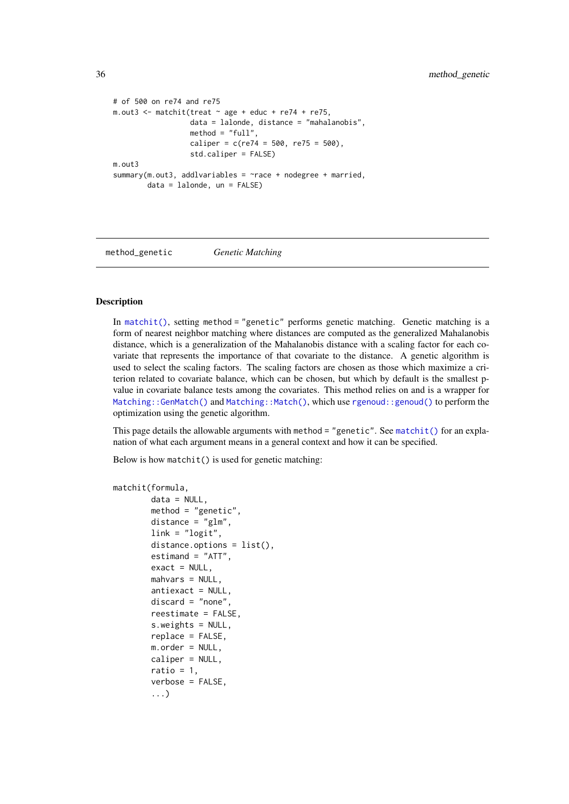```
# of 500 on re74 and re75
m.out3 \leq matchit(treat \sim age + educ + re74 + re75,
                  data = lalonde, distance = "mahalanobis",
                  method = "full"caliper = c(re74 = 500, re75 = 500),
                  std.caliper = FALSE)
m.out3
summary(m.out3, addlvariables = \gammarace + nodegree + married,
        data = lalonde, un = FALSE)
```
<span id="page-35-1"></span>method\_genetic *Genetic Matching*

#### Description

In [matchit\(\)](#page-14-1), setting method = "genetic" performs genetic matching. Genetic matching is a form of nearest neighbor matching where distances are computed as the generalized Mahalanobis distance, which is a generalization of the Mahalanobis distance with a scaling factor for each covariate that represents the importance of that covariate to the distance. A genetic algorithm is used to select the scaling factors. The scaling factors are chosen as those which maximize a criterion related to covariate balance, which can be chosen, but which by default is the smallest pvalue in covariate balance tests among the covariates. This method relies on and is a wrapper for [Matching::GenMatch\(\)](#page-0-0) and [Matching::Match\(\)](#page-0-0), which use [rgenoud::genoud\(\)](#page-0-0) to perform the optimization using the genetic algorithm.

This page details the allowable arguments with method = "genetic". See [matchit\(\)](#page-14-1) for an explanation of what each argument means in a general context and how it can be specified.

Below is how matchit() is used for genetic matching:

```
matchit(formula,
        data = NULL,
        method = "genetic",
        distance = "glm",link = "logit",distance.options = list(),
        estimand = "ATT",
        exact = NULL,mahvars = NULL,
        antiexact = NULL,
        discard = "none",
        reestimate = FALSE,
        s.weights = NULL,
        replace = FALSE,
        m.order = NULL,
        caliper = NULL,
        ratio = 1,
        verbose = FALSE,
        ...)
```
<span id="page-35-0"></span>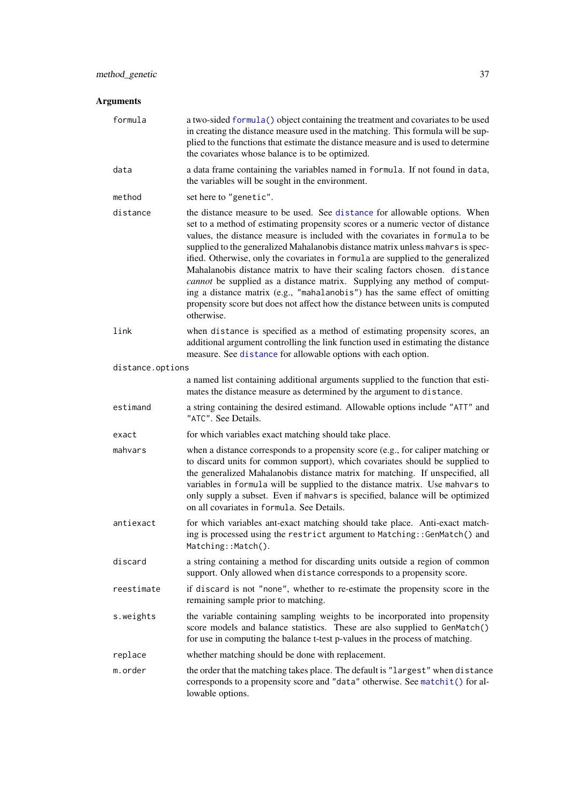# <span id="page-36-0"></span>Arguments

| formula          | a two-sided formula() object containing the treatment and covariates to be used<br>in creating the distance measure used in the matching. This formula will be sup-<br>plied to the functions that estimate the distance measure and is used to determine<br>the covariates whose balance is to be optimized.                                                                                                                                                                                                                                                                                                                                                                                                                                                  |
|------------------|----------------------------------------------------------------------------------------------------------------------------------------------------------------------------------------------------------------------------------------------------------------------------------------------------------------------------------------------------------------------------------------------------------------------------------------------------------------------------------------------------------------------------------------------------------------------------------------------------------------------------------------------------------------------------------------------------------------------------------------------------------------|
| data             | a data frame containing the variables named in formula. If not found in data,<br>the variables will be sought in the environment.                                                                                                                                                                                                                                                                                                                                                                                                                                                                                                                                                                                                                              |
| method           | set here to "genetic".                                                                                                                                                                                                                                                                                                                                                                                                                                                                                                                                                                                                                                                                                                                                         |
| distance         | the distance measure to be used. See distance for allowable options. When<br>set to a method of estimating propensity scores or a numeric vector of distance<br>values, the distance measure is included with the covariates in formula to be<br>supplied to the generalized Mahalanobis distance matrix unless mahvars is spec-<br>ified. Otherwise, only the covariates in formula are supplied to the generalized<br>Mahalanobis distance matrix to have their scaling factors chosen. distance<br>cannot be supplied as a distance matrix. Supplying any method of comput-<br>ing a distance matrix (e.g., "mahalanobis") has the same effect of omitting<br>propensity score but does not affect how the distance between units is computed<br>otherwise. |
| link             | when distance is specified as a method of estimating propensity scores, an<br>additional argument controlling the link function used in estimating the distance<br>measure. See distance for allowable options with each option.                                                                                                                                                                                                                                                                                                                                                                                                                                                                                                                               |
| distance.options |                                                                                                                                                                                                                                                                                                                                                                                                                                                                                                                                                                                                                                                                                                                                                                |
|                  | a named list containing additional arguments supplied to the function that esti-<br>mates the distance measure as determined by the argument to distance.                                                                                                                                                                                                                                                                                                                                                                                                                                                                                                                                                                                                      |
| estimand         | a string containing the desired estimand. Allowable options include "ATT" and<br>"ATC". See Details.                                                                                                                                                                                                                                                                                                                                                                                                                                                                                                                                                                                                                                                           |
| exact            | for which variables exact matching should take place.                                                                                                                                                                                                                                                                                                                                                                                                                                                                                                                                                                                                                                                                                                          |
| mahvars          | when a distance corresponds to a propensity score (e.g., for caliper matching or<br>to discard units for common support), which covariates should be supplied to<br>the generalized Mahalanobis distance matrix for matching. If unspecified, all<br>variables in formula will be supplied to the distance matrix. Use mahvars to<br>only supply a subset. Even if mahvars is specified, balance will be optimized<br>on all covariates in formula. See Details.                                                                                                                                                                                                                                                                                               |
| antiexact        | for which variables ant-exact matching should take place. Anti-exact match-<br>ing is processed using the restrict argument to Matching:: GenMatch() and<br>Matching::Match().                                                                                                                                                                                                                                                                                                                                                                                                                                                                                                                                                                                 |
| discard          | a string containing a method for discarding units outside a region of common<br>support. Only allowed when distance corresponds to a propensity score.                                                                                                                                                                                                                                                                                                                                                                                                                                                                                                                                                                                                         |
| reestimate       | if discard is not "none", whether to re-estimate the propensity score in the<br>remaining sample prior to matching.                                                                                                                                                                                                                                                                                                                                                                                                                                                                                                                                                                                                                                            |
| s.weights        | the variable containing sampling weights to be incorporated into propensity<br>score models and balance statistics. These are also supplied to GenMatch()<br>for use in computing the balance t-test p-values in the process of matching.                                                                                                                                                                                                                                                                                                                                                                                                                                                                                                                      |
| replace          | whether matching should be done with replacement.                                                                                                                                                                                                                                                                                                                                                                                                                                                                                                                                                                                                                                                                                                              |
| m.order          | the order that the matching takes place. The default is "largest" when distance<br>corresponds to a propensity score and "data" otherwise. See matchit() for al-<br>lowable options.                                                                                                                                                                                                                                                                                                                                                                                                                                                                                                                                                                           |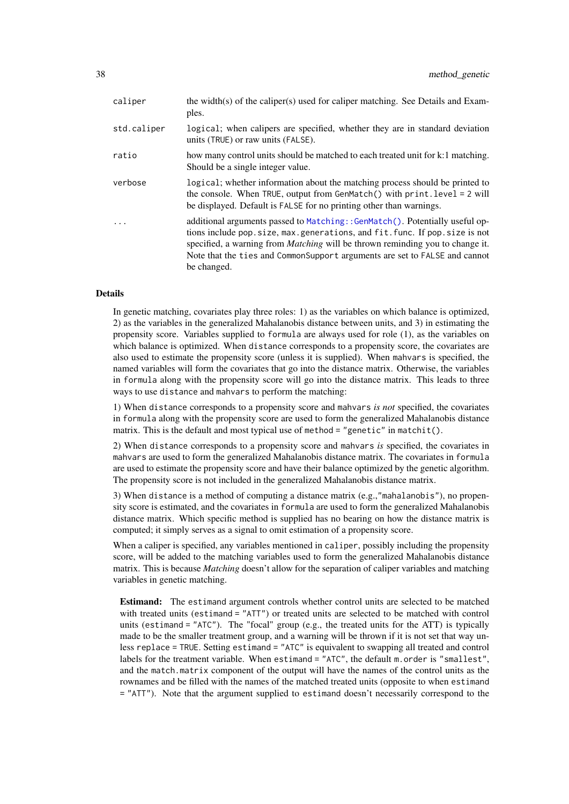<span id="page-37-0"></span>

| caliper     | the width(s) of the caliper(s) used for caliper matching. See Details and Exam-<br>ples.                                                                                                                                                                                                                                                           |
|-------------|----------------------------------------------------------------------------------------------------------------------------------------------------------------------------------------------------------------------------------------------------------------------------------------------------------------------------------------------------|
| std.caliper | logical; when calipers are specified, whether they are in standard deviation<br>units (TRUE) or raw units (FALSE).                                                                                                                                                                                                                                 |
| ratio       | how many control units should be matched to each treated unit for k:1 matching.<br>Should be a single integer value.                                                                                                                                                                                                                               |
| verbose     | logical; whether information about the matching process should be printed to<br>the console. When TRUE, output from GenMatch() with $printlevel = 2 will$<br>be displayed. Default is FALSE for no printing other than warnings.                                                                                                                   |
| .           | additional arguments passed to Matching: :GenMatch(). Potentially useful op-<br>tions include pop. size, max. generations, and fit. func. If pop. size is not<br>specified, a warning from <i>Matching</i> will be thrown reminding you to change it.<br>Note that the ties and CommonSupport arguments are set to FALSE and cannot<br>be changed. |

#### Details

In genetic matching, covariates play three roles: 1) as the variables on which balance is optimized, 2) as the variables in the generalized Mahalanobis distance between units, and 3) in estimating the propensity score. Variables supplied to formula are always used for role (1), as the variables on which balance is optimized. When distance corresponds to a propensity score, the covariates are also used to estimate the propensity score (unless it is supplied). When mahvars is specified, the named variables will form the covariates that go into the distance matrix. Otherwise, the variables in formula along with the propensity score will go into the distance matrix. This leads to three ways to use distance and mahvars to perform the matching:

1) When distance corresponds to a propensity score and mahvars *is not* specified, the covariates in formula along with the propensity score are used to form the generalized Mahalanobis distance matrix. This is the default and most typical use of method = "genetic" in matchit().

2) When distance corresponds to a propensity score and mahvars *is* specified, the covariates in mahvars are used to form the generalized Mahalanobis distance matrix. The covariates in formula are used to estimate the propensity score and have their balance optimized by the genetic algorithm. The propensity score is not included in the generalized Mahalanobis distance matrix.

3) When distance is a method of computing a distance matrix (e.g.,"mahalanobis"), no propensity score is estimated, and the covariates in formula are used to form the generalized Mahalanobis distance matrix. Which specific method is supplied has no bearing on how the distance matrix is computed; it simply serves as a signal to omit estimation of a propensity score.

When a caliper is specified, any variables mentioned in caliper, possibly including the propensity score, will be added to the matching variables used to form the generalized Mahalanobis distance matrix. This is because *Matching* doesn't allow for the separation of caliper variables and matching variables in genetic matching.

Estimand: The estimand argument controls whether control units are selected to be matched with treated units (estimand = "ATT") or treated units are selected to be matched with control units (estimand = "ATC"). The "focal" group (e.g., the treated units for the ATT) is typically made to be the smaller treatment group, and a warning will be thrown if it is not set that way unless replace = TRUE. Setting estimand = "ATC" is equivalent to swapping all treated and control labels for the treatment variable. When estimand = "ATC", the default m.order is "smallest", and the match.matrix component of the output will have the names of the control units as the rownames and be filled with the names of the matched treated units (opposite to when estimand = "ATT"). Note that the argument supplied to estimand doesn't necessarily correspond to the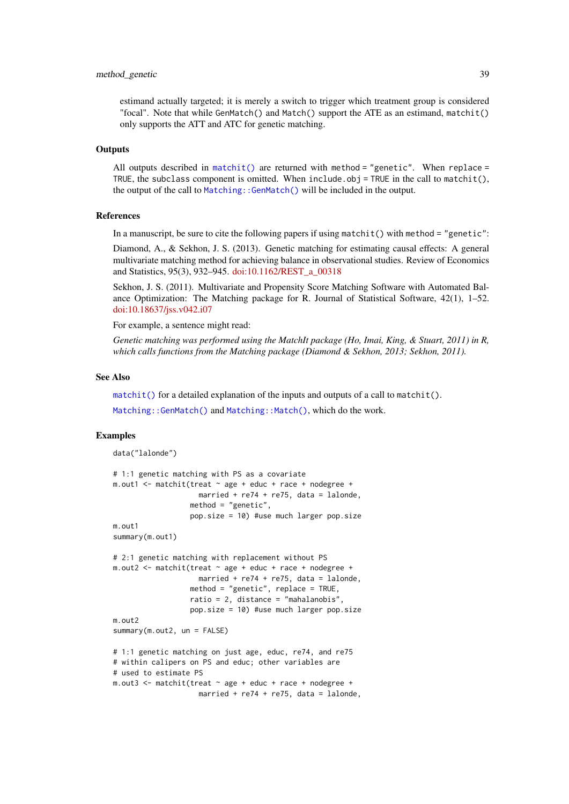#### <span id="page-38-0"></span>method\_genetic 39

estimand actually targeted; it is merely a switch to trigger which treatment group is considered "focal". Note that while GenMatch() and Match() support the ATE as an estimand, matchit() only supports the ATT and ATC for genetic matching.

#### **Outputs**

All outputs described in [matchit\(\)](#page-14-1) are returned with method = "genetic". When replace = TRUE, the subclass component is omitted. When include.obj = TRUE in the call to matchit(), the output of the call to [Matching::GenMatch\(\)](#page-0-0) will be included in the output.

#### References

In a manuscript, be sure to cite the following papers if using matchit() with method = "genetic":

Diamond, A., & Sekhon, J. S. (2013). Genetic matching for estimating causal effects: A general multivariate matching method for achieving balance in observational studies. Review of Economics and Statistics, 95(3), 932–945. [doi:10.1162/REST\\_a\\_00318](https://doi.org/10.1162/REST_a_00318)

Sekhon, J. S. (2011). Multivariate and Propensity Score Matching Software with Automated Balance Optimization: The Matching package for R. Journal of Statistical Software, 42(1), 1–52. [doi:10.18637/jss.v042.i07](https://doi.org/10.18637/jss.v042.i07)

For example, a sentence might read:

*Genetic matching was performed using the MatchIt package (Ho, Imai, King, & Stuart, 2011) in R, which calls functions from the Matching package (Diamond & Sekhon, 2013; Sekhon, 2011).*

#### See Also

[matchit\(\)](#page-14-1) for a detailed explanation of the inputs and outputs of a call to matchit().

[Matching::GenMatch\(\)](#page-0-0) and [Matching::Match\(\)](#page-0-0), which do the work.

#### Examples

```
data("lalonde")
# 1:1 genetic matching with PS as a covariate
m.out1 <- m. m.t. (treat \sim age + educ + race + node)married + re74 + re75, data = lalonde,
                  method = "genetic",
                  pop.size = 10) #use much larger pop.size
m.out1
summary(m.out1)
# 2:1 genetic matching with replacement without PS
m.out2 <- matchit(treat \sim age + educ + race + nodegree +
                    married + re74 + re75, data = lalonde,
                  method = "genetic", replace = TRUE,
                  ratio = 2, distance = "mahalanobis",
                  pop.size = 10) #use much larger pop.size
m.out<sub>2</sub>
summary(m.out2, un = FALSE)
# 1:1 genetic matching on just age, educ, re74, and re75
# within calipers on PS and educ; other variables are
# used to estimate PS
m.out3 <- matchit(treat ~ age + educ + race + nodegree +
                    married + re74 + re75, data = lalonde,
```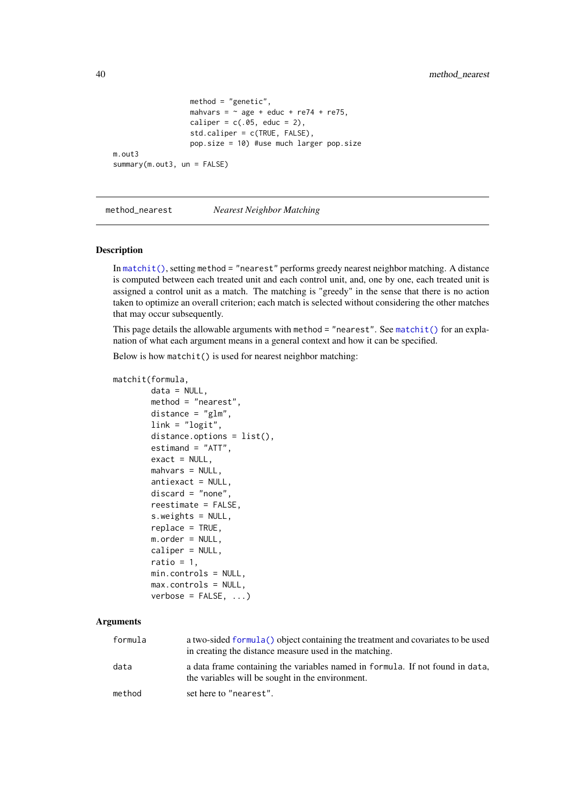```
method = "genetic",
                  mahvars = \sim age + educ + re74 + re75,
                  caliper = c(.05, educ = 2),
                  std.caliper = c(TRUE, FALSE),
                  pop.size = 10) #use much larger pop.size
m.out3
summary(m.out3, un = FALSE)
```
<span id="page-39-1"></span>method\_nearest *Nearest Neighbor Matching*

#### Description

In [matchit\(\)](#page-14-1), setting method = "nearest" performs greedy nearest neighbor matching. A distance is computed between each treated unit and each control unit, and, one by one, each treated unit is assigned a control unit as a match. The matching is "greedy" in the sense that there is no action taken to optimize an overall criterion; each match is selected without considering the other matches that may occur subsequently.

This page details the allowable arguments with method = "nearest". See [matchit\(\)](#page-14-1) for an explanation of what each argument means in a general context and how it can be specified.

Below is how matchit() is used for nearest neighbor matching:

```
matchit(formula,
```

```
data = NULL,
method = "nearest",
distance = "glm",link = "logit",
distance.options = list(),
estimand = "ATT",
exact = NULL,mahvars = NULL,antiexact = NULL,
discard = "none",
reestimate = FALSE,
s.weights = NULL,
replace = TRUE,
m.order = NULL,
caliper = NULL,
ratio = 1,
min.controls = NULL,
max.controls = NULL,
verbose = FALSE, ...)
```
# Arguments

| formula | a two-sided formula () object containing the treatment and covariates to be used<br>in creating the distance measure used in the matching. |
|---------|--------------------------------------------------------------------------------------------------------------------------------------------|
| data    | a data frame containing the variables named in formula. If not found in data,<br>the variables will be sought in the environment.          |
| method  | set here to "nearest".                                                                                                                     |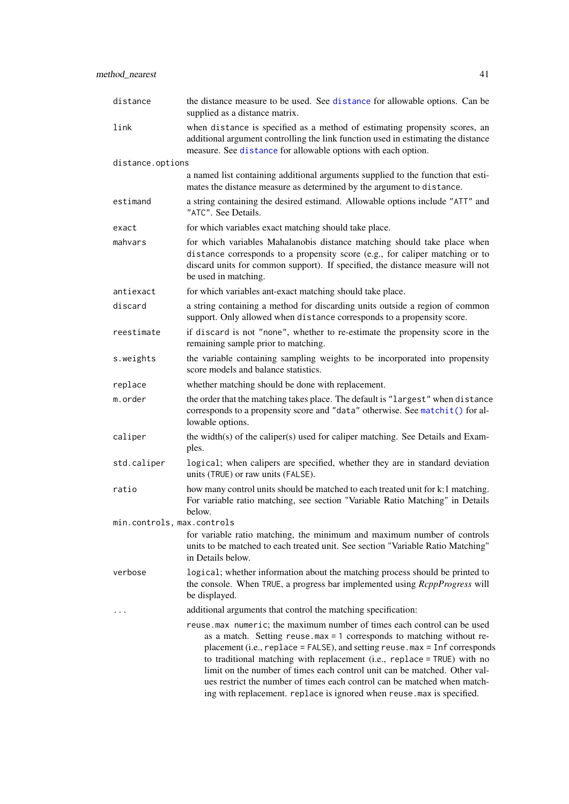<span id="page-40-0"></span>

| distance                   | the distance measure to be used. See distance for allowable options. Can be<br>supplied as a distance matrix.                                                                                                                                                                                                                                                                                                                                                                                                                                          |
|----------------------------|--------------------------------------------------------------------------------------------------------------------------------------------------------------------------------------------------------------------------------------------------------------------------------------------------------------------------------------------------------------------------------------------------------------------------------------------------------------------------------------------------------------------------------------------------------|
| link                       | when distance is specified as a method of estimating propensity scores, an<br>additional argument controlling the link function used in estimating the distance<br>measure. See distance for allowable options with each option.                                                                                                                                                                                                                                                                                                                       |
| distance.options           |                                                                                                                                                                                                                                                                                                                                                                                                                                                                                                                                                        |
|                            | a named list containing additional arguments supplied to the function that esti-<br>mates the distance measure as determined by the argument to distance.                                                                                                                                                                                                                                                                                                                                                                                              |
| estimand                   | a string containing the desired estimand. Allowable options include "ATT" and<br>"ATC". See Details.                                                                                                                                                                                                                                                                                                                                                                                                                                                   |
| exact                      | for which variables exact matching should take place.                                                                                                                                                                                                                                                                                                                                                                                                                                                                                                  |
| mahvars                    | for which variables Mahalanobis distance matching should take place when<br>distance corresponds to a propensity score (e.g., for caliper matching or to<br>discard units for common support). If specified, the distance measure will not<br>be used in matching.                                                                                                                                                                                                                                                                                     |
| antiexact                  | for which variables ant-exact matching should take place.                                                                                                                                                                                                                                                                                                                                                                                                                                                                                              |
| discard                    | a string containing a method for discarding units outside a region of common<br>support. Only allowed when distance corresponds to a propensity score.                                                                                                                                                                                                                                                                                                                                                                                                 |
| reestimate                 | if discard is not "none", whether to re-estimate the propensity score in the<br>remaining sample prior to matching.                                                                                                                                                                                                                                                                                                                                                                                                                                    |
| s.weights                  | the variable containing sampling weights to be incorporated into propensity<br>score models and balance statistics.                                                                                                                                                                                                                                                                                                                                                                                                                                    |
| replace                    | whether matching should be done with replacement.                                                                                                                                                                                                                                                                                                                                                                                                                                                                                                      |
| m.order                    | the order that the matching takes place. The default is "largest" when distance<br>corresponds to a propensity score and "data" otherwise. See matchit() for al-<br>lowable options.                                                                                                                                                                                                                                                                                                                                                                   |
| caliper                    | the width(s) of the caliper(s) used for caliper matching. See Details and Exam-<br>ples.                                                                                                                                                                                                                                                                                                                                                                                                                                                               |
| std.caliper                | logical; when calipers are specified, whether they are in standard deviation<br>units (TRUE) or raw units (FALSE).                                                                                                                                                                                                                                                                                                                                                                                                                                     |
| ratio                      | how many control units should be matched to each treated unit for k:1 matching.<br>For variable ratio matching, see section "Variable Ratio Matching" in Details<br>below.                                                                                                                                                                                                                                                                                                                                                                             |
| min.controls, max.controls |                                                                                                                                                                                                                                                                                                                                                                                                                                                                                                                                                        |
|                            | for variable ratio matching, the minimum and maximum number of controls<br>units to be matched to each treated unit. See section "Variable Ratio Matching"<br>in Details below.                                                                                                                                                                                                                                                                                                                                                                        |
| verbose                    | logical; whether information about the matching process should be printed to<br>the console. When TRUE, a progress bar implemented using <i>RcppProgress</i> will<br>be displayed.                                                                                                                                                                                                                                                                                                                                                                     |
|                            | additional arguments that control the matching specification:                                                                                                                                                                                                                                                                                                                                                                                                                                                                                          |
|                            | reuse.max numeric; the maximum number of times each control can be used<br>as a match. Setting reuse $\text{max} = 1$ corresponds to matching without re-<br>placement (i.e., replace = FALSE), and setting reuse . max = Inf corresponds<br>to traditional matching with replacement (i.e., replace = TRUE) with no<br>limit on the number of times each control unit can be matched. Other val-<br>ues restrict the number of times each control can be matched when match-<br>ing with replacement. replace is ignored when reuse max is specified. |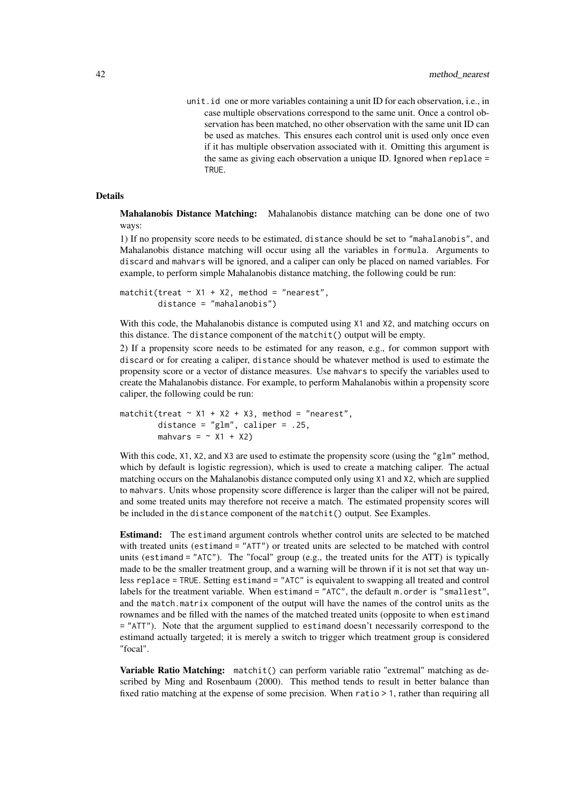unit.id one or more variables containing a unit ID for each observation, i.e., in case multiple observations correspond to the same unit. Once a control observation has been matched, no other observation with the same unit ID can be used as matches. This ensures each control unit is used only once even if it has multiple observation associated with it. Omitting this argument is the same as giving each observation a unique ID. Ignored when replace = TRUE.

#### Details

Mahalanobis Distance Matching: Mahalanobis distance matching can be done one of two ways:

1) If no propensity score needs to be estimated, distance should be set to "mahalanobis", and Mahalanobis distance matching will occur using all the variables in formula. Arguments to discard and mahvars will be ignored, and a caliper can only be placed on named variables. For example, to perform simple Mahalanobis distance matching, the following could be run:

```
matchit(treat \sim X1 + X2, method = "nearest",distance = "mahalanobis")
```
With this code, the Mahalanobis distance is computed using X1 and X2, and matching occurs on this distance. The distance component of the matchit() output will be empty.

2) If a propensity score needs to be estimated for any reason, e.g., for common support with discard or for creating a caliper, distance should be whatever method is used to estimate the propensity score or a vector of distance measures. Use mahvars to specify the variables used to create the Mahalanobis distance. For example, to perform Mahalanobis within a propensity score caliper, the following could be run:

```
matchit(treat \sim X1 + X2 + X3, method = "nearest",
        distance = "glm", caliper = .25,
        mahvars = \sim X1 + X2)
```
With this code, X1, X2, and X3 are used to estimate the propensity score (using the "g1m" method, which by default is logistic regression), which is used to create a matching caliper. The actual matching occurs on the Mahalanobis distance computed only using X1 and X2, which are supplied to mahvars. Units whose propensity score difference is larger than the caliper will not be paired, and some treated units may therefore not receive a match. The estimated propensity scores will be included in the distance component of the matchit() output. See Examples.

Estimand: The estimand argument controls whether control units are selected to be matched with treated units (estimand = "ATT") or treated units are selected to be matched with control units (estimand = "ATC"). The "focal" group (e.g., the treated units for the ATT) is typically made to be the smaller treatment group, and a warning will be thrown if it is not set that way unless replace = TRUE. Setting estimand = "ATC" is equivalent to swapping all treated and control labels for the treatment variable. When estimand = "ATC", the default m. order is "smallest", and the match.matrix component of the output will have the names of the control units as the rownames and be filled with the names of the matched treated units (opposite to when estimand = "ATT"). Note that the argument supplied to estimand doesn't necessarily correspond to the estimand actually targeted; it is merely a switch to trigger which treatment group is considered "focal".

Variable Ratio Matching: matchit() can perform variable ratio "extremal" matching as described by Ming and Rosenbaum (2000). This method tends to result in better balance than fixed ratio matching at the expense of some precision. When ratio > 1, rather than requiring all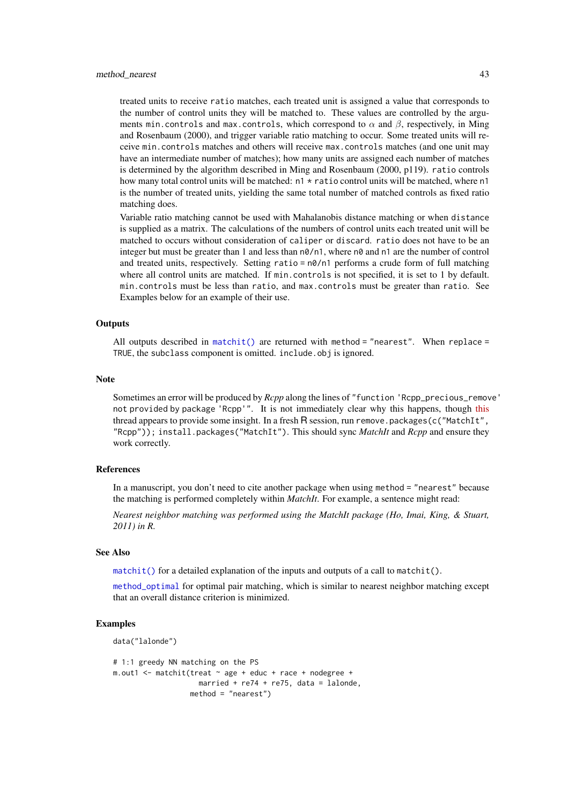#### <span id="page-42-0"></span>method\_nearest 43

treated units to receive ratio matches, each treated unit is assigned a value that corresponds to the number of control units they will be matched to. These values are controlled by the arguments min.controls and max.controls, which correspond to  $\alpha$  and  $\beta$ , respectively, in Ming and Rosenbaum (2000), and trigger variable ratio matching to occur. Some treated units will receive min.controls matches and others will receive max.controls matches (and one unit may have an intermediate number of matches); how many units are assigned each number of matches is determined by the algorithm described in Ming and Rosenbaum (2000, p119). ratio controls how many total control units will be matched:  $n1 * ratio$  control units will be matched, where n1 is the number of treated units, yielding the same total number of matched controls as fixed ratio matching does.

Variable ratio matching cannot be used with Mahalanobis distance matching or when distance is supplied as a matrix. The calculations of the numbers of control units each treated unit will be matched to occurs without consideration of caliper or discard. ratio does not have to be an integer but must be greater than 1 and less than  $n\theta/n1$ , where  $n\theta$  and  $n1$  are the number of control and treated units, respectively. Setting ratio =  $n\theta/n1$  performs a crude form of full matching where all control units are matched. If min.controls is not specified, it is set to 1 by default. min.controls must be less than ratio, and max.controls must be greater than ratio. See Examples below for an example of their use.

#### **Outputs**

All outputs described in [matchit\(\)](#page-14-1) are returned with method = "nearest". When replace = TRUE, the subclass component is omitted. include.obj is ignored.

#### Note

Sometimes an error will be produced by *Rcpp* along the lines of "function 'Rcpp\_precious\_remove' not provided by package 'Rcpp'". It is not immediately clear why [this](https://lists.r-forge.r-project.org/pipermail/rcpp-devel/2021-July/010648.html) happens, though this thread appears to provide some insight. In a fresh R session, run remove.packages(c("MatchIt", "Rcpp")); install.packages("MatchIt"). This should sync *MatchIt* and *Rcpp* and ensure they work correctly.

#### References

In a manuscript, you don't need to cite another package when using method = "nearest" because the matching is performed completely within *MatchIt*. For example, a sentence might read:

*Nearest neighbor matching was performed using the MatchIt package (Ho, Imai, King, & Stuart, 2011) in R.*

#### See Also

[matchit\(\)](#page-14-1) for a detailed explanation of the inputs and outputs of a call to matchit().

[method\\_optimal](#page-43-1) for optimal pair matching, which is similar to nearest neighbor matching except that an overall distance criterion is minimized.

#### Examples

```
data("lalonde")
```

```
# 1:1 greedy NN matching on the PS
m.out1 <- matchit(treat \sim age + educ + race + nodegree +
                    married + re74 + re75, data = lalonde,
                  method = "nearest")
```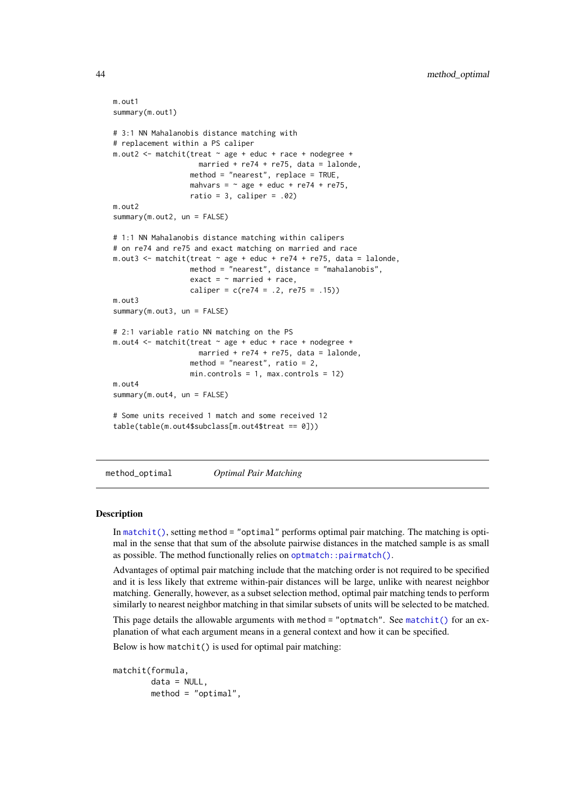```
m.out1
summary(m.out1)
# 3:1 NN Mahalanobis distance matching with
# replacement within a PS caliper
m.out2 <- matchit(treat ~ age + educ + race + nodegree +
                    married + re74 + re75, data = lalonde,
                  method = "nearest", replace = TRUE,
                  mahvars = \sim age + educ + re74 + re75,
                  ratio = 3, caliper = .02)
m.out<sub>2</sub>
summary(m.out2, un = FALSE)
# 1:1 NN Mahalanobis distance matching within calipers
# on re74 and re75 and exact matching on married and race
m.out3 <- matchit(treat \sim age + educ + re74 + re75, data = lalonde,
                  method = "nearest", distance = "mahalanobis",
                  exact = \sim married + race,
                  caliper = c(re74 = .2, re75 = .15))
m.out3
summary(m.out3, un = FALSE)
# 2:1 variable ratio NN matching on the PS
m.out4 <- matchit(treat ~ age + educ + race + nodegree +
                    married + re74 + re75, data = lalonde,
                  method = "nearest", ratio = 2,
                  min. controls = 1, max. controls = 12)m.out4
summary(m.out4, un = FALSE)# Some units received 1 match and some received 12
table(table(m.out4$subclass[m.out4$treat == 0]))
```
<span id="page-43-1"></span>method\_optimal *Optimal Pair Matching*

#### **Description**

In [matchit\(\)](#page-14-1), setting method = "optimal" performs optimal pair matching. The matching is optimal in the sense that that sum of the absolute pairwise distances in the matched sample is as small as possible. The method functionally relies on [optmatch::pairmatch\(\)](#page-0-0).

Advantages of optimal pair matching include that the matching order is not required to be specified and it is less likely that extreme within-pair distances will be large, unlike with nearest neighbor matching. Generally, however, as a subset selection method, optimal pair matching tends to perform similarly to nearest neighbor matching in that similar subsets of units will be selected to be matched.

This page details the allowable arguments with method = "optmatch". See [matchit\(\)](#page-14-1) for an explanation of what each argument means in a general context and how it can be specified.

Below is how matchit() is used for optimal pair matching:

matchit(formula,  $data = NULL,$ method = "optimal",

<span id="page-43-0"></span>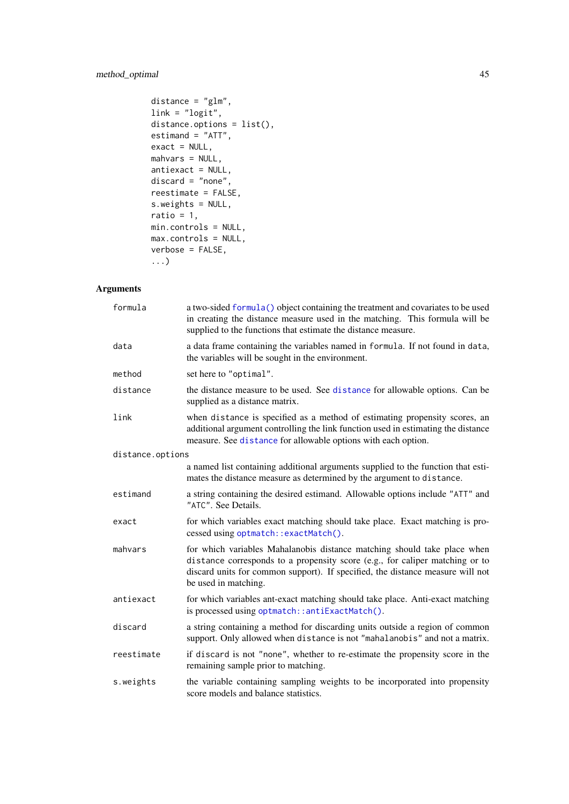# <span id="page-44-0"></span>method\_optimal 45

```
distance = "glm",link = "logit",
distance.options = list(),
estimand = "ATT",exact = NULL,mahvars = NULL,
antiexact = NULL,
discard = "none",reestimate = FALSE,
s.weights = NULL,
ratio = 1,
min.controls = NULL,
max.controls = NULL,
verbose = FALSE,
...)
```
# Arguments

| formula          | a two-sided formula() object containing the treatment and covariates to be used<br>in creating the distance measure used in the matching. This formula will be<br>supplied to the functions that estimate the distance measure.                                    |
|------------------|--------------------------------------------------------------------------------------------------------------------------------------------------------------------------------------------------------------------------------------------------------------------|
| data             | a data frame containing the variables named in formula. If not found in data,<br>the variables will be sought in the environment.                                                                                                                                  |
| method           | set here to "optimal".                                                                                                                                                                                                                                             |
| distance         | the distance measure to be used. See distance for allowable options. Can be<br>supplied as a distance matrix.                                                                                                                                                      |
| link             | when distance is specified as a method of estimating propensity scores, an<br>additional argument controlling the link function used in estimating the distance<br>measure. See distance for allowable options with each option.                                   |
| distance.options |                                                                                                                                                                                                                                                                    |
|                  | a named list containing additional arguments supplied to the function that esti-<br>mates the distance measure as determined by the argument to distance.                                                                                                          |
| estimand         | a string containing the desired estimand. Allowable options include "ATT" and<br>"ATC". See Details.                                                                                                                                                               |
| exact            | for which variables exact matching should take place. Exact matching is pro-<br>cessed using optmatch::exactMatch().                                                                                                                                               |
| mahvars          | for which variables Mahalanobis distance matching should take place when<br>distance corresponds to a propensity score (e.g., for caliper matching or to<br>discard units for common support). If specified, the distance measure will not<br>be used in matching. |
| antiexact        | for which variables ant-exact matching should take place. Anti-exact matching<br>is processed using optmatch:: antiExactMatch().                                                                                                                                   |
| discard          | a string containing a method for discarding units outside a region of common<br>support. Only allowed when distance is not "mahalanobis" and not a matrix.                                                                                                         |
| reestimate       | if discard is not "none", whether to re-estimate the propensity score in the<br>remaining sample prior to matching.                                                                                                                                                |
| s.weights        | the variable containing sampling weights to be incorporated into propensity<br>score models and balance statistics.                                                                                                                                                |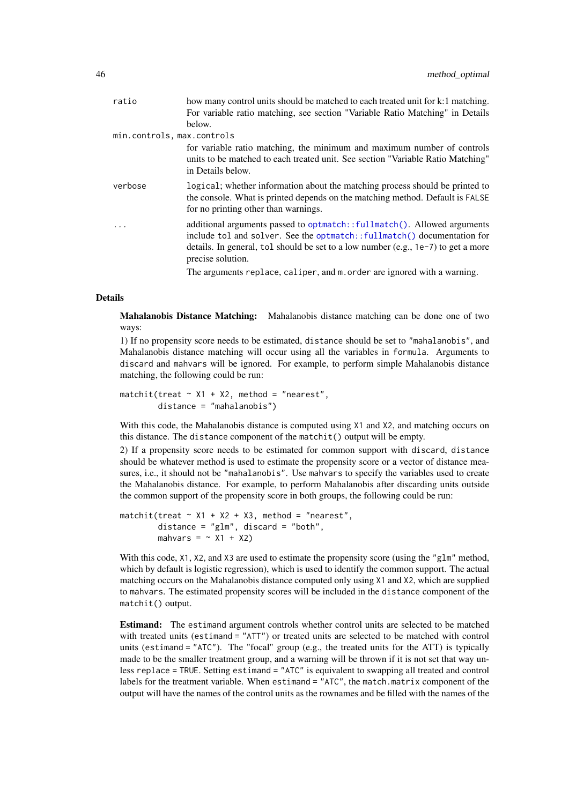<span id="page-45-0"></span>

| ratio                      | how many control units should be matched to each treated unit for k:1 matching.                                                                                                                                                                                  |
|----------------------------|------------------------------------------------------------------------------------------------------------------------------------------------------------------------------------------------------------------------------------------------------------------|
|                            | For variable ratio matching, see section "Variable Ratio Matching" in Details                                                                                                                                                                                    |
|                            | below.                                                                                                                                                                                                                                                           |
| min.controls, max.controls |                                                                                                                                                                                                                                                                  |
|                            | for variable ratio matching, the minimum and maximum number of controls<br>units to be matched to each treated unit. See section "Variable Ratio Matching"<br>in Details below.                                                                                  |
| verbose                    | logical; whether information about the matching process should be printed to<br>the console. What is printed depends on the matching method. Default is FALSE<br>for no printing other than warnings.                                                            |
| $\cdot$                    | additional arguments passed to optmatch::fullmatch(). Allowed arguments<br>include tol and solver. See the optmatch:: fullmatch() documentation for<br>details. In general, tol should be set to a low number (e.g., $1e-7$ ) to get a more<br>precise solution. |
|                            | The arguments replace, caliper, and m. order are ignored with a warning.                                                                                                                                                                                         |

# Details

Mahalanobis Distance Matching: Mahalanobis distance matching can be done one of two ways:

1) If no propensity score needs to be estimated, distance should be set to "mahalanobis", and Mahalanobis distance matching will occur using all the variables in formula. Arguments to discard and mahvars will be ignored. For example, to perform simple Mahalanobis distance matching, the following could be run:

 $matchit(treat \sim X1 + X2, method = "nearest".$ distance = "mahalanobis")

With this code, the Mahalanobis distance is computed using  $X1$  and  $X2$ , and matching occurs on this distance. The distance component of the matchit() output will be empty.

2) If a propensity score needs to be estimated for common support with discard, distance should be whatever method is used to estimate the propensity score or a vector of distance measures, i.e., it should not be "mahalanobis". Use mahvars to specify the variables used to create the Mahalanobis distance. For example, to perform Mahalanobis after discarding units outside the common support of the propensity score in both groups, the following could be run:

```
matchit(treat \sim X1 + X2 + X3, method = "nearest",
        distance = "glm", discard = "both",
        mahvars = \sim X1 + X2)
```
With this code, X1, X2, and X3 are used to estimate the propensity score (using the "g1m" method, which by default is logistic regression), which is used to identify the common support. The actual matching occurs on the Mahalanobis distance computed only using X1 and X2, which are supplied to mahvars. The estimated propensity scores will be included in the distance component of the matchit() output.

Estimand: The estimand argument controls whether control units are selected to be matched with treated units (estimand = "ATT") or treated units are selected to be matched with control units (estimand = "ATC"). The "focal" group (e.g., the treated units for the ATT) is typically made to be the smaller treatment group, and a warning will be thrown if it is not set that way unless replace = TRUE. Setting estimand = "ATC" is equivalent to swapping all treated and control labels for the treatment variable. When estimand = "ATC", the match.matrix component of the output will have the names of the control units as the rownames and be filled with the names of the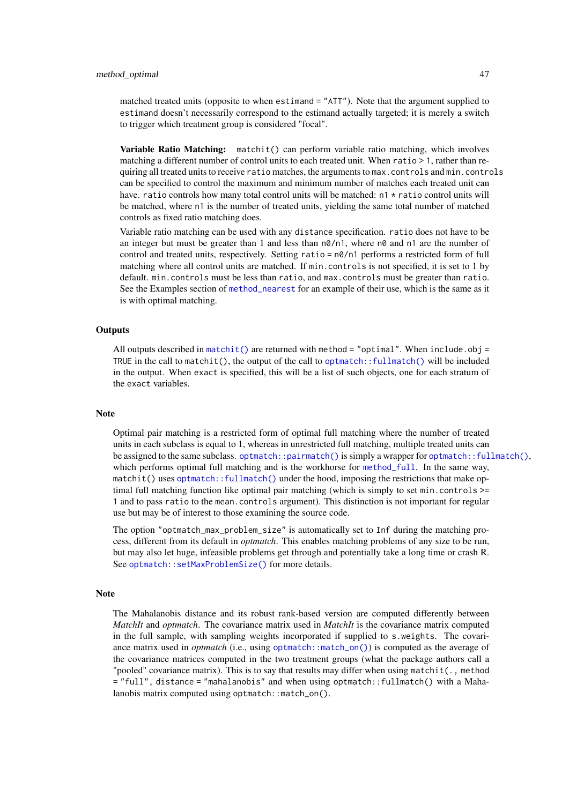<span id="page-46-0"></span>matched treated units (opposite to when estimand = "ATT"). Note that the argument supplied to estimand doesn't necessarily correspond to the estimand actually targeted; it is merely a switch to trigger which treatment group is considered "focal".

Variable Ratio Matching: matchit() can perform variable ratio matching, which involves matching a different number of control units to each treated unit. When ratio > 1, rather than requiring all treated units to receive ratio matches, the arguments to max.controls and min.controls can be specified to control the maximum and minimum number of matches each treated unit can have. ratio controls how many total control units will be matched:  $n1 \star$  ratio control units will be matched, where n1 is the number of treated units, yielding the same total number of matched controls as fixed ratio matching does.

Variable ratio matching can be used with any distance specification. ratio does not have to be an integer but must be greater than 1 and less than  $n\theta/n1$ , where  $n\theta$  and  $n1$  are the number of control and treated units, respectively. Setting ratio =  $n\theta/n1$  performs a restricted form of full matching where all control units are matched. If min.controls is not specified, it is set to 1 by default. min.controls must be less than ratio, and max.controls must be greater than ratio. See the Examples section of [method\\_nearest](#page-39-1) for an example of their use, which is the same as it is with optimal matching.

#### **Outputs**

All outputs described in [matchit\(\)](#page-14-1) are returned with method = "optimal". When include.obj = TRUE in the call to matchit(), the output of the call to optmatch:  $:fullmatch()$  will be included in the output. When exact is specified, this will be a list of such objects, one for each stratum of the exact variables.

#### Note

Optimal pair matching is a restricted form of optimal full matching where the number of treated units in each subclass is equal to 1, whereas in unrestricted full matching, multiple treated units can be assigned to the same subclass. [optmatch::pairmatch\(\)](#page-0-0) is simply a wrapper for [optmatch::fullmatch\(\)](#page-0-0), which performs optimal full matching and is the workhorse for [method\\_full](#page-31-1). In the same way, matchit() uses [optmatch::fullmatch\(\)](#page-0-0) under the hood, imposing the restrictions that make optimal full matching function like optimal pair matching (which is simply to set min.controls  $\ge$ = 1 and to pass ratio to the mean.controls argument). This distinction is not important for regular use but may be of interest to those examining the source code.

The option "optmatch max problem size" is automatically set to Inf during the matching process, different from its default in *optmatch*. This enables matching problems of any size to be run, but may also let huge, infeasible problems get through and potentially take a long time or crash R. See [optmatch::setMaxProblemSize\(\)](#page-0-0) for more details.

#### Note

The Mahalanobis distance and its robust rank-based version are computed differently between *MatchIt* and *optmatch*. The covariance matrix used in *MatchIt* is the covariance matrix computed in the full sample, with sampling weights incorporated if supplied to s.weights. The covariance matrix used in *optmatch* (i.e., using [optmatch::match\\_on\(\)](#page-0-0)) is computed as the average of the covariance matrices computed in the two treatment groups (what the package authors call a "pooled" covariance matrix). This is to say that results may differ when using matchit(., method = "full", distance = "mahalanobis" and when using optmatch::fullmatch() with a Mahalanobis matrix computed using optmatch::match\_on().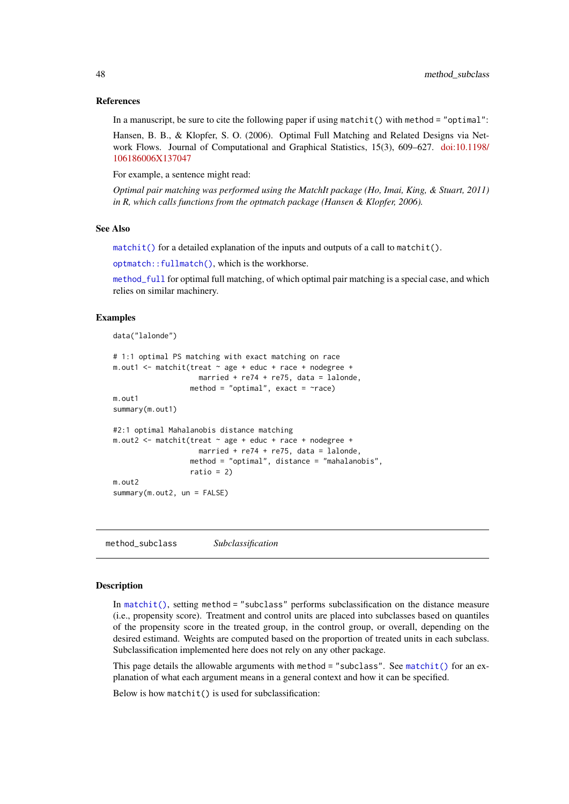#### References

In a manuscript, be sure to cite the following paper if using matchit() with method = "optimal":

Hansen, B. B., & Klopfer, S. O. (2006). Optimal Full Matching and Related Designs via Network Flows. Journal of Computational and Graphical Statistics, 15(3), 609–627. [doi:10.1198/](https://doi.org/10.1198/106186006X137047) [106186006X137047](https://doi.org/10.1198/106186006X137047)

For example, a sentence might read:

*Optimal pair matching was performed using the MatchIt package (Ho, Imai, King, & Stuart, 2011) in R, which calls functions from the optmatch package (Hansen & Klopfer, 2006).*

#### See Also

 $matchit()$  for a detailed explanation of the inputs and outputs of a call to matchit().

[optmatch::fullmatch\(\)](#page-0-0), which is the workhorse.

method full for optimal full matching, of which optimal pair matching is a special case, and which relies on similar machinery.

#### Examples

```
data("lalonde")
```

```
# 1:1 optimal PS matching with exact matching on race
m.out1 <- m. m.t. (treat \sim age + educ + race + node)married + re74 + re75, data = lalonde,
                  method = "optimal", exact = \text{~race)}m.out1
summary(m.out1)
#2:1 optimal Mahalanobis distance matching
m.out2 <- matchit(treat ~ age + educ + race + nodegree +
                    married + re74 + re75, data = lalonde,
                  method = "optimal", distance = "mahalanobis",
                  ratio = 2)
m.out2
summary(m.out2, un = FALSE)
```
<span id="page-47-1"></span>method\_subclass *Subclassification*

#### Description

In [matchit\(\)](#page-14-1), setting method = "subclass" performs subclassification on the distance measure (i.e., propensity score). Treatment and control units are placed into subclasses based on quantiles of the propensity score in the treated group, in the control group, or overall, depending on the desired estimand. Weights are computed based on the proportion of treated units in each subclass. Subclassification implemented here does not rely on any other package.

This page details the allowable arguments with method  $=$  "subclass". See [matchit\(\)](#page-14-1) for an explanation of what each argument means in a general context and how it can be specified.

Below is how matchit() is used for subclassification:

<span id="page-47-0"></span>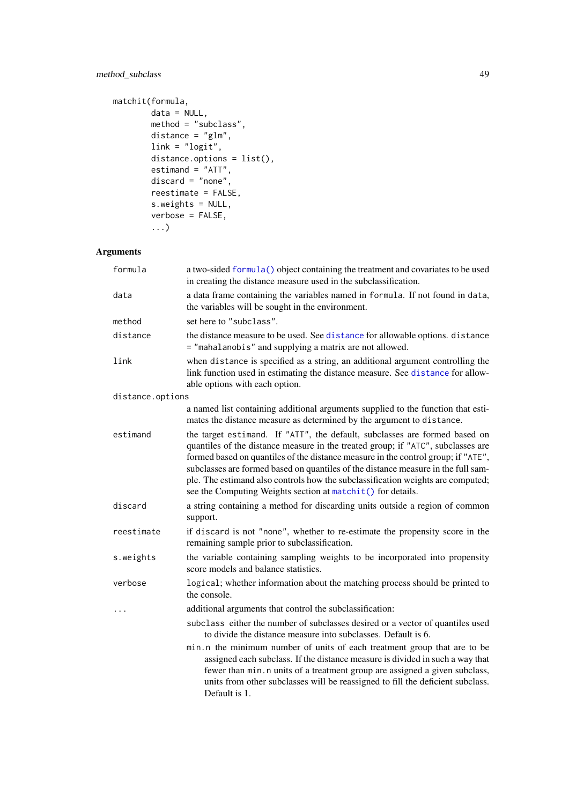# <span id="page-48-0"></span>method\_subclass 49

```
matchit(formula,
        data = NULL,method = "subclass",
        distance = "glm",link = "logit",
        distance.options = list(),
        estimand = "ATT",
        discard = "none",
        reestimate = FALSE,
        s.weights = NULL,
        verbose = FALSE,
        ...)
```
# Arguments

| formula          | a two-sided formula() object containing the treatment and covariates to be used<br>in creating the distance measure used in the subclassification.                                                                                                                                                                                                                                                                                                                                             |
|------------------|------------------------------------------------------------------------------------------------------------------------------------------------------------------------------------------------------------------------------------------------------------------------------------------------------------------------------------------------------------------------------------------------------------------------------------------------------------------------------------------------|
| data             | a data frame containing the variables named in formula. If not found in data,<br>the variables will be sought in the environment.                                                                                                                                                                                                                                                                                                                                                              |
| method           | set here to "subclass".                                                                                                                                                                                                                                                                                                                                                                                                                                                                        |
| distance         | the distance measure to be used. See distance for allowable options. distance<br>= "mahalanobis" and supplying a matrix are not allowed.                                                                                                                                                                                                                                                                                                                                                       |
| link             | when distance is specified as a string, an additional argument controlling the<br>link function used in estimating the distance measure. See distance for allow-<br>able options with each option.                                                                                                                                                                                                                                                                                             |
| distance.options |                                                                                                                                                                                                                                                                                                                                                                                                                                                                                                |
|                  | a named list containing additional arguments supplied to the function that esti-<br>mates the distance measure as determined by the argument to distance.                                                                                                                                                                                                                                                                                                                                      |
| estimand         | the target estimand. If "ATT", the default, subclasses are formed based on<br>quantiles of the distance measure in the treated group; if "ATC", subclasses are<br>formed based on quantiles of the distance measure in the control group; if "ATE",<br>subclasses are formed based on quantiles of the distance measure in the full sam-<br>ple. The estimand also controls how the subclassification weights are computed;<br>see the Computing Weights section at matchit() for details.     |
| discard          | a string containing a method for discarding units outside a region of common<br>support.                                                                                                                                                                                                                                                                                                                                                                                                       |
| reestimate       | if discard is not "none", whether to re-estimate the propensity score in the<br>remaining sample prior to subclassification.                                                                                                                                                                                                                                                                                                                                                                   |
| s.weights        | the variable containing sampling weights to be incorporated into propensity<br>score models and balance statistics.                                                                                                                                                                                                                                                                                                                                                                            |
| verbose          | logical; whether information about the matching process should be printed to<br>the console.                                                                                                                                                                                                                                                                                                                                                                                                   |
| $\ddots$         | additional arguments that control the subclassification:                                                                                                                                                                                                                                                                                                                                                                                                                                       |
|                  | subclass either the number of subclasses desired or a vector of quantiles used<br>to divide the distance measure into subclasses. Default is 6.<br>min.n the minimum number of units of each treatment group that are to be<br>assigned each subclass. If the distance measure is divided in such a way that<br>fewer than min. n units of a treatment group are assigned a given subclass,<br>units from other subclasses will be reassigned to fill the deficient subclass.<br>Default is 1. |
|                  |                                                                                                                                                                                                                                                                                                                                                                                                                                                                                                |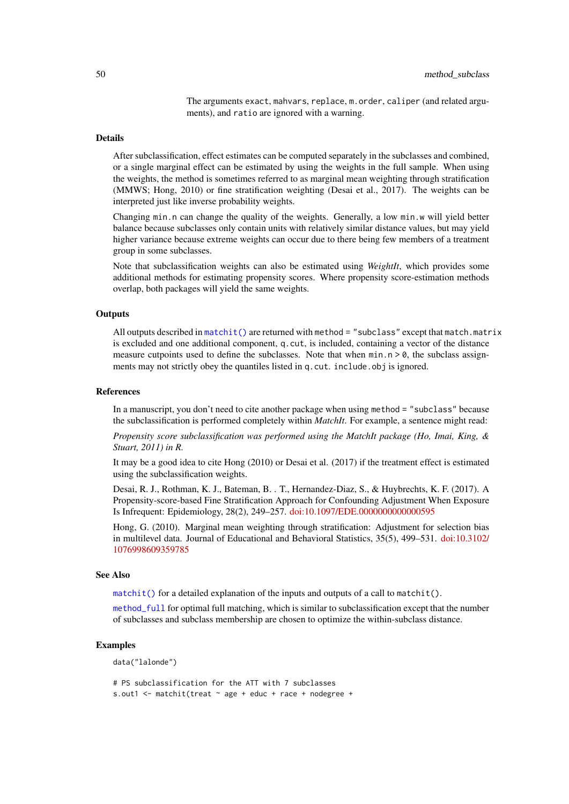The arguments exact, mahvars, replace, m.order, caliper (and related arguments), and ratio are ignored with a warning.

#### <span id="page-49-0"></span>Details

After subclassification, effect estimates can be computed separately in the subclasses and combined, or a single marginal effect can be estimated by using the weights in the full sample. When using the weights, the method is sometimes referred to as marginal mean weighting through stratification (MMWS; Hong, 2010) or fine stratification weighting (Desai et al., 2017). The weights can be interpreted just like inverse probability weights.

Changing min.n can change the quality of the weights. Generally, a low min.w will yield better balance because subclasses only contain units with relatively similar distance values, but may yield higher variance because extreme weights can occur due to there being few members of a treatment group in some subclasses.

Note that subclassification weights can also be estimated using *WeightIt*, which provides some additional methods for estimating propensity scores. Where propensity score-estimation methods overlap, both packages will yield the same weights.

#### **Outputs**

All outputs described in  $matchit()$  are returned with method = "subclass" except that match.matrix is excluded and one additional component, q.cut, is included, containing a vector of the distance measure cutpoints used to define the subclasses. Note that when  $\min n > 0$ , the subclass assignments may not strictly obey the quantiles listed in q. cut. include.obj is ignored.

#### References

In a manuscript, you don't need to cite another package when using method = "subclass" because the subclassification is performed completely within *MatchIt*. For example, a sentence might read:

*Propensity score subclassification was performed using the MatchIt package (Ho, Imai, King, & Stuart, 2011) in R.*

It may be a good idea to cite Hong (2010) or Desai et al. (2017) if the treatment effect is estimated using the subclassification weights.

Desai, R. J., Rothman, K. J., Bateman, B. . T., Hernandez-Diaz, S., & Huybrechts, K. F. (2017). A Propensity-score-based Fine Stratification Approach for Confounding Adjustment When Exposure Is Infrequent: Epidemiology, 28(2), 249–257. [doi:10.1097/EDE.0000000000000595](https://doi.org/10.1097/EDE.0000000000000595)

Hong, G. (2010). Marginal mean weighting through stratification: Adjustment for selection bias in multilevel data. Journal of Educational and Behavioral Statistics, 35(5), 499–531. [doi:10.3102/](https://doi.org/10.3102/1076998609359785) [1076998609359785](https://doi.org/10.3102/1076998609359785)

#### See Also

[matchit\(\)](#page-14-1) for a detailed explanation of the inputs and outputs of a call to matchit().

[method\\_full](#page-31-1) for optimal full matching, which is similar to subclassification except that the number of subclasses and subclass membership are chosen to optimize the within-subclass distance.

#### Examples

data("lalonde")

```
# PS subclassification for the ATT with 7 subclasses
s.out1 <- matchit(treat ~ age + educ + race + nodegree +
```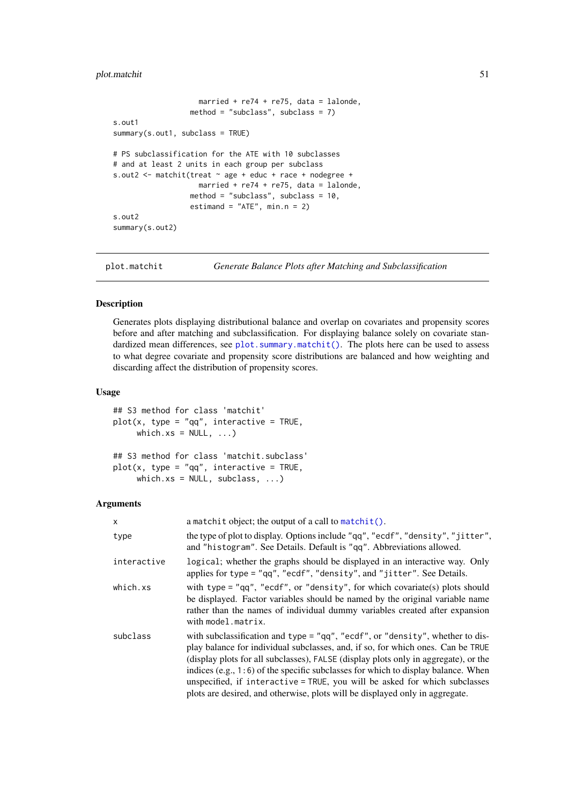```
married + re74 + re75, data = lalonde,
                  method = "subclass", subclass = 7)
s.out1
summary(s.out1, subclass = TRUE)
# PS subclassification for the ATE with 10 subclasses
# and at least 2 units in each group per subclass
s.out2 <- matchit(treat ~ age + educ + race + nodegree +
                   married + re74 + re75, data = lalonde,
                  method = "subclass", subclass = 10.
                  estimand = "ATE", min.n = 2)
s.out2
summary(s.out2)
```
<span id="page-50-1"></span>plot.matchit *Generate Balance Plots after Matching and Subclassification*

#### Description

Generates plots displaying distributional balance and overlap on covariates and propensity scores before and after matching and subclassification. For displaying balance solely on covariate standardized mean differences, see [plot.summary.matchit\(\)](#page-52-1). The plots here can be used to assess to what degree covariate and propensity score distributions are balanced and how weighting and discarding affect the distribution of propensity scores.

# Usage

```
## S3 method for class 'matchit'
plot(x, type = "qq", interactive = TRUE,which.xs = NULL, ...,## S3 method for class 'matchit.subclass'
plot(x, type = "qq", interface)which.xs = NULL, subclass, ...)
```
#### Arguments

| X              | a matchit object; the output of a call to matchit().                                                                                                                                                                                                                                                                                                                                                                                                                                                             |
|----------------|------------------------------------------------------------------------------------------------------------------------------------------------------------------------------------------------------------------------------------------------------------------------------------------------------------------------------------------------------------------------------------------------------------------------------------------------------------------------------------------------------------------|
| type           | the type of plot to display. Options include "qq", "ecdf", "density", "jitter",<br>and "histogram". See Details. Default is "qq". Abbreviations allowed.                                                                                                                                                                                                                                                                                                                                                         |
| interactive    | logical; whether the graphs should be displayed in an interactive way. Only<br>applies for type = "qq", "ecdf", "density", and "jitter". See Details.                                                                                                                                                                                                                                                                                                                                                            |
| $which$ . $xs$ | with type = $"qq", "ecdf", or "density", for which covariate(s) plots should$<br>be displayed. Factor variables should be named by the original variable name<br>rather than the names of individual dummy variables created after expansion<br>with model.matrix.                                                                                                                                                                                                                                               |
| subclass       | with subclassification and type = " $qq$ ", "ecdf", or "density", whether to dis-<br>play balance for individual subclasses, and, if so, for which ones. Can be TRUE<br>(display plots for all subclasses), FALSE (display plots only in aggregate), or the<br>indices $(e.g., 1:6)$ of the specific subclasses for which to display balance. When<br>unspecified, if interactive = TRUE, you will be asked for which subclasses<br>plots are desired, and otherwise, plots will be displayed only in aggregate. |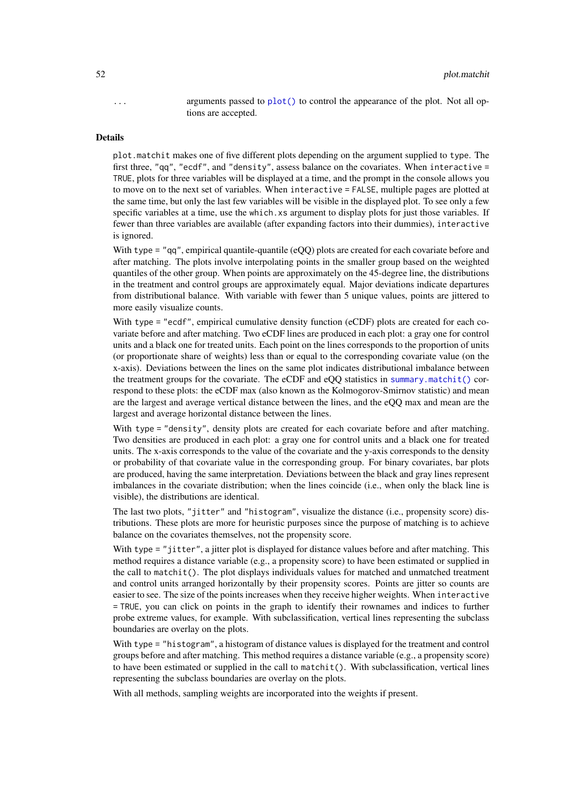<span id="page-51-0"></span>... arguments passed to [plot\(\)](#page-0-0) to control the appearance of the plot. Not all options are accepted.

#### Details

plot.matchit makes one of five different plots depending on the argument supplied to type. The first three, "qq", "ecdf", and "density", assess balance on the covariates. When interactive = TRUE, plots for three variables will be displayed at a time, and the prompt in the console allows you to move on to the next set of variables. When interactive = FALSE, multiple pages are plotted at the same time, but only the last few variables will be visible in the displayed plot. To see only a few specific variables at a time, use the which.xs argument to display plots for just those variables. If fewer than three variables are available (after expanding factors into their dummies), interactive is ignored.

With type  $=$  "qq", empirical quantile-quantile (eQQ) plots are created for each covariate before and after matching. The plots involve interpolating points in the smaller group based on the weighted quantiles of the other group. When points are approximately on the 45-degree line, the distributions in the treatment and control groups are approximately equal. Major deviations indicate departures from distributional balance. With variable with fewer than 5 unique values, points are jittered to more easily visualize counts.

With type = "ecdf", empirical cumulative density function (eCDF) plots are created for each covariate before and after matching. Two eCDF lines are produced in each plot: a gray one for control units and a black one for treated units. Each point on the lines corresponds to the proportion of units (or proportionate share of weights) less than or equal to the corresponding covariate value (on the x-axis). Deviations between the lines on the same plot indicates distributional imbalance between the treatment groups for the covariate. The eCDF and eQQ statistics in [summary.matchit\(\)](#page-55-1) correspond to these plots: the eCDF max (also known as the Kolmogorov-Smirnov statistic) and mean are the largest and average vertical distance between the lines, and the eQQ max and mean are the largest and average horizontal distance between the lines.

With type = "density", density plots are created for each covariate before and after matching. Two densities are produced in each plot: a gray one for control units and a black one for treated units. The x-axis corresponds to the value of the covariate and the y-axis corresponds to the density or probability of that covariate value in the corresponding group. For binary covariates, bar plots are produced, having the same interpretation. Deviations between the black and gray lines represent imbalances in the covariate distribution; when the lines coincide (i.e., when only the black line is visible), the distributions are identical.

The last two plots, "jitter" and "histogram", visualize the distance (i.e., propensity score) distributions. These plots are more for heuristic purposes since the purpose of matching is to achieve balance on the covariates themselves, not the propensity score.

With type = "jitter", a jitter plot is displayed for distance values before and after matching. This method requires a distance variable (e.g., a propensity score) to have been estimated or supplied in the call to matchit(). The plot displays individuals values for matched and unmatched treatment and control units arranged horizontally by their propensity scores. Points are jitter so counts are easier to see. The size of the points increases when they receive higher weights. When interactive = TRUE, you can click on points in the graph to identify their rownames and indices to further probe extreme values, for example. With subclassification, vertical lines representing the subclass boundaries are overlay on the plots.

With type = "histogram", a histogram of distance values is displayed for the treatment and control groups before and after matching. This method requires a distance variable (e.g., a propensity score) to have been estimated or supplied in the call to matchit(). With subclassification, vertical lines representing the subclass boundaries are overlay on the plots.

With all methods, sampling weights are incorporated into the weights if present.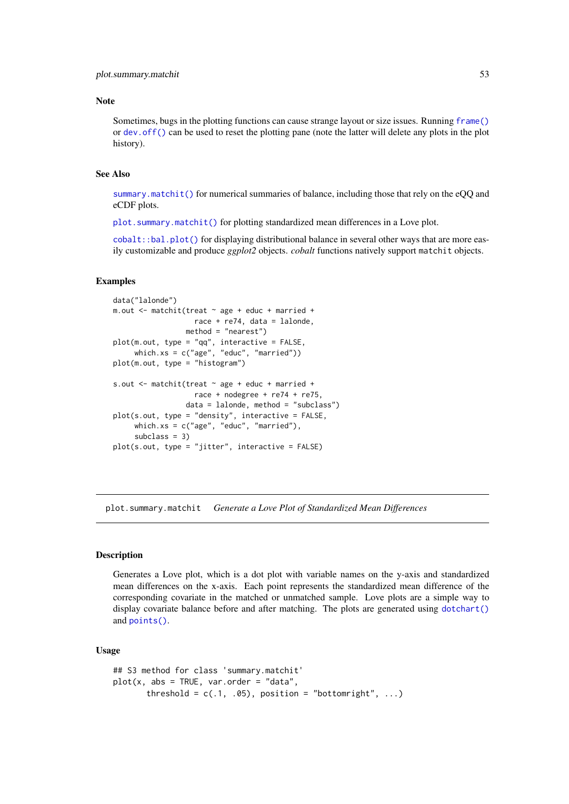#### <span id="page-52-0"></span>Note

Sometimes, bugs in the plotting functions can cause strange layout or size issues. Running [frame\(\)](#page-0-0) or [dev.off\(\)](#page-0-0) can be used to reset the plotting pane (note the latter will delete any plots in the plot history).

# See Also

[summary.matchit\(\)](#page-55-1) for numerical summaries of balance, including those that rely on the eQQ and eCDF plots.

[plot.summary.matchit\(\)](#page-52-1) for plotting standardized mean differences in a Love plot.

[cobalt::bal.plot\(\)](#page-0-0) for displaying distributional balance in several other ways that are more easily customizable and produce *ggplot2* objects. *cobalt* functions natively support matchit objects.

#### Examples

```
data("lalonde")
m.out <- matchit(treat ~ age + educ + married +
                   race + re74, data = lalonde,
                 method = "nearest")
plot(m.out, type = "qq", interactive = FALSE,
     which.xs = c("age", "educ", "married"))
plot(m.out, type = "histogram")
s.out \leq matchit(treat \sim age + educ + married +
                   race + nodegree + re74 + re75,
                 data = lalonde, method = "subclass")
plot(s.out, type = "density", interactive = FALSE,
     which.xs = c("age", "educ", "married"),
     subclass = 3plot(s.out, type = "jitter", interactive = FALSE)
```
<span id="page-52-1"></span>plot.summary.matchit *Generate a Love Plot of Standardized Mean Differences*

#### Description

Generates a Love plot, which is a dot plot with variable names on the y-axis and standardized mean differences on the x-axis. Each point represents the standardized mean difference of the corresponding covariate in the matched or unmatched sample. Love plots are a simple way to display covariate balance before and after matching. The plots are generated using [dotchart\(\)](#page-0-0) and [points\(\)](#page-0-0).

#### Usage

```
## S3 method for class 'summary.matchit'
plot(x, abs = TRUE, var.order = "data",threshold = c(.1, .05), position = "bottomright", ...)
```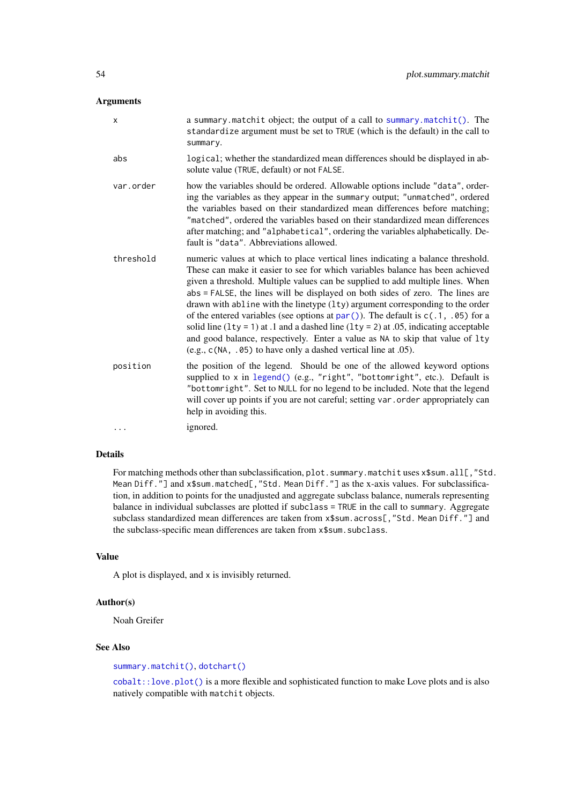# <span id="page-53-0"></span>Arguments

| $\boldsymbol{\mathsf{x}}$ | a summary matchit object; the output of a call to summary matchit(). The<br>standardize argument must be set to TRUE (which is the default) in the call to<br>summary.                                                                                                                                                                                                                                                                                                                                                                                                                                                                                                                                                                                        |
|---------------------------|---------------------------------------------------------------------------------------------------------------------------------------------------------------------------------------------------------------------------------------------------------------------------------------------------------------------------------------------------------------------------------------------------------------------------------------------------------------------------------------------------------------------------------------------------------------------------------------------------------------------------------------------------------------------------------------------------------------------------------------------------------------|
| abs                       | logical; whether the standardized mean differences should be displayed in ab-<br>solute value (TRUE, default) or not FALSE.                                                                                                                                                                                                                                                                                                                                                                                                                                                                                                                                                                                                                                   |
| var.order                 | how the variables should be ordered. Allowable options include "data", order-<br>ing the variables as they appear in the summary output; "unmatched", ordered<br>the variables based on their standardized mean differences before matching;<br>"matched", ordered the variables based on their standardized mean differences<br>after matching; and "alphabetical", ordering the variables alphabetically. De-<br>fault is "data". Abbreviations allowed.                                                                                                                                                                                                                                                                                                    |
| threshold                 | numeric values at which to place vertical lines indicating a balance threshold.<br>These can make it easier to see for which variables balance has been achieved<br>given a threshold. Multiple values can be supplied to add multiple lines. When<br>abs = FALSE, the lines will be displayed on both sides of zero. The lines are<br>drawn with abline with the linetype (lty) argument corresponding to the order<br>of the entered variables (see options at $par()$ ). The default is $c(.1, .05)$ for a<br>solid line $(1ty = 1)$ at .1 and a dashed line $(1ty = 2)$ at 0.05, indicating acceptable<br>and good balance, respectively. Enter a value as NA to skip that value of lty<br>(e.g., c(NA, .05) to have only a dashed vertical line at .05). |
| position                  | the position of the legend. Should be one of the allowed keyword options<br>supplied to x in legend() (e.g., "right", "bottomright", etc.). Default is<br>"bottomright". Set to NULL for no legend to be included. Note that the legend<br>will cover up points if you are not careful; setting var . order appropriately can<br>help in avoiding this.                                                                                                                                                                                                                                                                                                                                                                                                       |
| $\cdots$                  | ignored.                                                                                                                                                                                                                                                                                                                                                                                                                                                                                                                                                                                                                                                                                                                                                      |

# Details

For matching methods other than subclassification, plot. summary.matchit uses x\$sum.all[,"Std. Mean Diff."] and x\$sum.matched[,"Std. Mean Diff."] as the x-axis values. For subclassification, in addition to points for the unadjusted and aggregate subclass balance, numerals representing balance in individual subclasses are plotted if subclass = TRUE in the call to summary. Aggregate subclass standardized mean differences are taken from x\$sum.across[,"Std. Mean Diff."] and the subclass-specific mean differences are taken from x\$sum.subclass.

#### Value

A plot is displayed, and x is invisibly returned.

# Author(s)

Noah Greifer

# See Also

#### [summary.matchit\(\)](#page-55-1), [dotchart\(\)](#page-0-0)

[cobalt::love.plot\(\)](#page-0-0) is a more flexible and sophisticated function to make Love plots and is also natively compatible with matchit objects.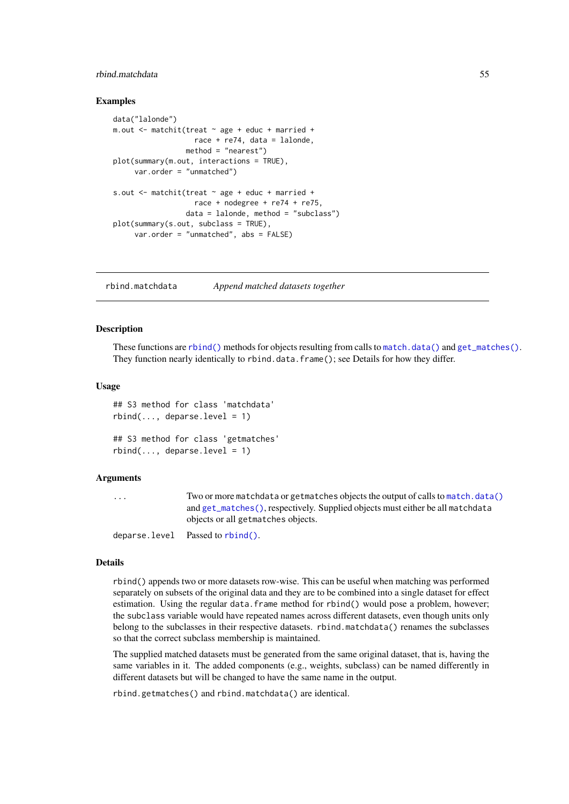# <span id="page-54-0"></span>rbind.matchdata 55

#### Examples

```
data("lalonde")
m.out <- matchit(treat ~ age + educ + married +
                  race + re74, data = lalonde,
                 method = "nearest")
plot(summary(m.out, interactions = TRUE),
     var.order = "unmatched")
s.out \leq matchit(treat \sim age + educ + married +
                   race + nodegree + re74 + re75,
                 data = lalonde, method = "subclass")
plot(summary(s.out, subclass = TRUE),
     var.order = "unmatched", abs = FALSE)
```
<span id="page-54-1"></span>rbind.matchdata *Append matched datasets together*

# Description

These functions are [rbind\(\)](#page-0-0) methods for objects resulting from calls to [match.data\(\)](#page-11-1) and [get\\_matches\(\)](#page-11-2). They function nearly identically to rbind.data.frame(); see Details for how they differ.

#### Usage

```
## S3 method for class 'matchdata'
rbind(..., deparse. level = 1)## S3 method for class 'getmatches'
rbind(..., deparse. level = 1)
```
#### Arguments

... Two or more matchdata or getmatches objects the output of calls to [match.data\(\)](#page-11-1) and [get\\_matches\(\)](#page-11-2), respectively. Supplied objects must either be all matchdata objects or all getmatches objects.

deparse.level Passed to [rbind\(\)](#page-0-0).

#### Details

rbind() appends two or more datasets row-wise. This can be useful when matching was performed separately on subsets of the original data and they are to be combined into a single dataset for effect estimation. Using the regular data.frame method for rbind() would pose a problem, however; the subclass variable would have repeated names across different datasets, even though units only belong to the subclasses in their respective datasets. rbind.matchdata() renames the subclasses so that the correct subclass membership is maintained.

The supplied matched datasets must be generated from the same original dataset, that is, having the same variables in it. The added components (e.g., weights, subclass) can be named differently in different datasets but will be changed to have the same name in the output.

rbind.getmatches() and rbind.matchdata() are identical.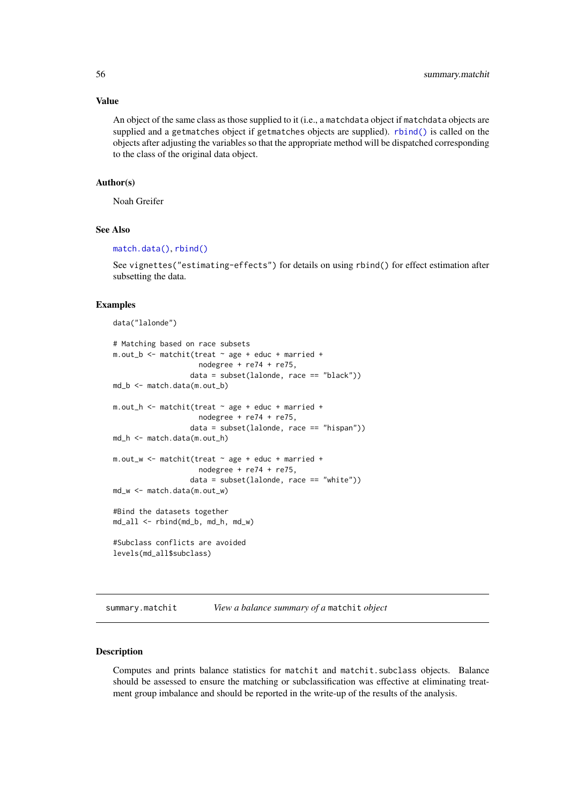#### Value

An object of the same class as those supplied to it (i.e., a matchdata object if matchdata objects are supplied and a getmatches object if getmatches objects are supplied). [rbind\(\)](#page-0-0) is called on the objects after adjusting the variables so that the appropriate method will be dispatched corresponding to the class of the original data object.

# Author(s)

Noah Greifer

#### See Also

#### [match.data\(\)](#page-11-1), [rbind\(\)](#page-0-0)

See vignettes("estimating-effects") for details on using rbind() for effect estimation after subsetting the data.

#### Examples

data("lalonde")

```
# Matching based on race subsets
m.out_b <- matchit(treat ~ age + educ + married +
                    nodegree + re74 + re75,
                  data = subset(lalonde, race == "black"))
md_b <- match.data(m.out_b)
m.out_h <- m \cdot int(treat \sim age + educ + married +nodegree + re74 + re75,
                  data = subset(lalonde, race == "hispan"))
md_h <- match.data(m.out_h)
m.out_w <- matchit(treat ~ age + educ + married +
                    nodegree + re74 + re75,
                  data = subset(lalonde, race == "white"))
md_w <- match.data(m.out_w)
#Bind the datasets together
md_all <- rbind(md_b, md_h, md_w)
#Subclass conflicts are avoided
levels(md_all$subclass)
```
<span id="page-55-1"></span>summary.matchit *View a balance summary of a* matchit *object*

#### **Description**

Computes and prints balance statistics for matchit and matchit.subclass objects. Balance should be assessed to ensure the matching or subclassification was effective at eliminating treatment group imbalance and should be reported in the write-up of the results of the analysis.

<span id="page-55-0"></span>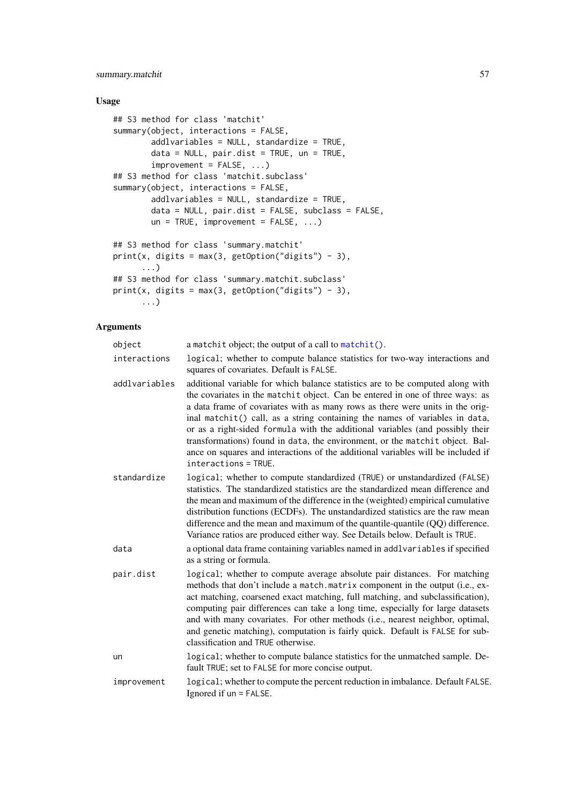### <span id="page-56-0"></span>summary.matchit 57

# Usage

```
## S3 method for class 'matchit'
summary(object, interactions = FALSE,
       addlvariables = NULL, standardize = TRUE,
       data = NULL, pair.dist = TRUE, un = TRUE,
        improvement = FALSE, ...)## S3 method for class 'matchit.subclass'
summary(object, interactions = FALSE,
        addlvariables = NULL, standardize = TRUE,
       data = NULL, pair.dist = FALSE, subclass = FALSE,
       un = TRUE, import = FALSE, ...)## S3 method for class 'summary.matchit'
print(x, digits = max(3, getOption("digits") - 3),...)
## S3 method for class 'summary.matchit.subclass'
print(x, digits = max(3, getOption("digits") - 3),...)
```
# Arguments

| object        | a matchit object; the output of a call to matchit().                                                                                                                                                                                                                                                                                                                                                                                                                                                                                                                                                         |
|---------------|--------------------------------------------------------------------------------------------------------------------------------------------------------------------------------------------------------------------------------------------------------------------------------------------------------------------------------------------------------------------------------------------------------------------------------------------------------------------------------------------------------------------------------------------------------------------------------------------------------------|
| interactions  | logical; whether to compute balance statistics for two-way interactions and<br>squares of covariates. Default is FALSE.                                                                                                                                                                                                                                                                                                                                                                                                                                                                                      |
| addlvariables | additional variable for which balance statistics are to be computed along with<br>the covariates in the matchit object. Can be entered in one of three ways: as<br>a data frame of covariates with as many rows as there were units in the orig-<br>inal matchit() call, as a string containing the names of variables in data,<br>or as a right-sided formula with the additional variables (and possibly their<br>transformations) found in data, the environment, or the matchit object. Bal-<br>ance on squares and interactions of the additional variables will be included if<br>interactions = TRUE. |
| standardize   | logical; whether to compute standardized (TRUE) or unstandardized (FALSE)<br>statistics. The standardized statistics are the standardized mean difference and<br>the mean and maximum of the difference in the (weighted) empirical cumulative<br>distribution functions (ECDFs). The unstandardized statistics are the raw mean<br>difference and the mean and maximum of the quantile-quantile $(QQ)$ difference.<br>Variance ratios are produced either way. See Details below. Default is TRUE.                                                                                                          |
| data          | a optional data frame containing variables named in addlvariables if specified<br>as a string or formula.                                                                                                                                                                                                                                                                                                                                                                                                                                                                                                    |
| pair.dist     | logical; whether to compute average absolute pair distances. For matching<br>methods that don't include a match. matrix component in the output (i.e., ex-<br>act matching, coarsened exact matching, full matching, and subclassification),<br>computing pair differences can take a long time, especially for large datasets<br>and with many covariates. For other methods (i.e., nearest neighbor, optimal,<br>and genetic matching), computation is fairly quick. Default is FALSE for sub-<br>classification and TRUE otherwise.                                                                       |
| un            | logical; whether to compute balance statistics for the unmatched sample. De-<br>fault TRUE; set to FALSE for more concise output.                                                                                                                                                                                                                                                                                                                                                                                                                                                                            |
| improvement   | logical; whether to compute the percent reduction in imbalance. Default FALSE.<br>Ignored if $un = FALSE$ .                                                                                                                                                                                                                                                                                                                                                                                                                                                                                                  |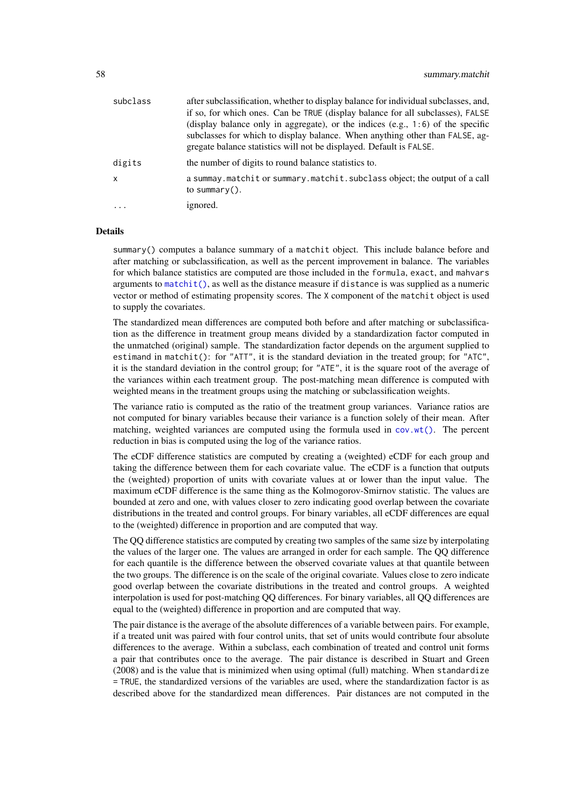<span id="page-57-0"></span>

| subclass | after subclassification, whether to display balance for individual subclasses, and,        |
|----------|--------------------------------------------------------------------------------------------|
|          | if so, for which ones. Can be TRUE (display balance for all subclasses), FALSE             |
|          | (display balance only in aggregate), or the indices $(e.g., 1:6)$ of the specific          |
|          | subclasses for which to display balance. When anything other than FALSE, ag-               |
|          | gregate balance statistics will not be displayed. Default is FALSE.                        |
| digits   | the number of digits to round balance statistics to.                                       |
| x        | a summay matchit or summary matchit subclass object; the output of a call<br>to summary(). |
| $\cdot$  | ignored.                                                                                   |
|          |                                                                                            |

#### Details

summary() computes a balance summary of a matchit object. This include balance before and after matching or subclassification, as well as the percent improvement in balance. The variables for which balance statistics are computed are those included in the formula, exact, and mahvars arguments to  $matchit()$ , as well as the distance measure if distance is was supplied as a numeric vector or method of estimating propensity scores. The X component of the matchit object is used to supply the covariates.

The standardized mean differences are computed both before and after matching or subclassification as the difference in treatment group means divided by a standardization factor computed in the unmatched (original) sample. The standardization factor depends on the argument supplied to estimand in matchit(): for "ATT", it is the standard deviation in the treated group; for "ATC", it is the standard deviation in the control group; for "ATE", it is the square root of the average of the variances within each treatment group. The post-matching mean difference is computed with weighted means in the treatment groups using the matching or subclassification weights.

The variance ratio is computed as the ratio of the treatment group variances. Variance ratios are not computed for binary variables because their variance is a function solely of their mean. After matching, weighted variances are computed using the formula used in  $cov.w(t)$ . The percent reduction in bias is computed using the log of the variance ratios.

The eCDF difference statistics are computed by creating a (weighted) eCDF for each group and taking the difference between them for each covariate value. The eCDF is a function that outputs the (weighted) proportion of units with covariate values at or lower than the input value. The maximum eCDF difference is the same thing as the Kolmogorov-Smirnov statistic. The values are bounded at zero and one, with values closer to zero indicating good overlap between the covariate distributions in the treated and control groups. For binary variables, all eCDF differences are equal to the (weighted) difference in proportion and are computed that way.

The QQ difference statistics are computed by creating two samples of the same size by interpolating the values of the larger one. The values are arranged in order for each sample. The QQ difference for each quantile is the difference between the observed covariate values at that quantile between the two groups. The difference is on the scale of the original covariate. Values close to zero indicate good overlap between the covariate distributions in the treated and control groups. A weighted interpolation is used for post-matching QQ differences. For binary variables, all QQ differences are equal to the (weighted) difference in proportion and are computed that way.

The pair distance is the average of the absolute differences of a variable between pairs. For example, if a treated unit was paired with four control units, that set of units would contribute four absolute differences to the average. Within a subclass, each combination of treated and control unit forms a pair that contributes once to the average. The pair distance is described in Stuart and Green (2008) and is the value that is minimized when using optimal (full) matching. When standardize = TRUE, the standardized versions of the variables are used, where the standardization factor is as described above for the standardized mean differences. Pair distances are not computed in the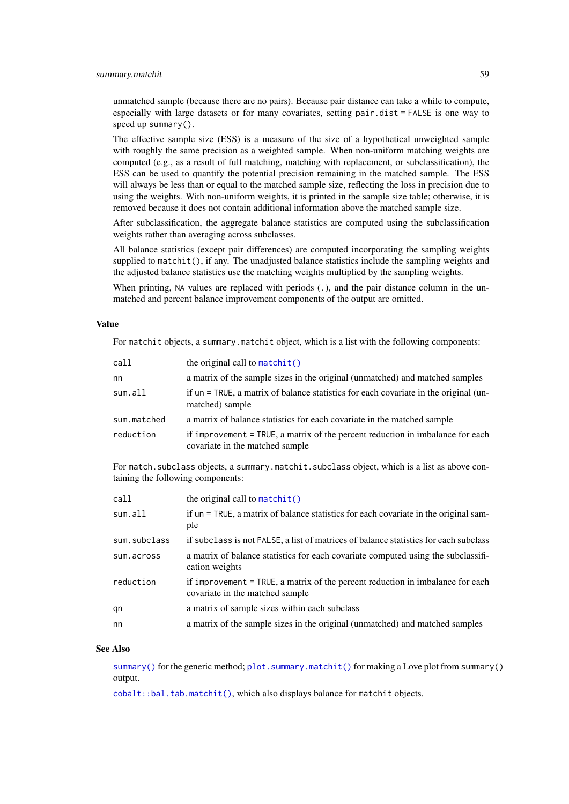<span id="page-58-0"></span>unmatched sample (because there are no pairs). Because pair distance can take a while to compute, especially with large datasets or for many covariates, setting pair.dist = FALSE is one way to speed up summary().

The effective sample size (ESS) is a measure of the size of a hypothetical unweighted sample with roughly the same precision as a weighted sample. When non-uniform matching weights are computed (e.g., as a result of full matching, matching with replacement, or subclassification), the ESS can be used to quantify the potential precision remaining in the matched sample. The ESS will always be less than or equal to the matched sample size, reflecting the loss in precision due to using the weights. With non-uniform weights, it is printed in the sample size table; otherwise, it is removed because it does not contain additional information above the matched sample size.

After subclassification, the aggregate balance statistics are computed using the subclassification weights rather than averaging across subclasses.

All balance statistics (except pair differences) are computed incorporating the sampling weights supplied to matchit(), if any. The unadjusted balance statistics include the sampling weights and the adjusted balance statistics use the matching weights multiplied by the sampling weights.

When printing, NA values are replaced with periods (.), and the pair distance column in the unmatched and percent balance improvement components of the output are omitted.

#### Value

For matchit objects, a summary.matchit object, which is a list with the following components:

| call        | the original call to $matchit()$                                                                                  |
|-------------|-------------------------------------------------------------------------------------------------------------------|
| nn          | a matrix of the sample sizes in the original (unmatched) and matched samples                                      |
| sum.all     | if un = TRUE, a matrix of balance statistics for each covariate in the original (un-<br>matched) sample           |
| sum.matched | a matrix of balance statistics for each covariate in the matched sample                                           |
| reduction   | if improvement = TRUE, a matrix of the percent reduction in imbalance for each<br>covariate in the matched sample |

For match. subclass objects, a summary.matchit. subclass object, which is a list as above containing the following components:

| call         | the original call to $matchit()$                                                                                  |
|--------------|-------------------------------------------------------------------------------------------------------------------|
| sum.all      | if un = TRUE, a matrix of balance statistics for each covariate in the original sam-<br>ple                       |
| sum.subclass | if subclass is not FALSE, a list of matrices of balance statistics for each subclass                              |
| sum.across   | a matrix of balance statistics for each covariate computed using the subclassifi-<br>cation weights               |
| reduction    | if improvement = TRUE, a matrix of the percent reduction in imbalance for each<br>covariate in the matched sample |
| qn           | a matrix of sample sizes within each subclass                                                                     |
| nn           | a matrix of the sample sizes in the original (unmatched) and matched samples                                      |

#### See Also

[summary\(\)](#page-0-0) for the generic method;  $plot \, . \, summary \, .$  matchit() for making a Love plot from summary() output.

[cobalt::bal.tab.matchit\(\)](#page-0-0), which also displays balance for matchit objects.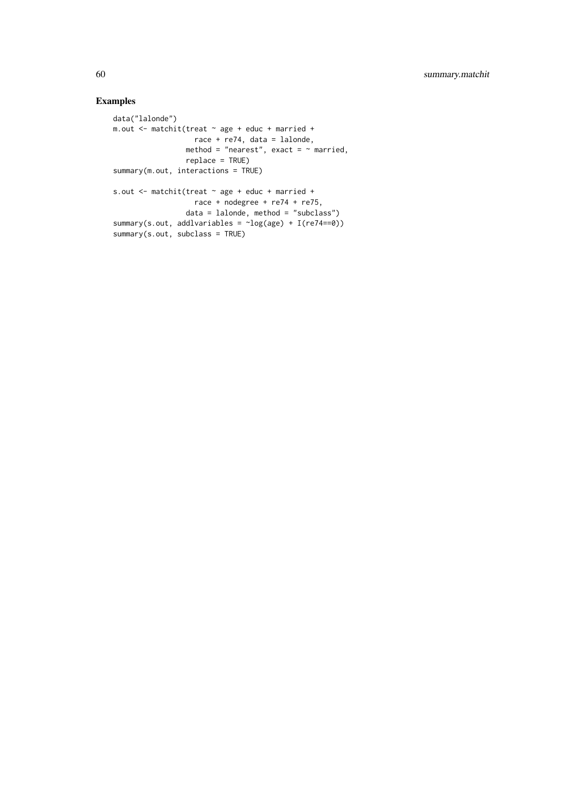# Examples

```
data("lalonde")
m.out <- matchit(treat ~ age + educ + married +
                   race + re74, data = lalonde,
                 method = "nearest", exact = \sim married,
                 replace = TRUE)
summary(m.out, interactions = TRUE)
s.out <- matchit(treat ~ age + educ + married +
                  race + nodegree + re74 + re75,
                data = lalonde, method = "subclass")
summary(s.out, addlvariables = ~log(age) + I(re74==0))
summary(s.out, subclass = TRUE)
```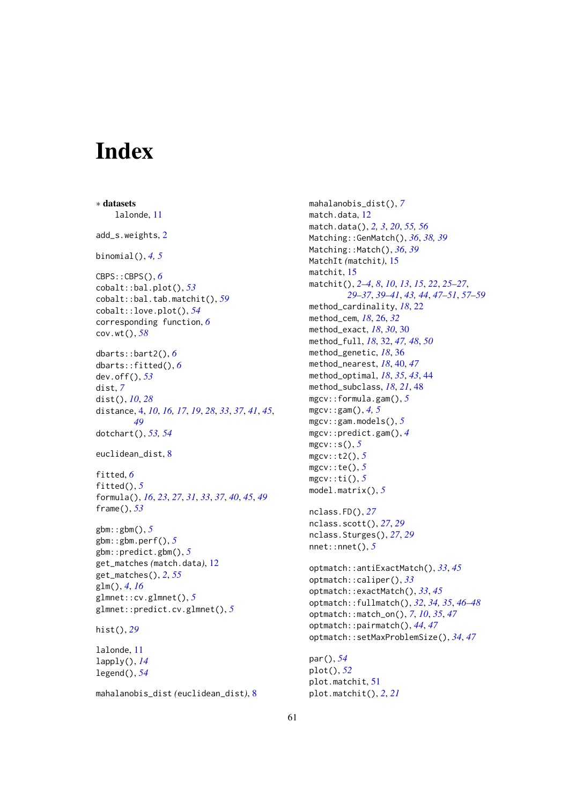# <span id="page-60-0"></span>Index

∗ datasets lalonde, [11](#page-10-0) add\_s.weights, [2](#page-1-0) binomial(), *[4,](#page-3-0) [5](#page-4-0)* CBPS::CBPS(), *[6](#page-5-0)* cobalt::bal.plot(), *[53](#page-52-0)* cobalt::bal.tab.matchit(), *[59](#page-58-0)* cobalt::love.plot(), *[54](#page-53-0)* corresponding function, *[6](#page-5-0)* cov.wt(), *[58](#page-57-0)* dbarts::bart2(), *[6](#page-5-0)* dbarts::fitted(), *[6](#page-5-0)* dev.off(), *[53](#page-52-0)* dist, *[7](#page-6-0)* dist(), *[10](#page-9-0)*, *[28](#page-27-0)* distance, [4,](#page-3-0) *[10](#page-9-0)*, *[16,](#page-15-0) [17](#page-16-0)*, *[19](#page-18-0)*, *[28](#page-27-0)*, *[33](#page-32-0)*, *[37](#page-36-0)*, *[41](#page-40-0)*, *[45](#page-44-0)*, *[49](#page-48-0)* dotchart(), *[53,](#page-52-0) [54](#page-53-0)* euclidean\_dist, [8](#page-7-0) fitted, *[6](#page-5-0)* fitted(), *[5](#page-4-0)* formula(), *[16](#page-15-0)*, *[23](#page-22-0)*, *[27](#page-26-0)*, *[31](#page-30-0)*, *[33](#page-32-0)*, *[37](#page-36-0)*, *[40](#page-39-0)*, *[45](#page-44-0)*, *[49](#page-48-0)* frame(), *[53](#page-52-0)* gbm::gbm(), *[5](#page-4-0)* gbm::gbm.perf(), *[5](#page-4-0)* gbm::predict.gbm(), *[5](#page-4-0)* get\_matches *(*match.data*)*, [12](#page-11-0) get\_matches(), *[2](#page-1-0)*, *[55](#page-54-0)* glm(), *[4](#page-3-0)*, *[16](#page-15-0)* glmnet::cv.glmnet(), *[5](#page-4-0)* glmnet::predict.cv.glmnet(), *[5](#page-4-0)* hist(), *[29](#page-28-0)* lalonde, [11](#page-10-0) lapply(), *[14](#page-13-0)* legend(), *[54](#page-53-0)*

mahalanobis\_dist *(*euclidean\_dist*)*, [8](#page-7-0)

mahalanobis\_dist(), *[7](#page-6-0)* match.data, [12](#page-11-0) match.data(), *[2,](#page-1-0) [3](#page-2-0)*, *[20](#page-19-0)*, *[55,](#page-54-0) [56](#page-55-0)* Matching::GenMatch(), *[36](#page-35-0)*, *[38,](#page-37-0) [39](#page-38-0)* Matching::Match(), *[36](#page-35-0)*, *[39](#page-38-0)* MatchIt *(*matchit*)*, [15](#page-14-0) matchit, [15](#page-14-0) matchit(), *[2](#page-1-0)[–4](#page-3-0)*, *[8](#page-7-0)*, *[10](#page-9-0)*, *[13](#page-12-0)*, *[15](#page-14-0)*, *[22](#page-21-0)*, *[25](#page-24-0)[–27](#page-26-0)*, *[29](#page-28-0)[–37](#page-36-0)*, *[39](#page-38-0)[–41](#page-40-0)*, *[43,](#page-42-0) [44](#page-43-0)*, *[47](#page-46-0)[–51](#page-50-0)*, *[57](#page-56-0)[–59](#page-58-0)* method\_cardinality, *[18](#page-17-0)*, [22](#page-21-0) method\_cem, *[18](#page-17-0)*, [26,](#page-25-0) *[32](#page-31-0)* method\_exact, *[18](#page-17-0)*, *[30](#page-29-0)*, [30](#page-29-0) method\_full, *[18](#page-17-0)*, [32,](#page-31-0) *[47,](#page-46-0) [48](#page-47-0)*, *[50](#page-49-0)* method\_genetic, *[18](#page-17-0)*, [36](#page-35-0) method\_nearest, *[18](#page-17-0)*, [40,](#page-39-0) *[47](#page-46-0)* method\_optimal, *[18](#page-17-0)*, *[35](#page-34-0)*, *[43](#page-42-0)*, [44](#page-43-0) method\_subclass, *[18](#page-17-0)*, *[21](#page-20-0)*, [48](#page-47-0) mgcv::formula.gam(), *[5](#page-4-0)* mgcv::gam(), *[4,](#page-3-0) [5](#page-4-0)* mgcv::gam.models(), *[5](#page-4-0)* mgcv::predict.gam(), *[4](#page-3-0)* mgcv::s(), *[5](#page-4-0)* mgcv::t2(), *[5](#page-4-0)* mgcv::te(), *[5](#page-4-0)* mgcv::ti(), *[5](#page-4-0)* model.matrix(), *[5](#page-4-0)* nclass.FD(), *[27](#page-26-0)* nclass.scott(), *[27](#page-26-0)*, *[29](#page-28-0)* nclass.Sturges(), *[27](#page-26-0)*, *[29](#page-28-0)* nnet::nnet(), *[5](#page-4-0)* optmatch::antiExactMatch(), *[33](#page-32-0)*, *[45](#page-44-0)* optmatch::caliper(), *[33](#page-32-0)* optmatch::exactMatch(), *[33](#page-32-0)*, *[45](#page-44-0)* optmatch::fullmatch(), *[32](#page-31-0)*, *[34,](#page-33-0) [35](#page-34-0)*, *[46](#page-45-0)[–48](#page-47-0)* optmatch::match\_on(), *[7](#page-6-0)*, *[10](#page-9-0)*, *[35](#page-34-0)*, *[47](#page-46-0)* optmatch::pairmatch(), *[44](#page-43-0)*, *[47](#page-46-0)* optmatch::setMaxProblemSize(), *[34](#page-33-0)*, *[47](#page-46-0)* par(), *[54](#page-53-0)*

plot(), *[52](#page-51-0)* plot.matchit, [51](#page-50-0) plot.matchit(), *[2](#page-1-0)*, *[21](#page-20-0)*